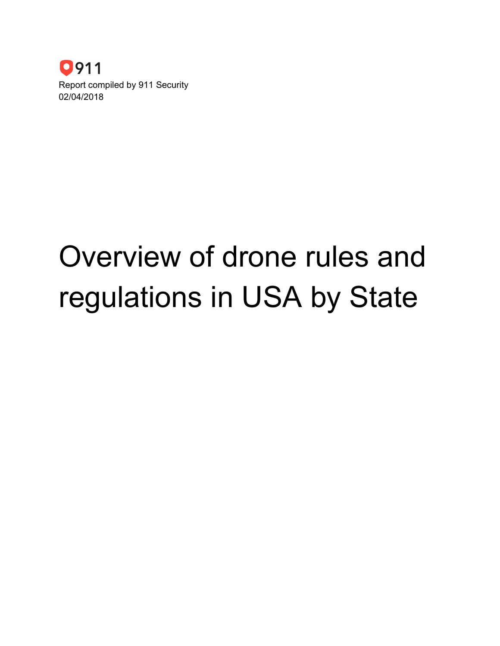

# Overview of drone rules and regulations in USA by State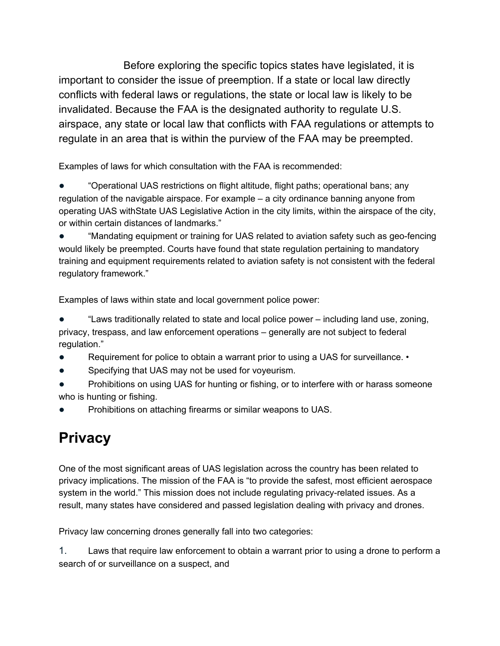Before exploring the specific topics states have legislated, it is important to consider the issue of preemption. If a state or local law directly conflicts with federal laws or regulations, the state or local law is likely to be invalidated. Because the FAA is the designated authority to regulate U.S. airspace, any state or local law that conflicts with FAA regulations or attempts to regulate in an area that is within the purview of the FAA may be preempted.

Examples of laws for which consultation with the FAA is recommended:

"Operational UAS restrictions on flight altitude, flight paths; operational bans; any regulation of the navigable airspace. For example – a city ordinance banning anyone from operating UAS withState UAS Legislative Action in the city limits, within the airspace of the city, or within certain distances of landmarks."

"Mandating equipment or training for UAS related to aviation safety such as geo-fencing would likely be preempted. Courts have found that state regulation pertaining to mandatory training and equipment requirements related to aviation safety is not consistent with the federal regulatory framework."

Examples of laws within state and local government police power:

"Laws traditionally related to state and local police power – including land use, zoning, privacy, trespass, and law enforcement operations – generally are not subject to federal regulation."

- Requirement for police to obtain a warrant prior to using a UAS for surveillance.  $\cdot$
- Specifying that UAS may not be used for voyeurism.
- Prohibitions on using UAS for hunting or fishing, or to interfere with or harass someone who is hunting or fishing.
- Prohibitions on attaching firearms or similar weapons to UAS.

# **Privacy**

One of the most significant areas of UAS legislation across the country has been related to privacy implications. The mission of the FAA is "to provide the safest, most efficient aerospace system in the world." This mission does not include regulating privacy-related issues. As a result, many states have considered and passed legislation dealing with privacy and drones.

Privacy law concerning drones generally fall into two categories:

1. Laws that require law enforcement to obtain a warrant prior to using a drone to perform a search of or surveillance on a suspect, and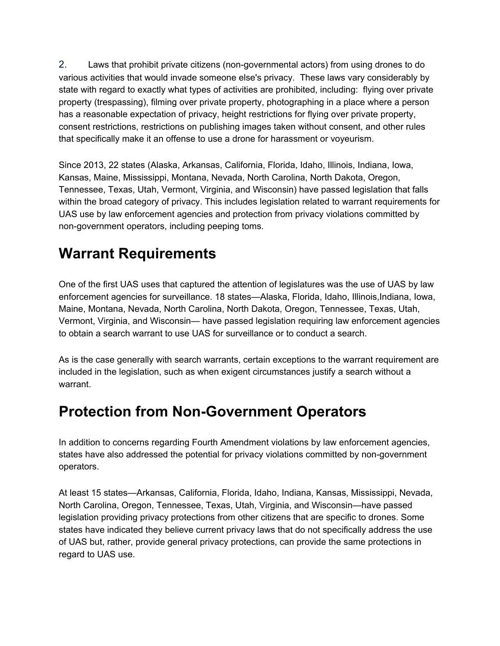2. Laws that prohibit private citizens (non-governmental actors) from using drones to do various activities that would invade someone else's privacy. These laws vary considerably by state with regard to exactly what types of activities are prohibited, including: flying over private property (trespassing), filming over private property, photographing in a place where a person has a reasonable expectation of privacy, height restrictions for flying over private property, consent restrictions, restrictions on publishing images taken without consent, and other rules that specifically make it an offense to use a drone for harassment or voyeurism.

Since 2013, 22 states (Alaska, Arkansas, California, Florida, Idaho, Illinois, Indiana, Iowa, Kansas, Maine, Mississippi, Montana, Nevada, North Carolina, North Dakota, Oregon, Tennessee, Texas, Utah, Vermont, Virginia, and Wisconsin) have passed legislation that falls within the broad category of privacy. This includes legislation related to warrant requirements for UAS use by law enforcement agencies and protection from privacy violations committed by non-government operators, including peeping toms.

# **Warrant Requirements**

One of the first UAS uses that captured the attention of legislatures was the use of UAS by law enforcement agencies for surveillance. 18 states—Alaska, Florida, Idaho, Illinois,Indiana, Iowa, Maine, Montana, Nevada, North Carolina, North Dakota, Oregon, Tennessee, Texas, Utah, Vermont, Virginia, and Wisconsin— have passed legislation requiring law enforcement agencies to obtain a search warrant to use UAS for surveillance or to conduct a search.

As is the case generally with search warrants, certain exceptions to the warrant requirement are included in the legislation, such as when exigent circumstances justify a search without a warrant.

# **Protection from Non-Government Operators**

In addition to concerns regarding Fourth Amendment violations by law enforcement agencies, states have also addressed the potential for privacy violations committed by non-government operators.

At least 15 states—Arkansas, California, Florida, Idaho, Indiana, Kansas, Mississippi, Nevada, North Carolina, Oregon, Tennessee, Texas, Utah, Virginia, and Wisconsin—have passed legislation providing privacy protections from other citizens that are specific to drones. Some states have indicated they believe current privacy laws that do not specifically address the use of UAS but, rather, provide general privacy protections, can provide the same protections in regard to UAS use.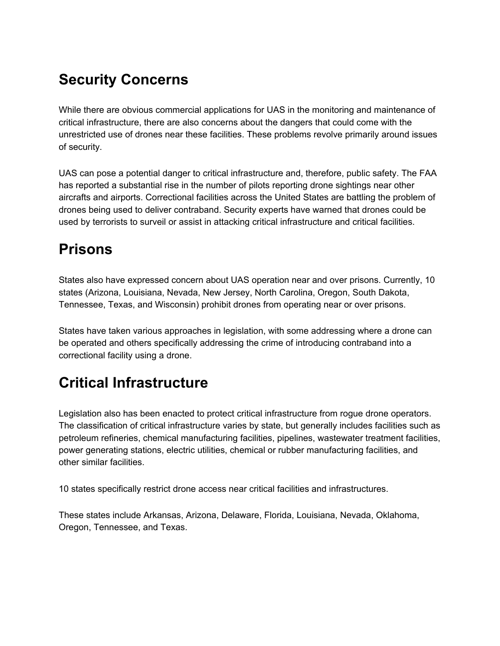# **Security Concerns**

While there are obvious commercial applications for UAS in the monitoring and maintenance of critical infrastructure, there are also concerns about the dangers that could come with the unrestricted use of drones near these facilities. These problems revolve primarily around issues of security.

UAS can pose a potential danger to critical infrastructure and, therefore, public safety. The FAA has reported a substantial rise in the number of pilots reporting drone sightings near other aircrafts and airports. Correctional facilities across the United States are battling the problem of drones being used to deliver contraband. Security experts have warned that drones could be used by terrorists to surveil or assist in attacking critical infrastructure and critical facilities.

# **Prisons**

States also have expressed concern about UAS operation near and over prisons. Currently, 10 states (Arizona, Louisiana, Nevada, New Jersey, North Carolina, Oregon, South Dakota, Tennessee, Texas, and Wisconsin) prohibit drones from operating near or over prisons.

States have taken various approaches in legislation, with some addressing where a drone can be operated and others specifically addressing the crime of introducing contraband into a correctional facility using a drone.

# **Critical Infrastructure**

Legislation also has been enacted to protect critical infrastructure from rogue drone operators. The classification of critical infrastructure varies by state, but generally includes facilities such as petroleum refineries, chemical manufacturing facilities, pipelines, wastewater treatment facilities, power generating stations, electric utilities, chemical or rubber manufacturing facilities, and other similar facilities.

10 states specifically restrict drone access near critical facilities and infrastructures.

These states include Arkansas, Arizona, Delaware, Florida, Louisiana, Nevada, Oklahoma, Oregon, Tennessee, and Texas.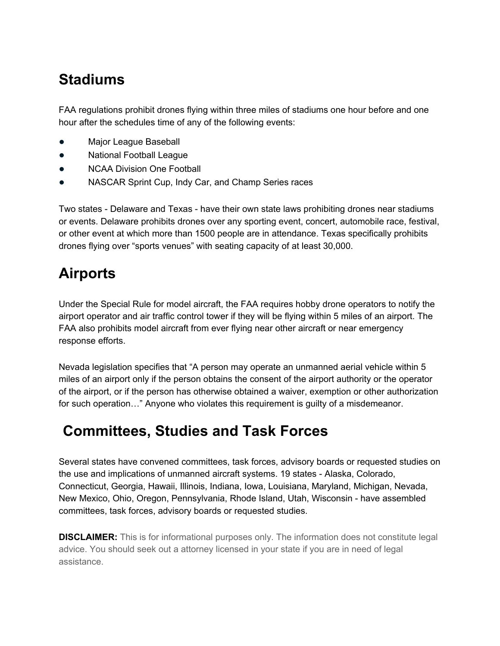# **Stadiums**

FAA regulations prohibit drones flying within three miles of stadiums one hour before and one hour after the schedules time of any of the following events:

- Major League Baseball
- **National Football League**
- NCAA Division One Football
- NASCAR Sprint Cup, Indy Car, and Champ Series races

Two states - Delaware and Texas - have their own state laws prohibiting drones near stadiums or events. Delaware prohibits drones over any sporting event, concert, automobile race, festival, or other event at which more than 1500 people are in attendance. Texas specifically prohibits drones flying over "sports venues" with seating capacity of at least 30,000.

# **Airports**

Under the Special Rule for model aircraft, the FAA requires hobby drone operators to notify the airport operator and air traffic control tower if they will be flying within 5 miles of an airport. The FAA also prohibits model aircraft from ever flying near other aircraft or near emergency response efforts.

Nevada legislation specifies that "A person may operate an unmanned aerial vehicle within 5 miles of an airport only if the person obtains the consent of the airport authority or the operator of the airport, or if the person has otherwise obtained a waiver, exemption or other authorization for such operation…" Anyone who violates this requirement is guilty of a misdemeanor.

# **Committees, Studies and Task Forces**

Several states have convened committees, task forces, advisory boards or requested studies on the use and implications of unmanned aircraft systems. 19 states - Alaska, Colorado, Connecticut, Georgia, Hawaii, Illinois, Indiana, Iowa, Louisiana, Maryland, Michigan, Nevada, New Mexico, Ohio, Oregon, Pennsylvania, Rhode Island, Utah, Wisconsin - have assembled committees, task forces, advisory boards or requested studies.

**DISCLAIMER:** This is for informational purposes only. The information does not constitute legal advice. You should seek out a attorney licensed in your state if you are in need of legal assistance.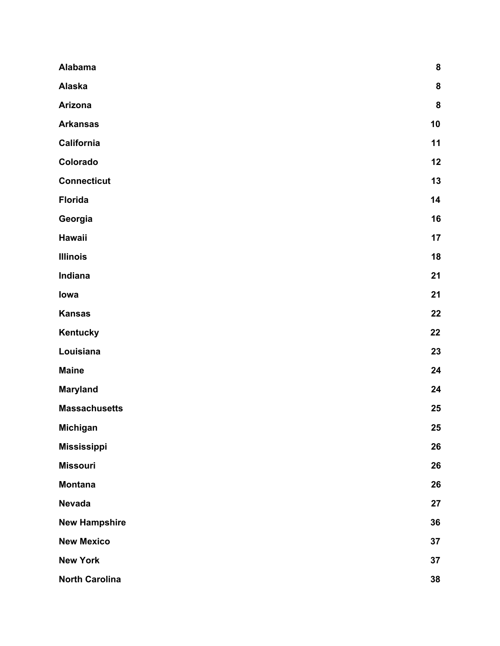| Alabama               | ${\bf 8}$ |
|-----------------------|-----------|
| Alaska                | ${\bf 8}$ |
| Arizona               | ${\bf 8}$ |
| <b>Arkansas</b>       | 10        |
| California            | 11        |
| Colorado              | 12        |
| <b>Connecticut</b>    | 13        |
| <b>Florida</b>        | 14        |
| Georgia               | 16        |
| Hawaii                | 17        |
| <b>Illinois</b>       | 18        |
| Indiana               | 21        |
| lowa                  | 21        |
| <b>Kansas</b>         | 22        |
| Kentucky              | 22        |
| Louisiana             | 23        |
| <b>Maine</b>          | 24        |
| <b>Maryland</b>       | 24        |
| <b>Massachusetts</b>  | 25        |
| <b>Michigan</b>       | 25        |
| <b>Mississippi</b>    | 26        |
| <b>Missouri</b>       | 26        |
| <b>Montana</b>        | 26        |
| <b>Nevada</b>         | 27        |
| <b>New Hampshire</b>  | 36        |
| <b>New Mexico</b>     | 37        |
| <b>New York</b>       | 37        |
| <b>North Carolina</b> | 38        |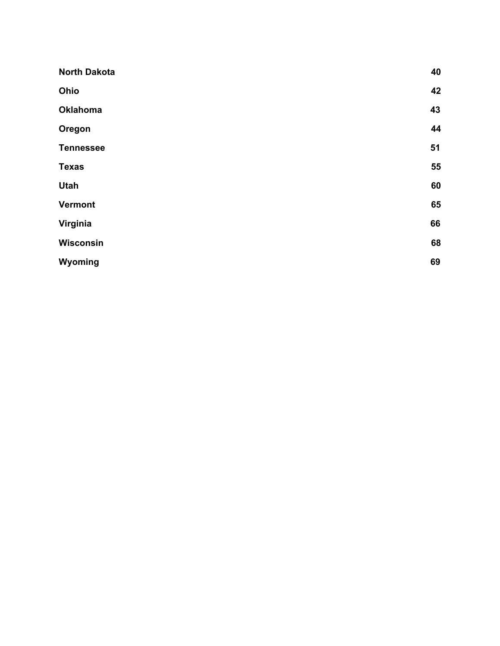| <b>North Dakota</b> | 40 |
|---------------------|----|
| Ohio                | 42 |
| <b>Oklahoma</b>     | 43 |
| Oregon              | 44 |
| <b>Tennessee</b>    | 51 |
| <b>Texas</b>        | 55 |
| <b>Utah</b>         | 60 |
| <b>Vermont</b>      | 65 |
| Virginia            | 66 |
| <b>Wisconsin</b>    | 68 |
| Wyoming             | 69 |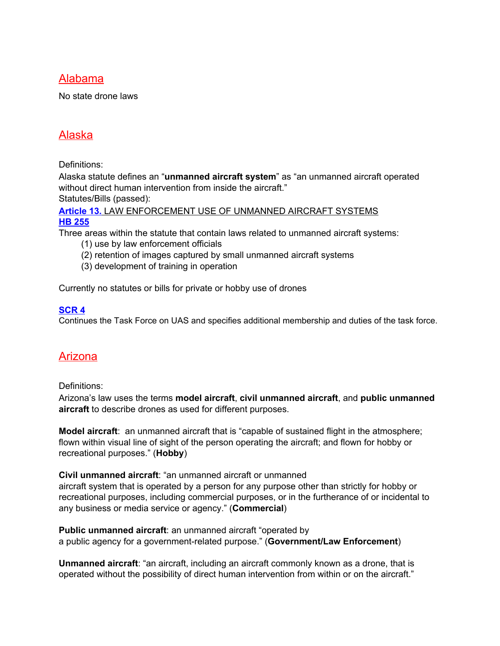#### <span id="page-7-0"></span>Alabama

No state drone laws

# <span id="page-7-1"></span>Alaska

Definitions:

Alaska statute defines an "**unmanned aircraft system**" as "an unmanned aircraft operated without direct human intervention from inside the aircraft."

Statutes/Bills (passed):

**[Article](http://www.legis.state.ak.us/basis/statutes.asp#18.65.909) 13.** LAW [ENFORCEMENT](http://www.legis.state.ak.us/basis/statutes.asp#18.65.909) USE OF UNMANNED AIRCRAFT SYSTEMS **HB [255](http://www.legis.state.ak.us/basis/get_bill.asp?session=28&bill=hb255&submit=Display+Bill)**

Three areas within the statute that contain laws related to unmanned aircraft systems:

- (1) use by law enforcement officials
- (2) retention of images captured by small unmanned aircraft systems
- (3) development of training in operation

Currently no statutes or bills for private or hobby use of drones

#### **[SCR](http://www.legis.state.ak.us/PDF/30/Bills/SCR004Z.PDF) 4**

Continues the Task Force on UAS and specifies additional membership and duties of the task force.

# <span id="page-7-2"></span>Arizona

Definitions:

Arizona's law uses the terms **model aircraft**, **civil unmanned aircraft**, and **public unmanned aircraft** to describe drones as used for different purposes.

**Model aircraft**: an unmanned aircraft that is "capable of sustained flight in the atmosphere; flown within visual line of sight of the person operating the aircraft; and flown for hobby or recreational purposes." (**Hobby**)

**Civil unmanned aircraft**: "an unmanned aircraft or unmanned aircraft system that is operated by a person for any purpose other than strictly for hobby or recreational purposes, including commercial purposes, or in the furtherance of or incidental to any business or media service or agency." (**Commercial**)

**Public unmanned aircraft**: an unmanned aircraft "operated by a public agency for a government-related purpose." (**Government/Law Enforcement**)

**Unmanned aircraft**: "an aircraft, including an aircraft commonly known as a drone, that is operated without the possibility of direct human intervention from within or on the aircraft."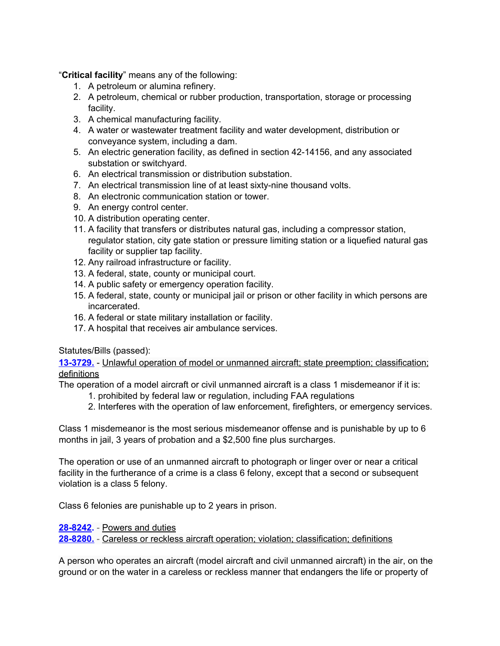"**Critical facility**" means any of the following:

- 1. A petroleum or alumina refinery.
- 2. A petroleum, chemical or rubber production, transportation, storage or processing facility.
- 3. A chemical manufacturing facility.
- 4. A water or wastewater treatment facility and water development, distribution or conveyance system, including a dam.
- 5. An electric generation facility, as defined in section 42-14156, and any associated substation or switchyard.
- 6. An electrical transmission or distribution substation.
- 7. An electrical transmission line of at least sixty-nine thousand volts.
- 8. An electronic communication station or tower.
- 9. An energy control center.
- 10. A distribution operating center.
- 11. A facility that transfers or distributes natural gas, including a compressor station, regulator station, city gate station or pressure limiting station or a liquefied natural gas facility or supplier tap facility.
- 12. Any railroad infrastructure or facility.
- 13. A federal, state, county or municipal court.
- 14. A public safety or emergency operation facility.
- 15. A federal, state, county or municipal jail or prison or other facility in which persons are incarcerated.
- 16. A federal or state military installation or facility.
- 17. A hospital that receives air ambulance services.

Statutes/Bills (passed):

**[13-3729.](http://www.azleg.gov/ars/13/03729.htm)** - Unlawful operation of model or unmanned aircraft; state preemption; classification; definitions

The operation of a model aircraft or civil unmanned aircraft is a class 1 misdemeanor if it is:

- 1. prohibited by federal law or regulation, including FAA regulations
- 2. Interferes with the operation of law enforcement, firefighters, or emergency services.

Class 1 misdemeanor is the most serious misdemeanor offense and is punishable by up to 6 months in jail, 3 years of probation and a \$2,500 fine plus surcharges.

The operation or use of an unmanned aircraft to photograph or linger over or near a critical facility in the furtherance of a crime is a class 6 felony, except that a second or subsequent violation is a class 5 felony.

Class 6 felonies are punishable up to 2 years in prison.

**[28-8242](https://www.azleg.gov/ars/28/08242.htm).** - Powers and duties

**[28-8280.](https://www.azleg.gov/ars/28/08280.htm)** - Careless or reckless aircraft operation; violation; classification; definitions

A person who operates an aircraft (model aircraft and civil unmanned aircraft) in the air, on the ground or on the water in a careless or reckless manner that endangers the life or property of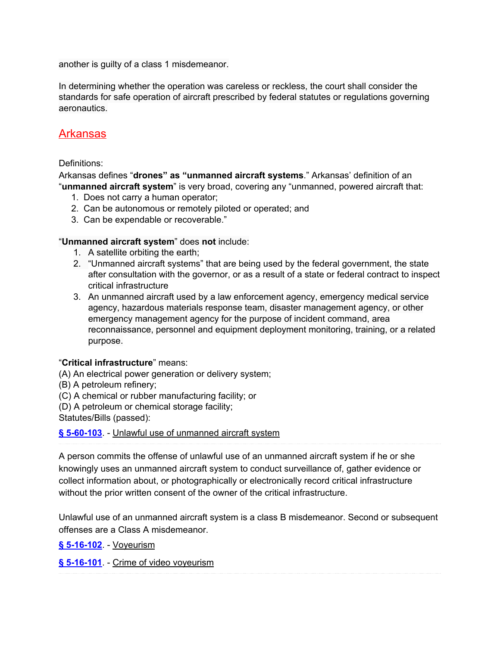another is guilty of a class 1 misdemeanor.

In determining whether the operation was careless or reckless, the court shall consider the standards for safe operation of aircraft prescribed by federal statutes or regulations governing aeronautics.

### <span id="page-9-0"></span>Arkansas

#### Definitions:

Arkansas defines "**drones" as "unmanned aircraft systems**." Arkansas' definition of an "**unmanned aircraft system**" is very broad, covering any "unmanned, powered aircraft that:

- 1. Does not carry a human operator;
- 2. Can be autonomous or remotely piloted or operated; and
- 3. Can be expendable or recoverable."

#### "**Unmanned aircraft system**" does **not** include:

- 1. A satellite orbiting the earth;
- 2. "Unmanned aircraft systems" that are being used by the federal government, the state after consultation with the governor, or as a result of a state or federal contract to inspect critical infrastructure
- 3. An unmanned aircraft used by a law enforcement agency, emergency medical service agency, hazardous materials response team, disaster management agency, or other emergency management agency for the purpose of incident command, area reconnaissance, personnel and equipment deployment monitoring, training, or a related purpose.

#### "**Critical infrastructure**" means:

- (A) An electrical power generation or delivery system;
- (B) A petroleum refinery;
- (C) A chemical or rubber manufacturing facility; or
- (D) A petroleum or chemical storage facility;

Statutes/Bills (passed):

#### **§ [5-60-103](http://codes.findlaw.com/ar/title-5-criminal-offenses/ar-code-sect-5-60-103.html)**. - Unlawful use of unmanned aircraft system

A person commits the offense of unlawful use of an unmanned aircraft system if he or she knowingly uses an unmanned aircraft system to conduct surveillance of, gather evidence or collect information about, or photographically or electronically record critical infrastructure without the prior written consent of the owner of the critical infrastructure.

Unlawful use of an unmanned aircraft system is a class B misdemeanor. Second or subsequent offenses are a Class A misdemeanor.

**§ [5-16-102](http://codes.findlaw.com/ar/title-5-criminal-offenses/ar-code-sect-5-16-102.html)**. - Voyeurism

**§ [5-16-101](http://codes.findlaw.com/ar/title-5-criminal-offenses/ar-code-sect-5-16-101.html)**. - Crime of video voyeurism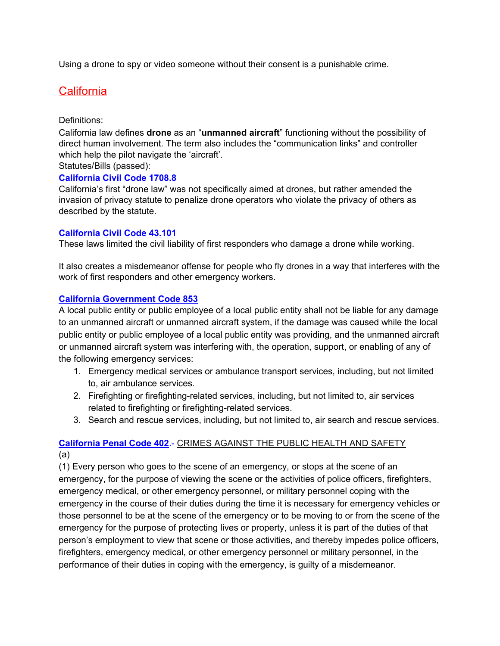<span id="page-10-0"></span>Using a drone to spy or video someone without their consent is a punishable crime.

# **California**

#### Definitions:

California law defines **drone** as an "**unmanned aircraft**" functioning without the possibility of direct human involvement. The term also includes the "communication links" and controller which help the pilot navigate the 'aircraft'.

Statutes/Bills (passed):

#### **[California](http://leginfo.legislature.ca.gov/faces/codes_displaySection.xhtml?sectionNum=1708.8.&lawCode=CIV) Civil Code 1708.8**

California's first "drone law" was not specifically aimed at drones, but rather amended the invasion of privacy statute to penalize drone operators who violate the privacy of others as described by the statute.

#### **[California](https://leginfo.legislature.ca.gov/faces/codes_displaySection.xhtml?sectionNum=43.101.&lawCode=CIV) Civil Code 43.101**

These laws limited the civil liability of first responders who damage a drone while working.

It also creates a misdemeanor offense for people who fly drones in a way that interferes with the work of first responders and other emergency workers.

#### **California [Government](https://leginfo.legislature.ca.gov/faces/codes_displaySection.xhtml?lawCode=GOV§ionNum=853.&highlight=true&keyword=unmanned+aircraft) Code 853**

A local public entity or public employee of a local public entity shall not be liable for any damage to an unmanned aircraft or unmanned aircraft system, if the damage was caused while the local public entity or public employee of a local public entity was providing, and the unmanned aircraft or unmanned aircraft system was interfering with, the operation, support, or enabling of any of the following emergency services:

- 1. Emergency medical services or ambulance transport services, including, but not limited to, air ambulance services.
- 2. Firefighting or firefighting-related services, including, but not limited to, air services related to firefighting or firefighting-related services.
- 3. Search and rescue services, including, but not limited to, air search and rescue services.

#### **[California](http://leginfo.legislature.ca.gov/faces/codes_displaySection.xhtml?lawCode=PEN§ionNum=402) Penal Code 402**.- CRIMES AGAINST THE PUBLIC HEALTH AND SAFETY (a)

(1) Every person who goes to the scene of an emergency, or stops at the scene of an emergency, for the purpose of viewing the scene or the activities of police officers, firefighters, emergency medical, or other emergency personnel, or military personnel coping with the emergency in the course of their duties during the time it is necessary for emergency vehicles or those personnel to be at the scene of the emergency or to be moving to or from the scene of the emergency for the purpose of protecting lives or property, unless it is part of the duties of that person's employment to view that scene or those activities, and thereby impedes police officers, firefighters, emergency medical, or other emergency personnel or military personnel, in the performance of their duties in coping with the emergency, is guilty of a misdemeanor.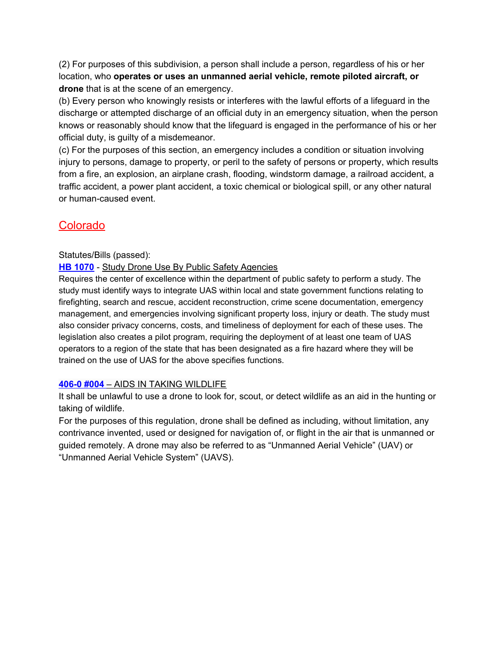(2) For purposes of this subdivision, a person shall include a person, regardless of his or her location, who **operates or uses an unmanned aerial vehicle, remote piloted aircraft, or drone** that is at the scene of an emergency.

(b) Every person who knowingly resists or interferes with the lawful efforts of a lifeguard in the discharge or attempted discharge of an official duty in an emergency situation, when the person knows or reasonably should know that the lifeguard is engaged in the performance of his or her official duty, is guilty of a misdemeanor.

(c) For the purposes of this section, an emergency includes a condition or situation involving injury to persons, damage to property, or peril to the safety of persons or property, which results from a fire, an explosion, an airplane crash, flooding, windstorm damage, a railroad accident, a traffic accident, a power plant accident, a toxic chemical or biological spill, or any other natural or human-caused event.

# <span id="page-11-0"></span>**Colorado**

#### Statutes/Bills (passed):

#### **HB [1070](http://leg.colorado.gov/bills/hb17-1070)** - Study Drone Use By Public Safety Agencies

Requires the center of excellence within the department of public safety to perform a study. The study must identify ways to integrate UAS within local and state government functions relating to firefighting, search and rescue, accident reconstruction, crime scene documentation, emergency management, and emergencies involving significant property loss, injury or death. The study must also consider privacy concerns, costs, and timeliness of deployment for each of these uses. The legislation also creates a pilot program, requiring the deployment of at least one team of UAS operators to a region of the state that has been designated as a fire hazard where they will be trained on the use of UAS for the above specifies functions.

#### **[406-0](https://www.sos.state.co.us/CCR/DisplayRule.do?action=ruleinfo&ruleId=2127&deptID=13&agencyID=134&deptName=Department%20of%20Natural%20Resources&agencyName=Colorado%20Parks%20and%20Wildlife%20(406%20Series,%20Wildlife)&seriesNum=2%20CCR%20406-0) #004** – AIDS IN TAKING [WILDLIFE](https://www.sos.state.co.us/CCR/DisplayRule.do?action=ruleinfo&ruleId=2127&deptID=13&agencyID=134&deptName=Department%20of%20Natural%20Resources&agencyName=Colorado%20Parks%20and%20Wildlife%20(406%20Series,%20Wildlife)&seriesNum=2%20CCR%20406-0)

It shall be unlawful to use a drone to look for, scout, or detect wildlife as an aid in the hunting or taking of wildlife.

For the purposes of this regulation, drone shall be defined as including, without limitation, any contrivance invented, used or designed for navigation of, or flight in the air that is unmanned or guided remotely. A drone may also be referred to as "Unmanned Aerial Vehicle" (UAV) or "Unmanned Aerial Vehicle System" (UAVS).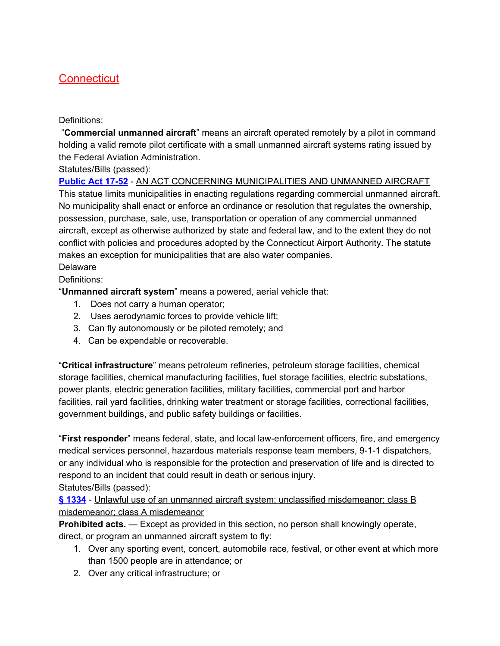# <span id="page-12-0"></span>**Connecticut**

#### Definitions:

"**Commercial unmanned aircraft**" means an aircraft operated remotely by a pilot in command holding a valid remote pilot certificate with a small unmanned aircraft systems rating issued by the Federal Aviation Administration.

Statutes/Bills (passed):

**[Public](https://www.cga.ct.gov/2017/ACT/pa/2017PA-00052-R00SB-00975-PA.htm) Act 17-52** - AN ACT CONCERNING MUNICIPALITIES AND UNMANNED AIRCRAFT This statue limits municipalities in enacting regulations regarding commercial unmanned aircraft. No municipality shall enact or enforce an ordinance or resolution that regulates the ownership, possession, purchase, sale, use, transportation or operation of any commercial unmanned aircraft, except as otherwise authorized by state and federal law, and to the extent they do not conflict with policies and procedures adopted by the Connecticut Airport Authority. The statute makes an exception for municipalities that are also water companies. Delaware

Definitions:

"**Unmanned aircraft system**" means a powered, aerial vehicle that:

- 1. Does not carry a human operator;
- 2. Uses aerodynamic forces to provide vehicle lift;
- 3. Can fly autonomously or be piloted remotely; and
- 4. Can be expendable or recoverable.

"**Critical infrastructure**" means petroleum refineries, petroleum storage facilities, chemical storage facilities, chemical manufacturing facilities, fuel storage facilities, electric substations, power plants, electric generation facilities, military facilities, commercial port and harbor facilities, rail yard facilities, drinking water treatment or storage facilities, correctional facilities, government buildings, and public safety buildings or facilities.

"**First responder**" means federal, state, and local law-enforcement officers, fire, and emergency medical services personnel, hazardous materials response team members, 9-1-1 dispatchers, or any individual who is responsible for the protection and preservation of life and is directed to respond to an incident that could result in death or serious injury. Statutes/Bills (passed):

**§ [1334](http://delcode.delaware.gov/title11/c005/sc07/index.shtml)** - Unlawful use of an unmanned aircraft system; unclassified misdemeanor; class B misdemeanor; class A misdemeanor

**Prohibited acts.** — Except as provided in this section, no person shall knowingly operate, direct, or program an unmanned aircraft system to fly:

- 1. Over any sporting event, concert, automobile race, festival, or other event at which more than 1500 people are in attendance; or
- 2. Over any critical infrastructure; or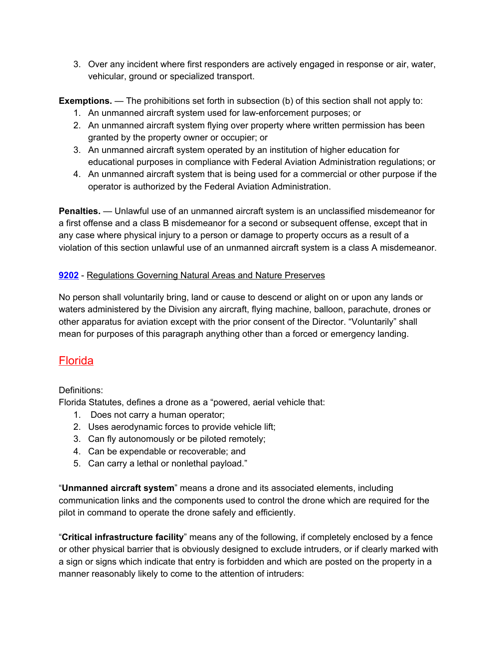3. Over any incident where first responders are actively engaged in response or air, water, vehicular, ground or specialized transport.

**Exemptions.** — The prohibitions set forth in subsection (b) of this section shall not apply to:

- 1. An unmanned aircraft system used for law-enforcement purposes; or
- 2. An unmanned aircraft system flying over property where written permission has been granted by the property owner or occupier; or
- 3. An unmanned aircraft system operated by an institution of higher education for educational purposes in compliance with Federal Aviation Administration regulations; or
- 4. An unmanned aircraft system that is being used for a commercial or other purpose if the operator is authorized by the Federal Aviation Administration.

**Penalties.** — Unlawful use of an unmanned aircraft system is an unclassified misdemeanor for a first offense and a class B misdemeanor for a second or subsequent offense, except that in any case where physical injury to a person or damage to property occurs as a result of a violation of this section unlawful use of an unmanned aircraft system is a class A misdemeanor.

#### **[9202](http://regulations.delaware.gov/AdminCode/title7/9000/9200%20Operation%20and%20Maintenance%20Section/9201.htm)** [-](http://regulations.delaware.gov/AdminCode/title7/9000/9200%20Operation%20and%20Maintenance%20Section/9201.htm) Regulations Governing Natural Areas and Nature Preserves

No person shall voluntarily bring, land or cause to descend or alight on or upon any lands or waters administered by the Division any aircraft, flying machine, balloon, parachute, drones or other apparatus for aviation except with the prior consent of the Director. "Voluntarily" shall mean for purposes of this paragraph anything other than a forced or emergency landing.

# <span id="page-13-0"></span>Florida

#### Definitions:

Florida Statutes, defines a drone as a "powered, aerial vehicle that:

- 1. Does not carry a human operator;
- 2. Uses aerodynamic forces to provide vehicle lift;
- 3. Can fly autonomously or be piloted remotely;
- 4. Can be expendable or recoverable; and
- 5. Can carry a lethal or nonlethal payload."

"**Unmanned aircraft system**" means a drone and its associated elements, including communication links and the components used to control the drone which are required for the pilot in command to operate the drone safely and efficiently.

"**Critical infrastructure facility**" means any of the following, if completely enclosed by a fence or other physical barrier that is obviously designed to exclude intruders, or if clearly marked with a sign or signs which indicate that entry is forbidden and which are posted on the property in a manner reasonably likely to come to the attention of intruders: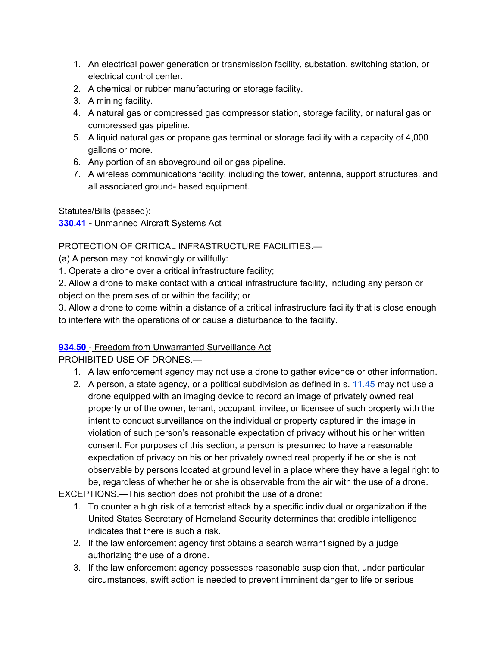- 1. An electrical power generation or transmission facility, substation, switching station, or electrical control center.
- 2. A chemical or rubber manufacturing or storage facility.
- 3. A mining facility.
- 4. A natural gas or compressed gas compressor station, storage facility, or natural gas or compressed gas pipeline.
- 5. A liquid natural gas or propane gas terminal or storage facility with a capacity of 4,000 gallons or more.
- 6. Any portion of an aboveground oil or gas pipeline.
- 7. A wireless communications facility, including the tower, antenna, support structures, and all associated ground- based equipment.

Statutes/Bills (passed):

#### **[330.41](http://www.leg.state.fl.us/statutes/index.cfm?mode=View%20Statutes&SubMenu=1&App_mode=Display_Statute&Search_String=drones&URL=0300-0399/0330/Sections/0330.41.html) -** [Unmanned](http://www.leg.state.fl.us/statutes/index.cfm?mode=View%20Statutes&SubMenu=1&App_mode=Display_Statute&Search_String=drones&URL=0300-0399/0330/Sections/0330.41.html) Aircraft Systems Act

#### PROTECTION OF CRITICAL INFRASTRUCTURE FACILITIES.—

(a) A person may not knowingly or willfully:

1. Operate a drone over a critical infrastructure facility;

2. Allow a drone to make contact with a critical infrastructure facility, including any person or object on the premises of or within the facility; or

3. Allow a drone to come within a distance of a critical infrastructure facility that is close enough to interfere with the operations of or cause a disturbance to the facility.

#### **[934.50](http://www.leg.state.fl.us/statutes/index.cfm?App_mode=Display_Statute&URL=0900-0999/0934/Sections/0934.50.html)** - Freedom from Unwarranted Surveillance Act

PROHIBITED USE OF DRONES.—

- 1. A law enforcement agency may not use a drone to gather evidence or other information.
- 2. A person, a state agency, or a political subdivision as defined in s. [11.45](http://www.leg.state.fl.us/statutes/index.cfm?App_mode=Display_Statute&Search_String=&URL=0000-0099/0011/Sections/0011.45.html) may not use a drone equipped with an imaging device to record an image of privately owned real property or of the owner, tenant, occupant, invitee, or licensee of such property with the intent to conduct surveillance on the individual or property captured in the image in violation of such person's reasonable expectation of privacy without his or her written consent. For purposes of this section, a person is presumed to have a reasonable expectation of privacy on his or her privately owned real property if he or she is not observable by persons located at ground level in a place where they have a legal right to be, regardless of whether he or she is observable from the air with the use of a drone.

EXCEPTIONS.—This section does not prohibit the use of a drone:

- 1. To counter a high risk of a terrorist attack by a specific individual or organization if the United States Secretary of Homeland Security determines that credible intelligence indicates that there is such a risk.
- 2. If the law enforcement agency first obtains a search warrant signed by a judge authorizing the use of a drone.
- 3. If the law enforcement agency possesses reasonable suspicion that, under particular circumstances, swift action is needed to prevent imminent danger to life or serious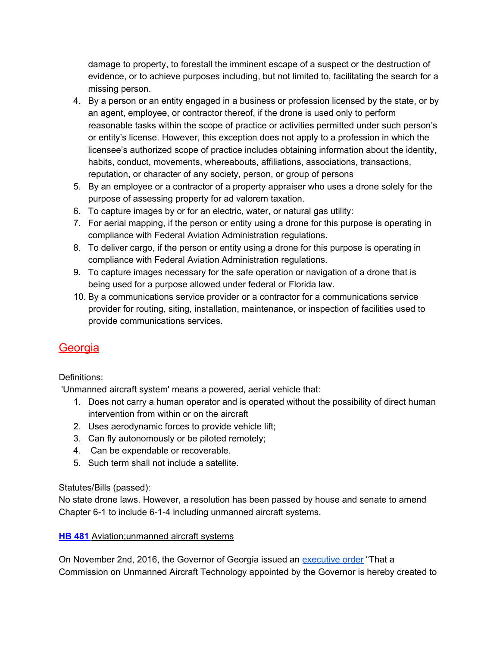damage to property, to forestall the imminent escape of a suspect or the destruction of evidence, or to achieve purposes including, but not limited to, facilitating the search for a missing person.

- 4. By a person or an entity engaged in a business or profession licensed by the state, or by an agent, employee, or contractor thereof, if the drone is used only to perform reasonable tasks within the scope of practice or activities permitted under such person's or entity's license. However, this exception does not apply to a profession in which the licensee's authorized scope of practice includes obtaining information about the identity, habits, conduct, movements, whereabouts, affiliations, associations, transactions, reputation, or character of any society, person, or group of persons
- 5. By an employee or a contractor of a property appraiser who uses a drone solely for the purpose of assessing property for ad valorem taxation.
- 6. To capture images by or for an electric, water, or natural gas utility:
- 7. For aerial mapping, if the person or entity using a drone for this purpose is operating in compliance with Federal Aviation Administration regulations.
- 8. To deliver cargo, if the person or entity using a drone for this purpose is operating in compliance with Federal Aviation Administration regulations.
- 9. To capture images necessary for the safe operation or navigation of a drone that is being used for a purpose allowed under federal or Florida law.
- 10. By a communications service provider or a contractor for a communications service provider for routing, siting, installation, maintenance, or inspection of facilities used to provide communications services.

# <span id="page-15-0"></span>**Georgia**

#### Definitions:

'Unmanned aircraft system' means a powered, aerial vehicle that:

- 1. Does not carry a human operator and is operated without the possibility of direct human intervention from within or on the aircraft
- 2. Uses aerodynamic forces to provide vehicle lift;
- 3. Can fly autonomously or be piloted remotely;
- 4. Can be expendable or recoverable.
- 5. Such term shall not include a satellite.

#### Statutes/Bills (passed):

No state drone laws. However, a resolution has been passed by house and senate to amend Chapter 6-1 to include 6-1-4 including unmanned aircraft systems.

#### **HB [481](http://www.legis.ga.gov/Legislation/en-US/display/20172018/HB/481)** [Aviation;unmanned](http://www.legis.ga.gov/Legislation/en-US/display/20172018/HB/481) aircraft systems

On November 2nd, 2016, the Governor of Georgia issued an [executive](https://gov.georgia.gov/sites/gov.georgia.gov/files/related_files/document/11.02.16.01.pdf) order "That a Commission on Unmanned Aircraft Technology appointed by the Governor is hereby created to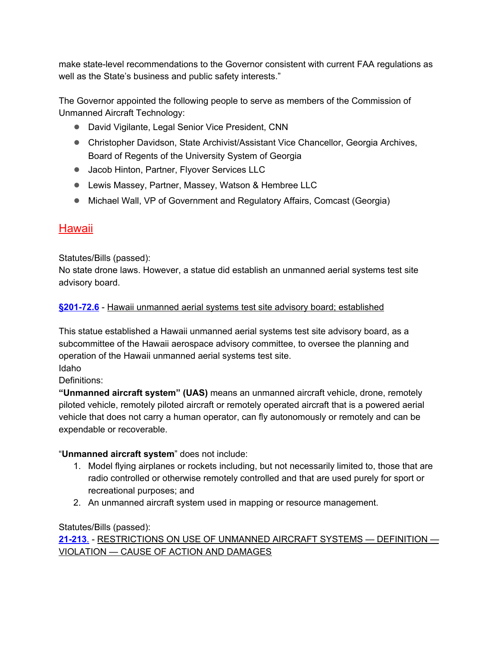make state-level recommendations to the Governor consistent with current FAA regulations as well as the State's business and public safety interests."

The Governor appointed the following people to serve as members of the Commission of Unmanned Aircraft Technology:

- David Vigilante, Legal Senior Vice President, CNN
- Christopher Davidson, State Archivist/Assistant Vice Chancellor, Georgia Archives, Board of Regents of the University System of Georgia
- Jacob Hinton, Partner, Flyover Services LLC
- Lewis Massey, Partner, Massey, Watson & Hembree LLC
- Michael Wall, VP of Government and Regulatory Affairs, Comcast (Georgia)

# <span id="page-16-0"></span>**Hawaii**

Statutes/Bills (passed):

No state drone laws. However, a statue did establish an unmanned aerial systems test site advisory board.

#### **[§201-72.6](https://www.capitol.hawaii.gov/hrscurrent/Vol04_Ch0201-0257/HRS0201/HRS_0201-0072_0006.htm)** - Hawaii unmanned aerial systems test site advisory board; established

This statue established a Hawaii unmanned aerial systems test site advisory board, as a subcommittee of the Hawaii aerospace advisory committee, to oversee the planning and operation of the Hawaii unmanned aerial systems test site.

Idaho

Definitions:

**"Unmanned aircraft system" (UAS)** means an unmanned aircraft vehicle, drone, remotely piloted vehicle, remotely piloted aircraft or remotely operated aircraft that is a powered aerial vehicle that does not carry a human operator, can fly autonomously or remotely and can be expendable or recoverable.

#### "**Unmanned aircraft system**" does not include:

- 1. Model flying airplanes or rockets including, but not necessarily limited to, those that are radio controlled or otherwise remotely controlled and that are used purely for sport or recreational purposes; and
- 2. An unmanned aircraft system used in mapping or resource management.

#### Statutes/Bills (passed):

**[21-213](https://legislature.idaho.gov/statutesrules/idstat/title21/t21ch2/sect21-213/)**[.](https://legislature.idaho.gov/statutesrules/idstat/title21/t21ch2/sect21-213/) - RESTRICTIONS ON USE OF UNMANNED AIRCRAFT SYSTEMS — DEFINITION — VIOLATION — CAUSE OF ACTION AND DAMAGES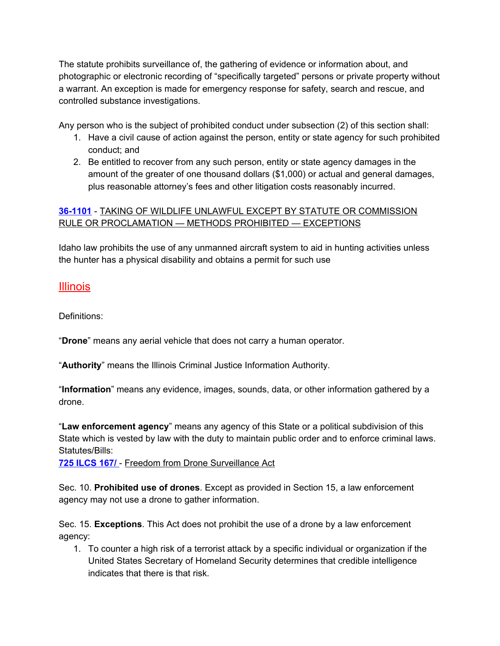The statute prohibits surveillance of, the gathering of evidence or information about, and photographic or electronic recording of "specifically targeted" persons or private property without a warrant. An exception is made for emergency response for safety, search and rescue, and controlled substance investigations.

Any person who is the subject of prohibited conduct under subsection (2) of this section shall:

- 1. Have a civil cause of action against the person, entity or state agency for such prohibited conduct; and
- 2. Be entitled to recover from any such person, entity or state agency damages in the amount of the greater of one thousand dollars (\$1,000) or actual and general damages, plus reasonable attorney's fees and other litigation costs reasonably incurred.

#### **[36-1101](https://legislature.idaho.gov/statutesrules/idstat/Title36/T36CH11/SECT36-1101/)** - TAKING OF WILDLIFE UNLAWFUL EXCEPT BY STATUTE OR COMMISSION RULE OR PROCLAMATION — METHODS PROHIBITED — EXCEPTIONS

Idaho law prohibits the use of any unmanned aircraft system to aid in hunting activities unless the hunter has a physical disability and obtains a permit for such use

#### <span id="page-17-0"></span>Illinois

Definitions:

"**Drone**" means any aerial vehicle that does not carry a human operator.

"**Authority**" means the Illinois Criminal Justice Information Authority.

"**Information**" means any evidence, images, sounds, data, or other information gathered by a drone.

"**Law enforcement agency**" means any agency of this State or a political subdivision of this State which is vested by law with the duty to maintain public order and to enforce criminal laws. Statutes/Bills:

**725 [ILCS](http://www.ilga.gov/legislation/ilcs/ilcs3.asp?ActID=3520&ChapterID=54) 167/** - Freedom from Drone Surveillance Act

Sec. 10. **Prohibited use of drones**. Except as provided in Section 15, a law enforcement agency may not use a drone to gather information.

Sec. 15. **Exceptions**. This Act does not prohibit the use of a drone by a law enforcement agency:

1. To counter a high risk of a terrorist attack by a specific individual or organization if the United States Secretary of Homeland Security determines that credible intelligence indicates that there is that risk.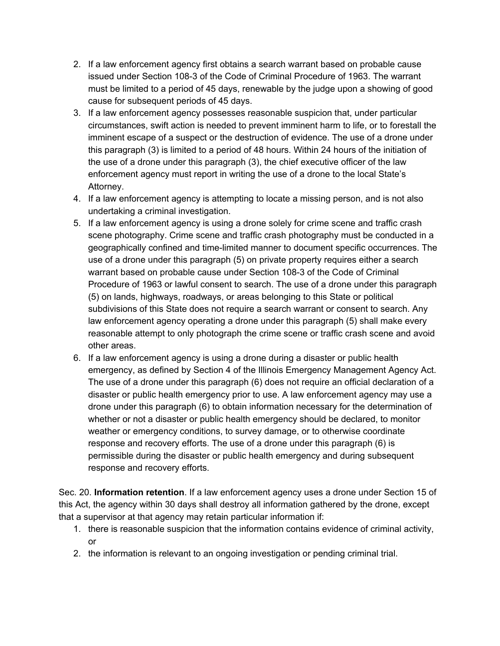- 2. If a law enforcement agency first obtains a search warrant based on probable cause issued under Section 108-3 of the Code of Criminal Procedure of 1963. The warrant must be limited to a period of 45 days, renewable by the judge upon a showing of good cause for subsequent periods of 45 days.
- 3. If a law enforcement agency possesses reasonable suspicion that, under particular circumstances, swift action is needed to prevent imminent harm to life, or to forestall the imminent escape of a suspect or the destruction of evidence. The use of a drone under this paragraph (3) is limited to a period of 48 hours. Within 24 hours of the initiation of the use of a drone under this paragraph (3), the chief executive officer of the law enforcement agency must report in writing the use of a drone to the local State's Attorney.
- 4. If a law enforcement agency is attempting to locate a missing person, and is not also undertaking a criminal investigation.
- 5. If a law enforcement agency is using a drone solely for crime scene and traffic crash scene photography. Crime scene and traffic crash photography must be conducted in a geographically confined and time-limited manner to document specific occurrences. The use of a drone under this paragraph (5) on private property requires either a search warrant based on probable cause under Section 108-3 of the Code of Criminal Procedure of 1963 or lawful consent to search. The use of a drone under this paragraph (5) on lands, highways, roadways, or areas belonging to this State or political subdivisions of this State does not require a search warrant or consent to search. Any law enforcement agency operating a drone under this paragraph (5) shall make every reasonable attempt to only photograph the crime scene or traffic crash scene and avoid other areas.
- 6. If a law enforcement agency is using a drone during a disaster or public health emergency, as defined by Section 4 of the Illinois Emergency Management Agency Act. The use of a drone under this paragraph (6) does not require an official declaration of a disaster or public health emergency prior to use. A law enforcement agency may use a drone under this paragraph (6) to obtain information necessary for the determination of whether or not a disaster or public health emergency should be declared, to monitor weather or emergency conditions, to survey damage, or to otherwise coordinate response and recovery efforts. The use of a drone under this paragraph (6) is permissible during the disaster or public health emergency and during subsequent response and recovery efforts.

Sec. 20. **Information retention**. If a law enforcement agency uses a drone under Section 15 of this Act, the agency within 30 days shall destroy all information gathered by the drone, except that a supervisor at that agency may retain particular information if:

- 1. there is reasonable suspicion that the information contains evidence of criminal activity, or
- 2. the information is relevant to an ongoing investigation or pending criminal trial.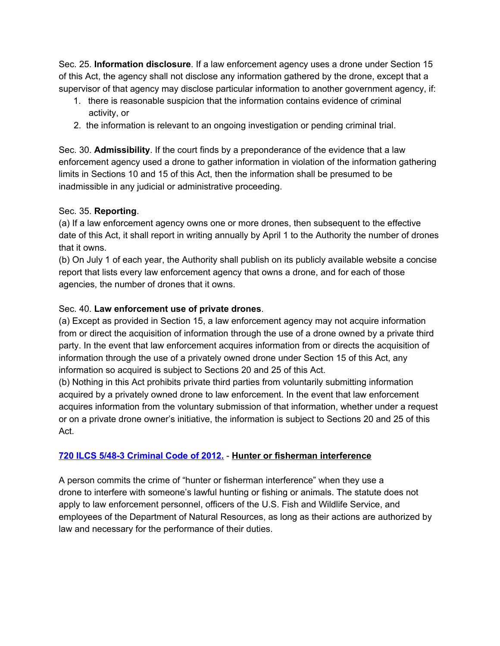Sec. 25. **Information disclosure**. If a law enforcement agency uses a drone under Section 15 of this Act, the agency shall not disclose any information gathered by the drone, except that a supervisor of that agency may disclose particular information to another government agency, if:

- 1. there is reasonable suspicion that the information contains evidence of criminal activity, or
- 2. the information is relevant to an ongoing investigation or pending criminal trial.

Sec. 30. **Admissibility**. If the court finds by a preponderance of the evidence that a law enforcement agency used a drone to gather information in violation of the information gathering limits in Sections 10 and 15 of this Act, then the information shall be presumed to be inadmissible in any judicial or administrative proceeding.

#### Sec. 35. **Reporting**.

(a) If a law enforcement agency owns one or more drones, then subsequent to the effective date of this Act, it shall report in writing annually by April 1 to the Authority the number of drones that it owns.

(b) On July 1 of each year, the Authority shall publish on its publicly available website a concise report that lists every law enforcement agency that owns a drone, and for each of those agencies, the number of drones that it owns.

#### Sec. 40. **Law enforcement use of private drones**.

(a) Except as provided in Section 15, a law enforcement agency may not acquire information from or direct the acquisition of information through the use of a drone owned by a private third party. In the event that law enforcement acquires information from or directs the acquisition of information through the use of a privately owned drone under Section 15 of this Act, any information so acquired is subject to Sections 20 and 25 of this Act.

(b) Nothing in this Act prohibits private third parties from voluntarily submitting information acquired by a privately owned drone to law enforcement. In the event that law enforcement acquires information from the voluntary submission of that information, whether under a request or on a private drone owner's initiative, the information is subject to Sections 20 and 25 of this Act.

#### **720 ILCS 5/48-3 [Criminal](http://www.ilga.gov/legislation/ilcs/ilcs4.asp?DocName=072000050HArt.+48&ActID=1876&ChapterID=53.&SeqStart=97500000&SeqEnd=98600000) Code of 2012.** - **Hunter or fisherman interference**

A person commits the crime of "hunter or fisherman interference" when they use a drone to interfere with someone's lawful hunting or fishing or animals. The statute does not apply to law enforcement personnel, officers of the U.S. Fish and Wildlife Service, and employees of the Department of Natural Resources, as long as their actions are authorized by law and necessary for the performance of their duties.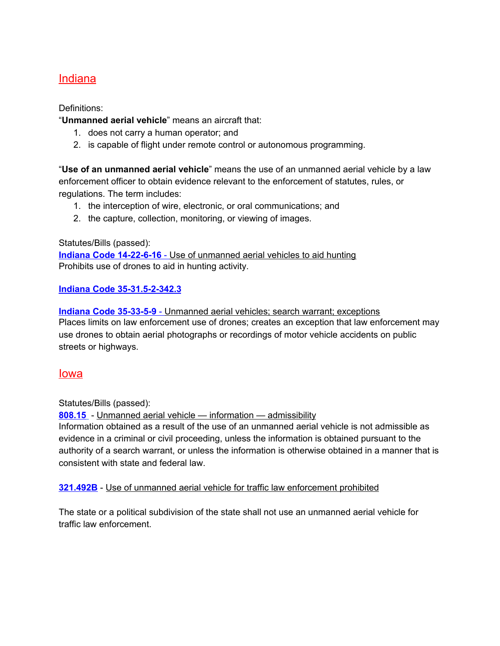## <span id="page-20-0"></span>Indiana

Definitions:

"**Unmanned aerial vehicle**" means an aircraft that:

- 1. does not carry a human operator; and
- 2. is capable of flight under remote control or autonomous programming.

"**Use of an unmanned aerial vehicle**" means the use of an unmanned aerial vehicle by a law enforcement officer to obtain evidence relevant to the enforcement of statutes, rules, or regulations. The term includes:

- 1. the interception of wire, electronic, or oral communications; and
- 2. the capture, collection, monitoring, or viewing of images.

Statutes/Bills (passed):

**Indiana Code [14-22-6-16](http://iga.in.gov/legislative/laws/2016/ic/titles/014/articles/022/)** [-](http://iga.in.gov/legislative/laws/2016/ic/titles/014/articles/022/) Use of [unmanned](http://iga.in.gov/legislative/laws/2016/ic/titles/014/articles/022/) aerial vehicles to aid hunting Prohibits use of drones to aid in hunting activity.

#### **Indiana Code [35-31.5-2-342.3](http://iga.in.gov/legislative/laws/2016/ic/titles/035/)**

**Indiana Code [35-33-5-9](http://iga.in.gov/legislative/laws/2016/ic/titles/035/articles/033/)** [-](http://iga.in.gov/legislative/laws/2016/ic/titles/035/articles/033/) [Unmanned](http://iga.in.gov/legislative/laws/2016/ic/titles/035/articles/033/) aerial vehicles; search warrant; exceptions Places limits on law enforcement use of drones; creates an exception that law enforcement may use drones to obtain aerial photographs or recordings of motor vehicle accidents on public streets or highways.

#### <span id="page-20-1"></span>Iowa

Statutes/Bills (passed):

**[808.15](https://www.legis.iowa.gov/docs/code/2016/808.15.pdf)** - Unmanned aerial vehicle — information — admissibility

Information obtained as a result of the use of an unmanned aerial vehicle is not admissible as evidence in a criminal or civil proceeding, unless the information is obtained pursuant to the authority of a search warrant, or unless the information is otherwise obtained in a manner that is consistent with state and federal law.

#### **[321.492B](https://www.legis.iowa.gov/docs/code/2016/321.492B.pdf)** - Use of unmanned aerial vehicle for traffic law enforcement prohibited

The state or a political subdivision of the state shall not use an unmanned aerial vehicle for traffic law enforcement.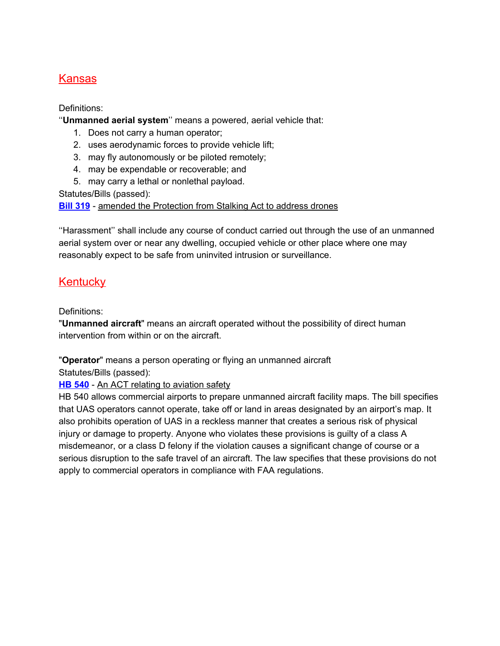# <span id="page-21-0"></span>Kansas

Definitions:

''**Unmanned aerial system**'' means a powered, aerial vehicle that:

- 1. Does not carry a human operator;
- 2. uses aerodynamic forces to provide vehicle lift;
- 3. may fly autonomously or be piloted remotely;
- 4. may be expendable or recoverable; and
- 5. may carry a lethal or nonlethal payload.

Statutes/Bills (passed):

**Bill [319](http://kslegislature.org/li_2016/b2015_16/measures/documents/sb319_enrolled.pdf)** - amended the Protection from Stalking Act to address drones

''Harassment'' shall include any course of conduct carried out through the use of an unmanned aerial system over or near any dwelling, occupied vehicle or other place where one may reasonably expect to be safe from uninvited intrusion or surveillance.

# <span id="page-21-1"></span>**Kentucky**

Definitions:

"**Unmanned aircraft**" means an aircraft operated without the possibility of direct human intervention from within or on the aircraft.

"**Operator**" means a person operating or flying an unmanned aircraft Statutes/Bills (passed):

**HB [540](http://www.lrc.ky.gov/record/17RS/HB540.htm)** - An ACT relating to aviation safety

HB 540 allows commercial airports to prepare unmanned aircraft facility maps. The bill specifies that UAS operators cannot operate, take off or land in areas designated by an airport's map. It also prohibits operation of UAS in a reckless manner that creates a serious risk of physical injury or damage to property. Anyone who violates these provisions is guilty of a class A misdemeanor, or a class D felony if the violation causes a significant change of course or a serious disruption to the safe travel of an aircraft. The law specifies that these provisions do not apply to commercial operators in compliance with FAA regulations.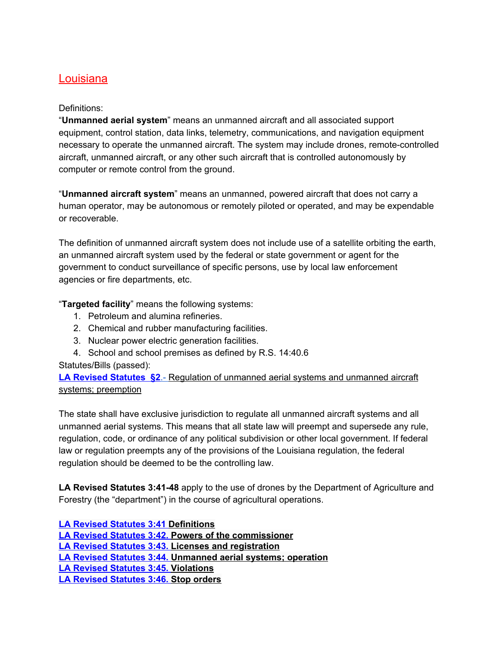#### <span id="page-22-0"></span>Louisiana

#### Definitions:

"**Unmanned aerial system**" means an unmanned aircraft and all associated support equipment, control station, data links, telemetry, communications, and navigation equipment necessary to operate the unmanned aircraft. The system may include drones, remote-controlled aircraft, unmanned aircraft, or any other such aircraft that is controlled autonomously by computer or remote control from the ground.

"**Unmanned aircraft system**" means an unmanned, powered aircraft that does not carry a human operator, may be autonomous or remotely piloted or operated, and may be expendable or recoverable.

The definition of unmanned aircraft system does not include use of a satellite orbiting the earth, an unmanned aircraft system used by the federal or state government or agent for the government to conduct surveillance of specific persons, use by local law enforcement agencies or fire departments, etc.

"**Targeted facility**" means the following systems:

- 1. Petroleum and alumina refineries.
- 2. Chemical and rubber manufacturing facilities.
- 3. Nuclear power electric generation facilities.
- 4. School and school premises as defined by R.S. 14:40.6

Statutes/Bills (passed):

**LA Revised [Statutes](https://legis.la.gov/Legis/Law.aspx?d=81828) §2**[.-](https://legis.la.gov/Legis/Law.aspx?d=81828) [Regulation](https://legis.la.gov/Legis/Law.aspx?d=81828) of unmanned aerial systems and unmanned aircraft systems; [preemption](https://legis.la.gov/Legis/Law.aspx?d=81828)

The state shall have exclusive jurisdiction to regulate all unmanned aircraft systems and all unmanned aerial systems. This means that all state law will preempt and supersede any rule, regulation, code, or ordinance of any political subdivision or other local government. If federal law or regulation preempts any of the provisions of the Louisiana regulation, the federal regulation should be deemed to be the controlling law.

**LA Revised Statutes 3:41-48** apply to the use of drones by the Department of Agriculture and Forestry (the "department") in the course of agricultural operations.

**LA Revised [Statutes](http://www.legis.la.gov/Legis/Law.aspx?d=962853) 3:41 [Definitions](http://www.legis.la.gov/Legis/Law.aspx?d=962853) LA Revised [Statutes](http://www.legis.la.gov/Legis/Law.aspx?d=962860) 3:42. Powers of the [commissioner](http://www.legis.la.gov/Legis/Law.aspx?d=962860) LA Revised [Statutes](http://www.legis.la.gov/Legis/Law.aspx?d=962863) 3:43. Licenses and [registration](http://www.legis.la.gov/Legis/Law.aspx?d=962863) LA Revised [Statutes](http://www.legis.la.gov/Legis/Law.aspx?d=962867) 3:44. [Unmanned](http://www.legis.la.gov/Legis/Law.aspx?d=962867) aerial systems; operation LA Revised [Statutes](http://www.legis.la.gov/Legis/Law.aspx?d=962869) 3:45. [Violations](http://www.legis.la.gov/Legis/Law.aspx?d=962869) LA Revised [Statutes](http://www.legis.la.gov/Legis/Law.aspx?d=962871) 3:46. Stop [orders](http://www.legis.la.gov/Legis/Law.aspx?d=962871)**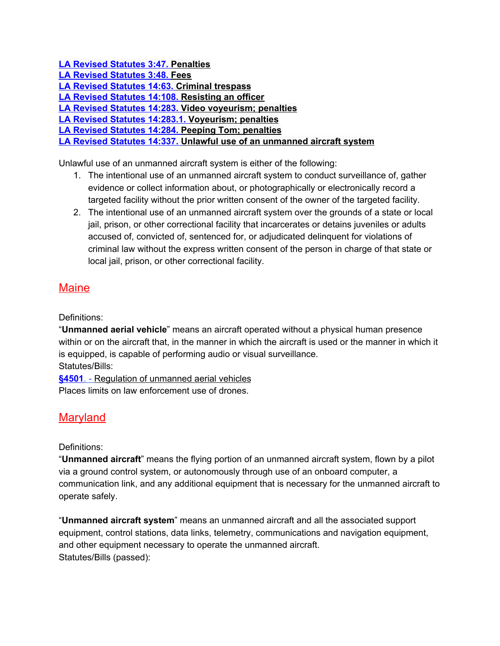**LA Revised [Statutes](http://www.legis.la.gov/Legis/Law.aspx?d=962873) 3:47. [Penalties](http://www.legis.la.gov/Legis/Law.aspx?d=962873) LA Revised [Statutes](http://www.legis.la.gov/Legis/Law.aspx?d=1016315) 3:48. [Fees](http://www.legis.la.gov/Legis/Law.aspx?d=1016315) LA Revised [Statutes](http://www.legis.la.gov/Legis/Law.aspx?d=78584) 14:63. Criminal [trespass](http://www.legis.la.gov/Legis/Law.aspx?d=78584) LA Revised [Statutes](http://www.legis.la.gov/Legis/Law.aspx?d=78264) 14:108. [Resisting](http://www.legis.la.gov/Legis/Law.aspx?d=78264) an officer LA Revised [Statutes](http://www.legis.la.gov/Legis/Law.aspx?d=78391) 14:283. Video [voyeurism;](http://www.legis.la.gov/Legis/Law.aspx?d=78391) penalties LA Revised Statutes [14:283.1.](http://www.legis.la.gov/Legis/Law.aspx?d=285172) [Voyeurism;](http://www.legis.la.gov/Legis/Law.aspx?d=285172) penalties LA Revised [Statutes](http://www.legis.la.gov/Legis/Law.aspx?d=78392) 14:284. Peeping Tom; [penalties](http://www.legis.la.gov/Legis/Law.aspx?d=78392) LA Revised [Statutes](http://www.legis.la.gov/Legis/Law.aspx?d=919584) 14:337. Unlawful use of an [unmanned](http://www.legis.la.gov/Legis/Law.aspx?d=919584) aircraft system**

Unlawful use of an unmanned aircraft system is either of the following:

- 1. The intentional use of an unmanned aircraft system to conduct surveillance of, gather evidence or collect information about, or photographically or electronically record a targeted facility without the prior written consent of the owner of the targeted facility.
- 2. The intentional use of an unmanned aircraft system over the grounds of a state or local jail, prison, or other correctional facility that incarcerates or detains juveniles or adults accused of, convicted of, sentenced for, or adjudicated delinquent for violations of criminal law without the express written consent of the person in charge of that state or local jail, prison, or other correctional facility.

# <span id="page-23-0"></span>**Maine**

Definitions:

"**Unmanned aerial vehicle**" means an aircraft operated without a physical human presence within or on the aircraft that, in the manner in which the aircraft is used or the manner in which it is equipped, is capable of performing audio or visual surveillance. Statutes/Bills:

**[§4501](http://legislature.maine.gov/statutes/25/title25sec4501.html)**. [-](http://legislature.maine.gov/statutes/25/title25sec4501.html) Regulation of [unmanned](http://legislature.maine.gov/statutes/25/title25sec4501.html) aerial vehicles Places limits on law enforcement use of drones.

# <span id="page-23-1"></span>**Maryland**

#### Definitions:

"**Unmanned aircraft**" means the flying portion of an unmanned aircraft system, flown by a pilot via a ground control system, or autonomously through use of an onboard computer, a communication link, and any additional equipment that is necessary for the unmanned aircraft to operate safely.

"**Unmanned aircraft system**" means an unmanned aircraft and all the associated support equipment, control stations, data links, telemetry, communications and navigation equipment, and other equipment necessary to operate the unmanned aircraft. Statutes/Bills (passed):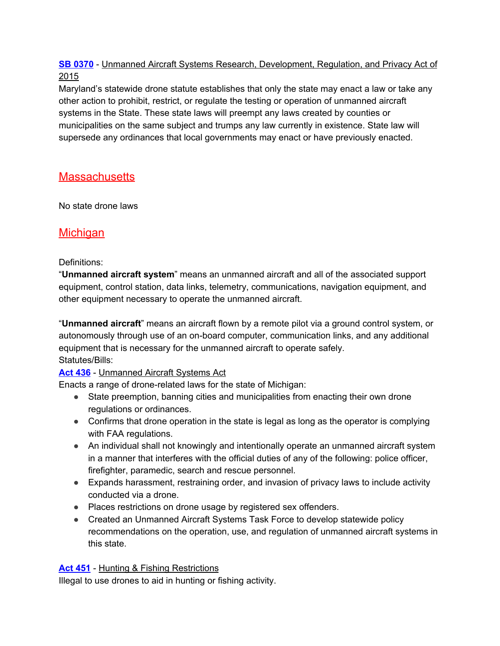#### **SB [0370](http://mgaleg.maryland.gov/webmga/frmMain.aspx?id=sb0370&stab=01&pid=billpage&tab=subject3&ys=2015RS)** - Unmanned Aircraft Systems Research, Development, Regulation, and Privacy Act of 2015

Maryland's statewide drone statute establishes that only the state may enact a law or take any other action to prohibit, restrict, or regulate the testing or operation of unmanned aircraft systems in the State. These state laws will preempt any laws created by counties or municipalities on the same subject and trumps any law currently in existence. State law will supersede any ordinances that local governments may enact or have previously enacted.

# <span id="page-24-0"></span>**Massachusetts**

<span id="page-24-1"></span>No state drone laws

# **Michigan**

#### Definitions:

"**Unmanned aircraft system**" means an unmanned aircraft and all of the associated support equipment, control station, data links, telemetry, communications, navigation equipment, and other equipment necessary to operate the unmanned aircraft.

"**Unmanned aircraft**" means an aircraft flown by a remote pilot via a ground control system, or autonomously through use of an on-board computer, communication links, and any additional equipment that is necessary for the unmanned aircraft to operate safely. Statutes/Bills:

#### **Act [436](http://www.legislature.mi.gov/(S(uw5qmo3px0vzjqfvfvxq3f2p))/mileg.aspx?page=GetObject&objectname=mcl-Act-436-of-2016)** - Unmanned Aircraft Systems Act

Enacts a range of drone-related laws for the state of Michigan:

- State preemption, banning cities and municipalities from enacting their own drone regulations or ordinances.
- Confirms that drone operation in the state is legal as long as the operator is complying with FAA regulations.
- An individual shall not knowingly and intentionally operate an unmanned aircraft system in a manner that interferes with the official duties of any of the following: police officer, firefighter, paramedic, search and rescue personnel.
- Expands harassment, restraining order, and invasion of privacy laws to include activity conducted via a drone.
- Places restrictions on drone usage by registered sex offenders.
- Created an Unmanned Aircraft Systems Task Force to develop statewide policy recommendations on the operation, use, and regulation of unmanned aircraft systems in this state.

#### **Act [451](http://www.legislature.mi.gov/(S(g31uheqtq5nnr4at12y3haxq))/mileg.aspx?page=GetObject&objectname=mcl-324-40111c)** - Hunting & Fishing Restrictions

Illegal to use drones to aid in hunting or fishing activity.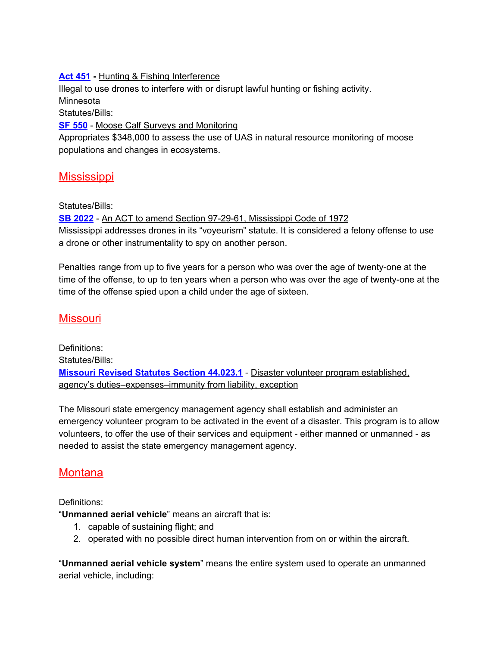#### **Act [451](http://www.legislature.mi.gov/(S(00rlxozpxqrclv3es2y3v0ts))/mileg.aspx?page=GetObject&objectname=mcl-324-40112) -** Hunting & Fishing Interference

Illegal to use drones to interfere with or disrupt lawful hunting or fishing activity. Minnesota

Statutes/Bills:

**SF [550](https://www.revisor.mn.gov/laws/?year=2017&type=0&doctype=Chapter&id=96)** - Moose Calf Surveys and Monitoring

Appropriates \$348,000 to assess the use of UAS in natural resource monitoring of moose populations and changes in ecosystems.

### <span id="page-25-0"></span>**Mississippi**

Statutes/Bills:

**SB [2022](http://billstatus.ls.state.ms.us/documents/2015/pdf/SB/2001-2099/SB2022SG.pdf)** - An ACT to amend Section 97-29-61, Mississippi Code of 1972 Mississippi addresses drones in its "voyeurism" statute. It is considered a felony offense to use a drone or other instrumentality to spy on another person.

Penalties range from up to five years for a person who was over the age of twenty-one at the time of the offense, to up to ten years when a person who was over the age of twenty-one at the time of the offense spied upon a child under the age of sixteen.

# <span id="page-25-1"></span>**Missouri**

Definitions: Statutes/Bills: **[Missouri](http://revisor.mo.gov/main/OneSection.aspx?section=44.023&bid=33594&hl=) Revised Statutes Section 44.023.1** - Disaster volunteer program established, agency's duties–expenses–immunity from liability, exception

The Missouri state emergency management agency shall establish and administer an emergency volunteer program to be activated in the event of a disaster. This program is to allow volunteers, to offer the use of their services and equipment - either manned or unmanned - as needed to assist the state emergency management agency.

#### <span id="page-25-2"></span>**Montana**

Definitions:

"**Unmanned aerial vehicle**" means an aircraft that is:

- 1. capable of sustaining flight; and
- 2. operated with no possible direct human intervention from on or within the aircraft.

"**Unmanned aerial vehicle system**" means the entire system used to operate an unmanned aerial vehicle, including: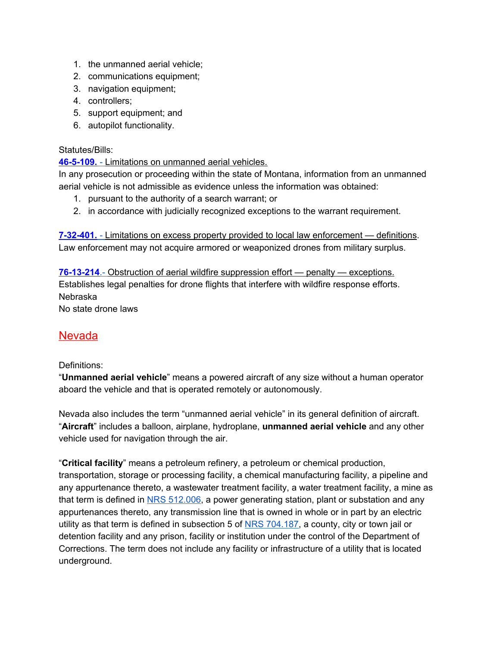- 1. the unmanned aerial vehicle;
- 2. communications equipment;
- 3. navigation equipment;
- 4. controllers;
- 5. support equipment; and
- 6. autopilot functionality.

#### Statutes/Bills:

#### **[46-5-109.](http://leg.mt.gov/bills/mca/title_0460/chapter_0050/part_0010/section_0090/0460-0050-0010-0090.html)** [-](http://leg.mt.gov/bills/mca/title_0460/chapter_0050/part_0010/section_0090/0460-0050-0010-0090.html) [Limitations](http://leg.mt.gov/bills/mca/title_0460/chapter_0050/part_0010/section_0090/0460-0050-0010-0090.html) on unmanned aerial vehicles.

In any prosecution or proceeding within the state of Montana, information from an unmanned aerial vehicle is not admissible as evidence unless the information was obtained:

- 1. pursuant to the authority of a search warrant; or
- 2. in accordance with judicially recognized exceptions to the warrant requirement.

**[7-32-401.](http://leg.mt.gov/bills/mca/title_0070/chapter_0320/part_0040/section_0010/0070-0320-0040-0010.html)** [-](http://leg.mt.gov/bills/mca/title_0070/chapter_0320/part_0040/section_0010/0070-0320-0040-0010.html) Limitations on excess property provided to local law [enforcement](http://leg.mt.gov/bills/mca/title_0070/chapter_0320/part_0040/section_0010/0070-0320-0040-0010.html) — definitions. Law enforcement may not acquire armored or weaponized drones from military surplus.

**[76-13-214](http://leg.mt.gov/bills/mca/title_0760/chapter_0130/part_0020/section_0140/0760-0130-0020-0140.html)**[.-](http://leg.mt.gov/bills/mca/title_0760/chapter_0130/part_0020/section_0140/0760-0130-0020-0140.html) Obstruction of aerial wildfire [suppression](http://leg.mt.gov/bills/mca/title_0760/chapter_0130/part_0020/section_0140/0760-0130-0020-0140.html) effort — penalty — exceptions. Establishes legal penalties for drone flights that interfere with wildfire response efforts. Nebraska No state drone laws

# <span id="page-26-0"></span>**Nevada**

#### Definitions:

"**Unmanned aerial vehicle**" means a powered aircraft of any size without a human operator aboard the vehicle and that is operated remotely or autonomously.

Nevada also includes the term "unmanned aerial vehicle" in its general definition of aircraft. "**Aircraft**" includes a balloon, airplane, hydroplane, **unmanned aerial vehicle** and any other vehicle used for navigation through the air.

"**Critical facility**" means a petroleum refinery, a petroleum or chemical production, transportation, storage or processing facility, a chemical manufacturing facility, a pipeline and any appurtenance thereto, a wastewater treatment facility, a water treatment facility, a mine as that term is defined in NRS [512.006](https://www.leg.state.nv.us/NRS/NRS-512.html#NRS512Sec006), a power generating station, plant or substation and any appurtenances thereto, any transmission line that is owned in whole or in part by an electric utility as that term is defined in subsection 5 of NRS [704.187,](https://www.leg.state.nv.us/NRS/NRS-704.html#NRS704Sec187) a county, city or town jail or detention facility and any prison, facility or institution under the control of the Department of Corrections. The term does not include any facility or infrastructure of a utility that is located underground.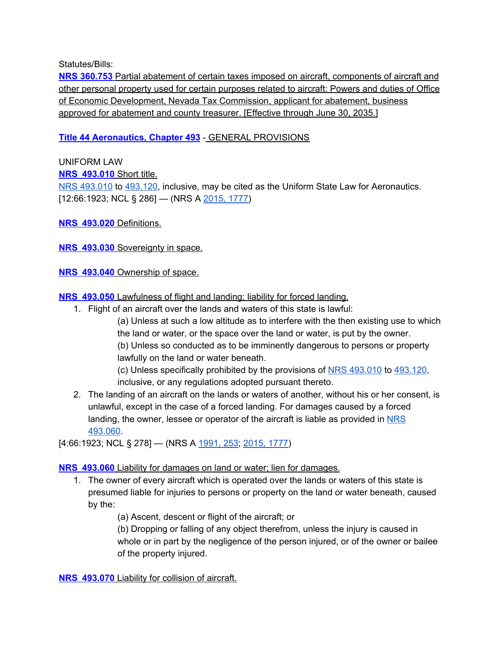Statutes/Bills:

**NRS [360.753](https://www.leg.state.nv.us/NRS/NRS-360.html#NRS360Sec753)** Partial abatement of certain taxes imposed on aircraft, [components](https://www.leg.state.nv.us/NRS/NRS-360.html#NRS360Sec753) of aircraft and other personal property used for certain [purposes](https://www.leg.state.nv.us/NRS/NRS-360.html#NRS360Sec753) related to aircraft: Powers and duties of Office of Economic [Development,](https://www.leg.state.nv.us/NRS/NRS-360.html#NRS360Sec753) Nevada Tax Commission, applicant for abatement, business approved for [abatement](https://www.leg.state.nv.us/NRS/NRS-360.html#NRS360Sec753) and county treasurer. [Effective through June 30, 2035.]

#### **Title 44 [Aeronautics,](https://www.leg.state.nv.us/NRS/NRS-493.html#NRS493Sec010) Chapter 493** - GENERAL PROVISIONS

#### UNIFORM LAW **NRS [493.010](https://www.leg.state.nv.us/NRS/NRS-493.html#NRS493Sec010)** Short title. NRS [493.010](https://www.leg.state.nv.us/NRS/NRS-493.html#NRS493Sec010) to [493.120](https://www.leg.state.nv.us/NRS/NRS-493.html#NRS493Sec120), inclusive, may be cited as the Uniform State Law for Aeronautics. [12:66:1923; NCL § 286] — (NRS A [2015,](https://www.leg.state.nv.us/Statutes/78th2015/Stats201517.html#Stats201517page1777) 1777)

**NRS [493.020](https://www.leg.state.nv.us/NRS/NRS-493.html#NRS493Sec020)** Definitions.

**NRS [493.030](https://www.leg.state.nv.us/NRS/NRS-493.html#NRS493Sec030)** Sovereignty in space.

**NRS [493.040](https://www.leg.state.nv.us/NRS/NRS-493.html#NRS493Sec040)** Ownership of space.

**NRS [493.050](https://www.leg.state.nv.us/NRS/NRS-493.html#NRS493Sec050)** Lawfulness of flight and landing; liability for forced landing.

- 1. Flight of an aircraft over the lands and waters of this state is lawful:
	- (a) Unless at such a low altitude as to interfere with the then existing use to which the land or water, or the space over the land or water, is put by the owner. (b) Unless so conducted as to be imminently dangerous to persons or property lawfully on the land or water beneath.

(c) Unless specifically prohibited by the provisions of NRS [493.010](https://www.leg.state.nv.us/NRS/NRS-493.html#NRS493Sec010) to [493.120,](https://www.leg.state.nv.us/NRS/NRS-493.html#NRS493Sec120) inclusive, or any regulations adopted pursuant thereto.

2. The landing of an aircraft on the lands or waters of another, without his or her consent, is unlawful, except in the case of a forced landing. For damages caused by a forced landing, the owner, lessee or operator of the aircraft is liable as provided in [NRS](https://www.leg.state.nv.us/NRS/NRS-493.html#NRS493Sec060) [493.060.](https://www.leg.state.nv.us/NRS/NRS-493.html#NRS493Sec060)

[4:66:1923; NCL § 278] — (NRS A [1991,](https://www.leg.state.nv.us/Statutes/66th/Stats199102.html#Stats199102page253) 253; [2015,](https://www.leg.state.nv.us/Statutes/78th2015/Stats201517.html#Stats201517page1777) 1777)

**NRS [493.060](https://www.leg.state.nv.us/NRS/NRS-493.html#NRS493Sec060)** Liability for damages on land or water; lien for damages.

1. The owner of every aircraft which is operated over the lands or waters of this state is presumed liable for injuries to persons or property on the land or water beneath, caused by the:

(a) Ascent, descent or flight of the aircraft; or

(b) Dropping or falling of any object therefrom, unless the injury is caused in whole or in part by the negligence of the person injured, or of the owner or bailee of the property injured.

**NRS [493.070](https://www.leg.state.nv.us/NRS/NRS-493.html#NRS493Sec070)** Liability for collision of aircraft.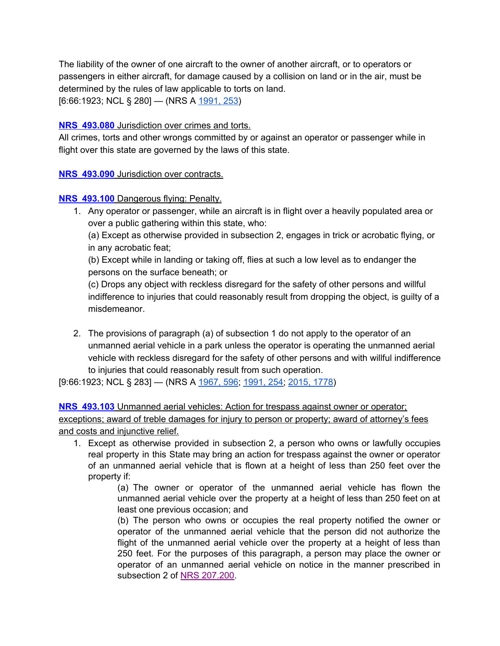The liability of the owner of one aircraft to the owner of another aircraft, or to operators or passengers in either aircraft, for damage caused by a collision on land or in the air, must be determined by the rules of law applicable to torts on land.

[6:66:1923; NCL § 280] — (NRS A [1991,](https://www.leg.state.nv.us/Statutes/66th/Stats199102.html#Stats199102page253) 253)

#### **NRS [493.080](https://www.leg.state.nv.us/NRS/NRS-493.html#NRS493Sec080)** Jurisdiction over crimes and torts.

All crimes, torts and other wrongs committed by or against an operator or passenger while in flight over this state are governed by the laws of this state.

#### **NRS [493.090](https://www.leg.state.nv.us/NRS/NRS-493.html#NRS493Sec090)** Jurisdiction over contracts.

#### **NRS [493.100](https://www.leg.state.nv.us/NRS/NRS-493.html#NRS493Sec100)** Dangerous flying: Penalty.

1. Any operator or passenger, while an aircraft is in flight over a heavily populated area or over a public gathering within this state, who:

(a) Except as otherwise provided in subsection 2, engages in trick or acrobatic flying, or in any acrobatic feat;

(b) Except while in landing or taking off, flies at such a low level as to endanger the persons on the surface beneath; or

(c) Drops any object with reckless disregard for the safety of other persons and willful indifference to injuries that could reasonably result from dropping the object, is guilty of a misdemeanor.

2. The provisions of paragraph (a) of subsection 1 do not apply to the operator of an unmanned aerial vehicle in a park unless the operator is operating the unmanned aerial vehicle with reckless disregard for the safety of other persons and with willful indifference to injuries that could reasonably result from such operation.

[9:66:1923; NCL § 283] — (NRS A [1967,](https://www.leg.state.nv.us/Statutes/54th/Stats196703.html#Stats196703page596) 596; [1991,](https://www.leg.state.nv.us/Statutes/66th/Stats199102.html#Stats199102page254) 254; [2015,](https://www.leg.state.nv.us/Statutes/78th2015/Stats201517.html#Stats201517page1778) 1778)

**NRS [493.103](https://www.leg.state.nv.us/NRS/NRS-493.html#NRS493Sec103)** Unmanned aerial vehicles: Action for trespass against owner or operator; exceptions; award of treble damages for injury to person or property; award of attorney's fees and costs and injunctive relief.

1. Except as otherwise provided in subsection 2, a person who owns or lawfully occupies real property in this State may bring an action for trespass against the owner or operator of an unmanned aerial vehicle that is flown at a height of less than 250 feet over the property if:

> (a) The owner or operator of the unmanned aerial vehicle has flown the unmanned aerial vehicle over the property at a height of less than 250 feet on at least one previous occasion; and

> (b) The person who owns or occupies the real property notified the owner or operator of the unmanned aerial vehicle that the person did not authorize the flight of the unmanned aerial vehicle over the property at a height of less than 250 feet. For the purposes of this paragraph, a person may place the owner or operator of an unmanned aerial vehicle on notice in the manner prescribed in subsection 2 of NRS [207.200.](https://www.leg.state.nv.us/NRS/NRS-207.html#NRS207Sec200)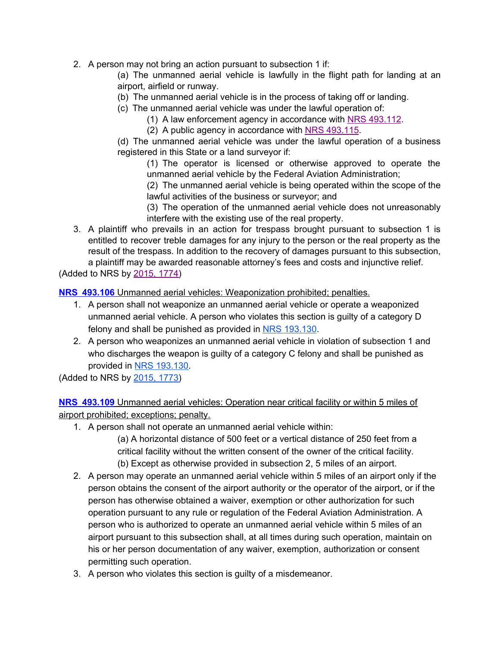2. A person may not bring an action pursuant to subsection 1 if:

(a) The unmanned aerial vehicle is lawfully in the flight path for landing at an airport, airfield or runway.

- (b) The unmanned aerial vehicle is in the process of taking off or landing.
- (c) The unmanned aerial vehicle was under the lawful operation of:
	- (1) A law enforcement agency in accordance with NRS [493.112](https://www.leg.state.nv.us/NRS/NRS-493.html#NRS493Sec112).
	- (2) A public agency in accordance with NRS [493.115.](https://www.leg.state.nv.us/NRS/NRS-493.html#NRS493Sec115)

(d) The unmanned aerial vehicle was under the lawful operation of a business registered in this State or a land surveyor if:

(1) The operator is licensed or otherwise approved to operate the unmanned aerial vehicle by the Federal Aviation Administration;

(2) The unmanned aerial vehicle is being operated within the scope of the lawful activities of the business or surveyor; and

(3) The operation of the unmanned aerial vehicle does not unreasonably interfere with the existing use of the real property.

3. A plaintiff who prevails in an action for trespass brought pursuant to subsection 1 is entitled to recover treble damages for any injury to the person or the real property as the result of the trespass. In addition to the recovery of damages pursuant to this subsection, a plaintiff may be awarded reasonable attorney's fees and costs and injunctive relief.

(Added to NRS by [2015,](https://www.leg.state.nv.us/Statutes/78th2015/Stats201517.html#Stats201517page1774) 1774)

**NRS [493.106](https://www.leg.state.nv.us/NRS/NRS-493.html#NRS493Sec106)** Unmanned aerial vehicles: Weaponization prohibited; penalties.

- 1. A person shall not weaponize an unmanned aerial vehicle or operate a weaponized unmanned aerial vehicle. A person who violates this section is guilty of a category D felony and shall be punished as provided in NRS [193.130.](https://www.leg.state.nv.us/NRS/NRS-193.html#NRS193Sec130)
- 2. A person who weaponizes an unmanned aerial vehicle in violation of subsection 1 and who discharges the weapon is guilty of a category C felony and shall be punished as provided in NRS [193.130.](https://www.leg.state.nv.us/NRS/NRS-193.html#NRS193Sec130)

(Added to NRS by [2015,](https://www.leg.state.nv.us/Statutes/78th2015/Stats201517.html#Stats201517page1773) 1773)

**NRS [493.109](https://www.leg.state.nv.us/NRS/NRS-493.html#NRS493Sec109)** Unmanned aerial vehicles: Operation near critical facility or within 5 miles of airport prohibited; exceptions; penalty.

1. A person shall not operate an unmanned aerial vehicle within:

(a) A horizontal distance of 500 feet or a vertical distance of 250 feet from a critical facility without the written consent of the owner of the critical facility. (b) Except as otherwise provided in subsection 2, 5 miles of an airport.

- 2. A person may operate an unmanned aerial vehicle within 5 miles of an airport only if the person obtains the consent of the airport authority or the operator of the airport, or if the person has otherwise obtained a waiver, exemption or other authorization for such operation pursuant to any rule or regulation of the Federal Aviation Administration. A person who is authorized to operate an unmanned aerial vehicle within 5 miles of an airport pursuant to this subsection shall, at all times during such operation, maintain on his or her person documentation of any waiver, exemption, authorization or consent permitting such operation.
- 3. A person who violates this section is guilty of a misdemeanor.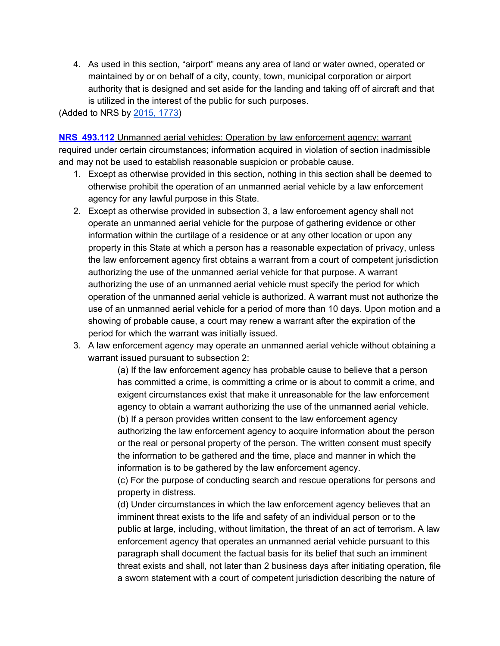4. As used in this section, "airport" means any area of land or water owned, operated or maintained by or on behalf of a city, county, town, municipal corporation or airport authority that is designed and set aside for the landing and taking off of aircraft and that is utilized in the interest of the public for such purposes.

(Added to NRS by [2015,](https://www.leg.state.nv.us/Statutes/78th2015/Stats201517.html#Stats201517page1773) 1773)

**NRS [493.112](https://www.leg.state.nv.us/NRS/NRS-493.html#NRS493Sec112)** Unmanned aerial vehicles: Operation by law enforcement agency; warrant required under certain circumstances; information acquired in violation of section inadmissible and may not be used to establish reasonable suspicion or probable cause.

- 1. Except as otherwise provided in this section, nothing in this section shall be deemed to otherwise prohibit the operation of an unmanned aerial vehicle by a law enforcement agency for any lawful purpose in this State.
- 2. Except as otherwise provided in subsection 3, a law enforcement agency shall not operate an unmanned aerial vehicle for the purpose of gathering evidence or other information within the curtilage of a residence or at any other location or upon any property in this State at which a person has a reasonable expectation of privacy, unless the law enforcement agency first obtains a warrant from a court of competent jurisdiction authorizing the use of the unmanned aerial vehicle for that purpose. A warrant authorizing the use of an unmanned aerial vehicle must specify the period for which operation of the unmanned aerial vehicle is authorized. A warrant must not authorize the use of an unmanned aerial vehicle for a period of more than 10 days. Upon motion and a showing of probable cause, a court may renew a warrant after the expiration of the period for which the warrant was initially issued.
- 3. A law enforcement agency may operate an unmanned aerial vehicle without obtaining a warrant issued pursuant to subsection 2:

(a) If the law enforcement agency has probable cause to believe that a person has committed a crime, is committing a crime or is about to commit a crime, and exigent circumstances exist that make it unreasonable for the law enforcement agency to obtain a warrant authorizing the use of the unmanned aerial vehicle. (b) If a person provides written consent to the law enforcement agency authorizing the law enforcement agency to acquire information about the person or the real or personal property of the person. The written consent must specify the information to be gathered and the time, place and manner in which the information is to be gathered by the law enforcement agency.

(c) For the purpose of conducting search and rescue operations for persons and property in distress.

(d) Under circumstances in which the law enforcement agency believes that an imminent threat exists to the life and safety of an individual person or to the public at large, including, without limitation, the threat of an act of terrorism. A law enforcement agency that operates an unmanned aerial vehicle pursuant to this paragraph shall document the factual basis for its belief that such an imminent threat exists and shall, not later than 2 business days after initiating operation, file a sworn statement with a court of competent jurisdiction describing the nature of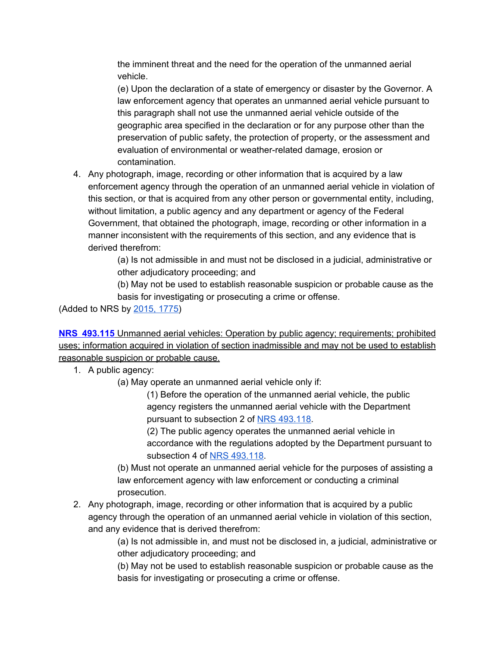the imminent threat and the need for the operation of the unmanned aerial vehicle.

(e) Upon the declaration of a state of emergency or disaster by the Governor. A law enforcement agency that operates an unmanned aerial vehicle pursuant to this paragraph shall not use the unmanned aerial vehicle outside of the geographic area specified in the declaration or for any purpose other than the preservation of public safety, the protection of property, or the assessment and evaluation of environmental or weather-related damage, erosion or contamination.

4. Any photograph, image, recording or other information that is acquired by a law enforcement agency through the operation of an unmanned aerial vehicle in violation of this section, or that is acquired from any other person or governmental entity, including, without limitation, a public agency and any department or agency of the Federal Government, that obtained the photograph, image, recording or other information in a manner inconsistent with the requirements of this section, and any evidence that is derived therefrom:

> (a) Is not admissible in and must not be disclosed in a judicial, administrative or other adjudicatory proceeding; and

> (b) May not be used to establish reasonable suspicion or probable cause as the basis for investigating or prosecuting a crime or offense.

(Added to NRS by [2015,](https://www.leg.state.nv.us/Statutes/78th2015/Stats201517.html#Stats201517page1775) 1775)

**NRS [493.115](https://www.leg.state.nv.us/NRS/NRS-493.html#NRS493Sec115)** Unmanned aerial vehicles: Operation by public agency; requirements; prohibited uses; information acquired in violation of section inadmissible and may not be used to establish reasonable suspicion or probable cause.

1. A public agency:

(a) May operate an unmanned aerial vehicle only if:

(1) Before the operation of the unmanned aerial vehicle, the public agency registers the unmanned aerial vehicle with the Department pursuant to subsection 2 of NRS [493.118](https://www.leg.state.nv.us/NRS/NRS-493.html#NRS493Sec118).

(2) The public agency operates the unmanned aerial vehicle in accordance with the regulations adopted by the Department pursuant to subsection 4 of NRS [493.118.](https://www.leg.state.nv.us/NRS/NRS-493.html#NRS493Sec118)

(b) Must not operate an unmanned aerial vehicle for the purposes of assisting a law enforcement agency with law enforcement or conducting a criminal prosecution.

2. Any photograph, image, recording or other information that is acquired by a public agency through the operation of an unmanned aerial vehicle in violation of this section, and any evidence that is derived therefrom:

> (a) Is not admissible in, and must not be disclosed in, a judicial, administrative or other adjudicatory proceeding; and

> (b) May not be used to establish reasonable suspicion or probable cause as the basis for investigating or prosecuting a crime or offense.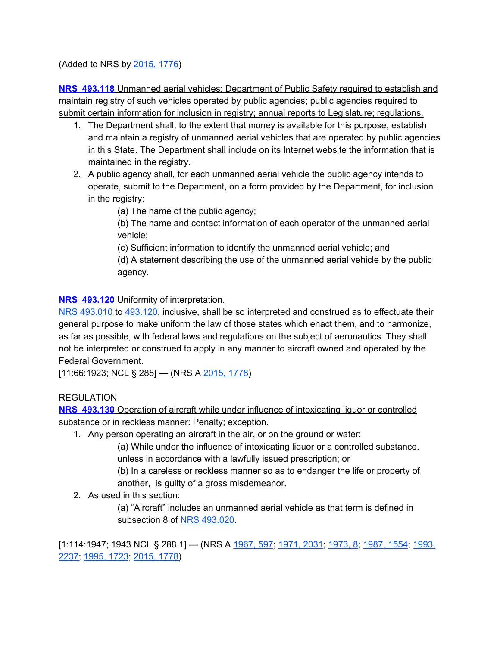(Added to NRS by [2015,](https://www.leg.state.nv.us/Statutes/78th2015/Stats201517.html#Stats201517page1776) 1776)

**NRS [493.118](https://www.leg.state.nv.us/NRS/NRS-493.html#NRS493Sec118)** Unmanned aerial vehicles: Department of Public Safety required to establish and maintain registry of such vehicles operated by public agencies; public agencies required to submit certain information for inclusion in registry; annual reports to Legislature; regulations.

- 1. The Department shall, to the extent that money is available for this purpose, establish and maintain a registry of unmanned aerial vehicles that are operated by public agencies in this State. The Department shall include on its Internet website the information that is maintained in the registry.
- 2. A public agency shall, for each unmanned aerial vehicle the public agency intends to operate, submit to the Department, on a form provided by the Department, for inclusion in the registry:

(a) The name of the public agency;

(b) The name and contact information of each operator of the unmanned aerial vehicle;

(c) Sufficient information to identify the unmanned aerial vehicle; and

(d) A statement describing the use of the unmanned aerial vehicle by the public agency.

#### **NRS [493.120](https://www.leg.state.nv.us/NRS/NRS-493.html#NRS493Sec120)** Uniformity of interpretation.

NRS [493.010](https://www.leg.state.nv.us/NRS/NRS-493.html#NRS493Sec010) to [493.120](https://www.leg.state.nv.us/NRS/NRS-493.html#NRS493Sec120), inclusive, shall be so interpreted and construed as to effectuate their general purpose to make uniform the law of those states which enact them, and to harmonize, as far as possible, with federal laws and regulations on the subject of aeronautics. They shall not be interpreted or construed to apply in any manner to aircraft owned and operated by the Federal Government.

[11:66:1923; NCL § 285] — (NRS A [2015,](https://www.leg.state.nv.us/Statutes/78th2015/Stats201517.html#Stats201517page1778) 1778)

**REGULATION** 

**NRS [493.130](https://www.leg.state.nv.us/NRS/NRS-493.html#NRS493Sec130)** Operation of aircraft while under influence of intoxicating liquor or controlled substance or in reckless manner: Penalty; exception.

1. Any person operating an aircraft in the air, or on the ground or water:

(a) While under the influence of intoxicating liquor or a controlled substance, unless in accordance with a lawfully issued prescription; or

(b) In a careless or reckless manner so as to endanger the life or property of another, is guilty of a gross misdemeanor.

2. As used in this section:

(a) "Aircraft" includes an unmanned aerial vehicle as that term is defined in subsection 8 of NRS [493.020.](https://www.leg.state.nv.us/NRS/NRS-493.html#NRS493Sec020)

[1:114:1947; 1943 NCL § 288.1] — (NRS A [1967,](https://www.leg.state.nv.us/Statutes/54th/Stats196703.html#Stats196703page597) 597; [1971,](https://www.leg.state.nv.us/Statutes/56th/Stats197109.html#Stats197109page2031) 2031; [1973,](https://www.leg.state.nv.us/Statutes/57th/Stats197301.html#Stats197301page8) 8; [1987,](https://www.leg.state.nv.us/Statutes/64th/Stats198707.html#Stats198707page1554) 1554; [1993,](https://www.leg.state.nv.us/Statutes/67th/Stats199311.html#Stats199311page2237) [2237;](https://www.leg.state.nv.us/Statutes/67th/Stats199311.html#Stats199311page2237) [1995,](https://www.leg.state.nv.us/Statutes/68th/Stats199509.html#Stats199509page1723) 1723; [2015,](https://www.leg.state.nv.us/Statutes/78th2015/Stats201517.html#Stats201517page1778) 1778)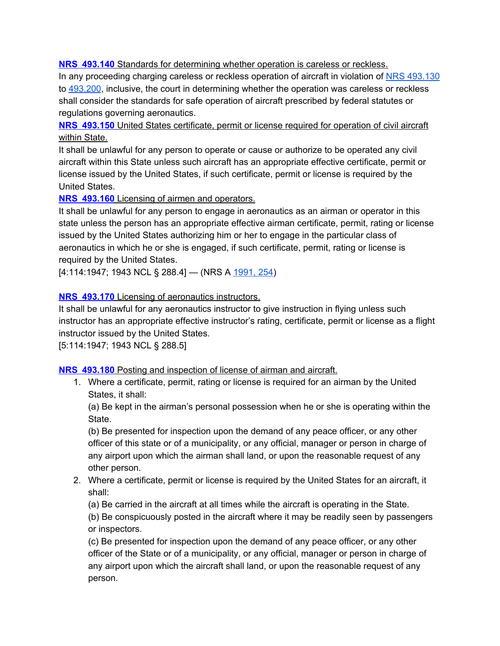**NRS [493.140](https://www.leg.state.nv.us/NRS/NRS-493.html#NRS493Sec140)** Standards for determining whether operation is careless or reckless.

In any proceeding charging careless or reckless operation of aircraft in violation of NRS [493.130](https://www.leg.state.nv.us/NRS/NRS-493.html#NRS493Sec130) to [493.200,](https://www.leg.state.nv.us/NRS/NRS-493.html#NRS493Sec200) inclusive, the court in determining whether the operation was careless or reckless shall consider the standards for safe operation of aircraft prescribed by federal statutes or regulations governing aeronautics.

**NRS [493.150](https://www.leg.state.nv.us/NRS/NRS-493.html#NRS493Sec150)** United States certificate, permit or license required for operation of civil aircraft within State.

It shall be unlawful for any person to operate or cause or authorize to be operated any civil aircraft within this State unless such aircraft has an appropriate effective certificate, permit or license issued by the United States, if such certificate, permit or license is required by the United States.

**NRS [493.160](https://www.leg.state.nv.us/NRS/NRS-493.html#NRS493Sec160)** Licensing of airmen and operators.

It shall be unlawful for any person to engage in aeronautics as an airman or operator in this state unless the person has an appropriate effective airman certificate, permit, rating or license issued by the United States authorizing him or her to engage in the particular class of aeronautics in which he or she is engaged, if such certificate, permit, rating or license is required by the United States.

[4:114:1947; 1943 NCL § 288.4] — (NRS A [1991,](https://www.leg.state.nv.us/Statutes/66th/Stats199102.html#Stats199102page254) 254)

#### **NRS [493.170](https://www.leg.state.nv.us/NRS/NRS-493.html#NRS493Sec170)** Licensing of aeronautics instructors.

It shall be unlawful for any aeronautics instructor to give instruction in flying unless such instructor has an appropriate effective instructor's rating, certificate, permit or license as a flight instructor issued by the United States.

[5:114:1947; 1943 NCL § 288.5]

**NRS [493.180](https://www.leg.state.nv.us/NRS/NRS-493.html#NRS493Sec180)** Posting and inspection of license of airman and aircraft.

1. Where a certificate, permit, rating or license is required for an airman by the United States, it shall:

(a) Be kept in the airman's personal possession when he or she is operating within the State.

(b) Be presented for inspection upon the demand of any peace officer, or any other officer of this state or of a municipality, or any official, manager or person in charge of any airport upon which the airman shall land, or upon the reasonable request of any other person.

2. Where a certificate, permit or license is required by the United States for an aircraft, it shall:

(a) Be carried in the aircraft at all times while the aircraft is operating in the State.

(b) Be conspicuously posted in the aircraft where it may be readily seen by passengers or inspectors.

(c) Be presented for inspection upon the demand of any peace officer, or any other officer of the State or of a municipality, or any official, manager or person in charge of any airport upon which the aircraft shall land, or upon the reasonable request of any person.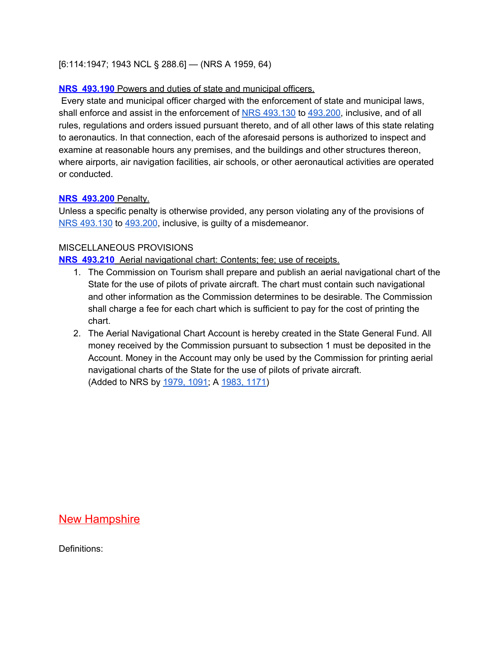#### [6:114:1947; 1943 NCL § 288.6] — (NRS A 1959, 64)

#### **NRS [493.190](https://www.leg.state.nv.us/NRS/NRS-493.html#NRS493Sec190)** Powers and duties of state and municipal officers.

Every state and municipal officer charged with the enforcement of state and municipal laws, shall enforce and assist in the enforcement of NRS [493.130](https://www.leg.state.nv.us/NRS/NRS-493.html#NRS493Sec130) to [493.200](https://www.leg.state.nv.us/NRS/NRS-493.html#NRS493Sec200), inclusive, and of all rules, regulations and orders issued pursuant thereto, and of all other laws of this state relating to aeronautics. In that connection, each of the aforesaid persons is authorized to inspect and examine at reasonable hours any premises, and the buildings and other structures thereon, where airports, air navigation facilities, air schools, or other aeronautical activities are operated or conducted.

#### **NRS [493.200](https://www.leg.state.nv.us/NRS/NRS-493.html#NRS493Sec200)** Penalty.

Unless a specific penalty is otherwise provided, any person violating any of the provisions of NRS [493.130](https://www.leg.state.nv.us/NRS/NRS-493.html#NRS493Sec130) to [493.200](https://www.leg.state.nv.us/NRS/NRS-493.html#NRS493Sec200), inclusive, is guilty of a misdemeanor.

#### MISCELLANEOUS PROVISIONS

**NRS [493.210](https://www.leg.state.nv.us/NRS/NRS-493.html#NRS493Sec210)** Aerial navigational chart: Contents; fee; use of receipts.

- 1. The Commission on Tourism shall prepare and publish an aerial navigational chart of the State for the use of pilots of private aircraft. The chart must contain such navigational and other information as the Commission determines to be desirable. The Commission shall charge a fee for each chart which is sufficient to pay for the cost of printing the chart.
- 2. The Aerial Navigational Chart Account is hereby created in the State General Fund. All money received by the Commission pursuant to subsection 1 must be deposited in the Account. Money in the Account may only be used by the Commission for printing aerial navigational charts of the State for the use of pilots of private aircraft. (Added to NRS by [1979,](https://www.leg.state.nv.us/Statutes/60th/Stats197906.html#Stats197906page1091) 1091; A [1983,](https://www.leg.state.nv.us/Statutes/62nd/Stats198305.html#Stats198305page1171) 1171)

#### <span id="page-34-0"></span>**New Hampshire**

Definitions: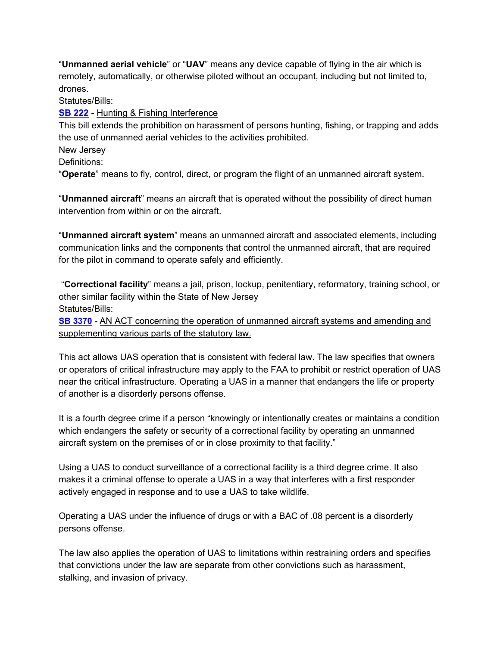"**Unmanned aerial vehicle**" or "**UAV**" means any device capable of flying in the air which is remotely, automatically, or otherwise piloted without an occupant, including but not limited to, drones.

Statutes/Bills:

**SB [222](http://www.gencourt.state.nh.us/legislation/2015/SB0222.pdf)** - Hunting & Fishing Interference

This bill extends the prohibition on harassment of persons hunting, fishing, or trapping and adds the use of unmanned aerial vehicles to the activities prohibited.

New Jersey

Definitions:

"**Operate**" means to fly, control, direct, or program the flight of an unmanned aircraft system.

"**Unmanned aircraft**" means an aircraft that is operated without the possibility of direct human intervention from within or on the aircraft.

"**Unmanned aircraft system**" means an unmanned aircraft and associated elements, including communication links and the components that control the unmanned aircraft, that are required for the pilot in command to operate safely and efficiently.

"**Correctional facility**" means a jail, prison, lockup, penitentiary, reformatory, training school, or other similar facility within the State of New Jersey Statutes/Bills:

**[SB 3370](http://www.njleg.state.nj.us/2016/Bills/S3500/3370_R1.PDF)** - AN ACT concerning the operation of unmanned aircraft systems and amending and supplementing various parts of the statutory law.

This act allows UAS operation that is consistent with federal law. The law specifies that owners or operators of critical infrastructure may apply to the FAA to prohibit or restrict operation of UAS near the critical infrastructure. Operating a UAS in a manner that endangers the life or property of another is a disorderly persons offense.

It is a fourth degree crime if a person "knowingly or intentionally creates or maintains a condition which endangers the safety or security of a correctional facility by operating an unmanned aircraft system on the premises of or in close proximity to that facility."

Using a UAS to conduct surveillance of a correctional facility is a third degree crime. It also makes it a criminal offense to operate a UAS in a way that interferes with a first responder actively engaged in response and to use a UAS to take wildlife.

Operating a UAS under the influence of drugs or with a BAC of .08 percent is a disorderly persons offense.

The law also applies the operation of UAS to limitations within restraining orders and specifies that convictions under the law are separate from other convictions such as harassment, stalking, and invasion of privacy.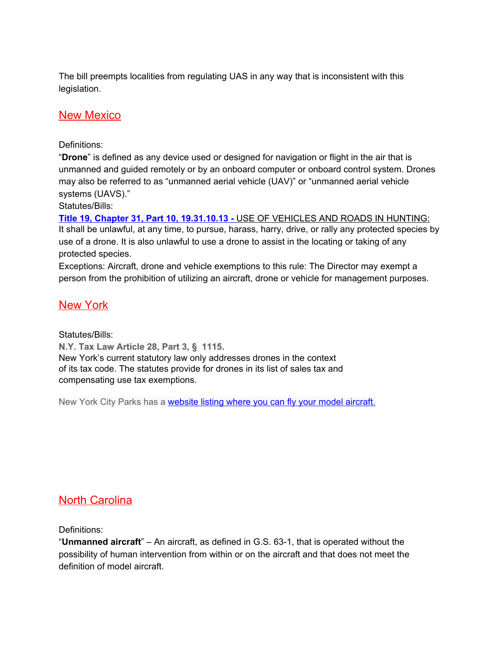The bill preempts localities from regulating UAS in any way that is inconsistent with this legislation.

### <span id="page-36-0"></span>New Mexico

#### Definitions:

"**Drone**" is defined as any device used or designed for navigation or flight in the air that is unmanned and guided remotely or by an onboard computer or onboard control system. Drones may also be referred to as "unmanned aerial vehicle (UAV)" or "unmanned aerial vehicle systems (UAVS)."

Statutes/Bills:

**Title 19, Chapter 31, Part 10, [19.31.10.13](http://164.64.110.239/nmac/parts/title19/19.031.0010.htm) -** USE OF [VEHICLES](http://164.64.110.239/nmac/parts/title19/19.031.0010.htm) AND ROADS IN HUNTING: It shall be unlawful, at any time, to pursue, harass, harry, drive, or rally any protected species by use of a drone. It is also unlawful to use a drone to assist in the locating or taking of any protected species.

Exceptions: Aircraft, drone and vehicle exemptions to this rule: The Director may exempt a person from the prohibition of utilizing an aircraft, drone or vehicle for management purposes.

#### <span id="page-36-1"></span>New York

Statutes/Bills:

**N.Y. Tax Law Article 28, Part 3, § 1115.** New York's current statutory law only addresses drones in the context of its tax code. The statutes provide for drones in its list of sales tax and compensating use tax exemptions.

New York City Parks has a [website](https://www.nycgovparks.org/facilities/modelaircraftfields) listing where you can fly your model aircraft.

# <span id="page-36-2"></span>North Carolina

Definitions:

"**Unmanned aircraft**" – An aircraft, as defined in G.S. 63-1, that is operated without the possibility of human intervention from within or on the aircraft and that does not meet the definition of model aircraft.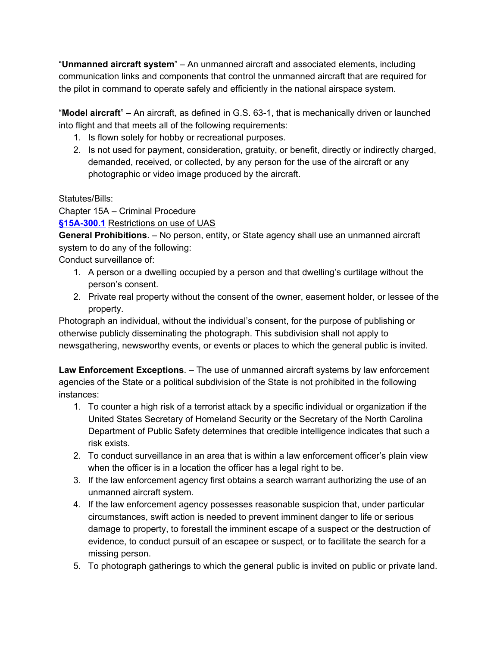"**Unmanned aircraft system**" – An unmanned aircraft and associated elements, including communication links and components that control the unmanned aircraft that are required for the pilot in command to operate safely and efficiently in the national airspace system.

"**Model aircraft**" – An aircraft, as defined in G.S. 63-1, that is mechanically driven or launched into flight and that meets all of the following requirements:

- 1. Is flown solely for hobby or recreational purposes.
- 2. Is not used for payment, consideration, gratuity, or benefit, directly or indirectly charged, demanded, received, or collected, by any person for the use of the aircraft or any photographic or video image produced by the aircraft.

#### Statutes/Bills:

Chapter 15A – Criminal Procedure

**[§15A-300.1](https://www.ncga.state.nc.us/EnactedLegislation/Statutes/PDF/BySection/Chapter_15A/GS_15A-300.1.pdf)** Restrictions on use of UAS

**General Prohibitions**. – No person, entity, or State agency shall use an unmanned aircraft system to do any of the following:

Conduct surveillance of:

- 1. A person or a dwelling occupied by a person and that dwelling's curtilage without the person's consent.
- 2. Private real property without the consent of the owner, easement holder, or lessee of the property.

Photograph an individual, without the individual's consent, for the purpose of publishing or otherwise publicly disseminating the photograph. This subdivision shall not apply to newsgathering, newsworthy events, or events or places to which the general public is invited.

**Law Enforcement Exceptions**. – The use of unmanned aircraft systems by law enforcement agencies of the State or a political subdivision of the State is not prohibited in the following instances:

- 1. To counter a high risk of a terrorist attack by a specific individual or organization if the United States Secretary of Homeland Security or the Secretary of the North Carolina Department of Public Safety determines that credible intelligence indicates that such a risk exists.
- 2. To conduct surveillance in an area that is within a law enforcement officer's plain view when the officer is in a location the officer has a legal right to be.
- 3. If the law enforcement agency first obtains a search warrant authorizing the use of an unmanned aircraft system.
- 4. If the law enforcement agency possesses reasonable suspicion that, under particular circumstances, swift action is needed to prevent imminent danger to life or serious damage to property, to forestall the imminent escape of a suspect or the destruction of evidence, to conduct pursuit of an escapee or suspect, or to facilitate the search for a missing person.
- 5. To photograph gatherings to which the general public is invited on public or private land.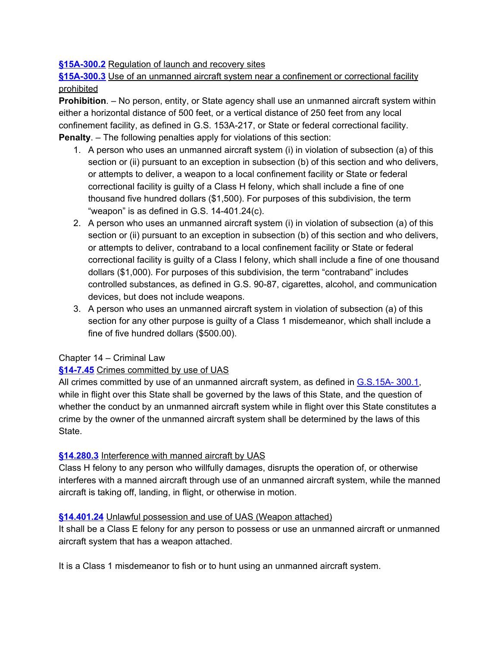#### **[§15A-300.2](https://www.ncga.state.nc.us/EnactedLegislation/Statutes/PDF/BySection/Chapter_15A/GS_15A-300.2.pdf)** Regulation of launch and recovery sites

**[§15A-300.3](https://www.ncleg.net/Sessions/2017/Bills/House/PDF/H128v8.pdf)** Use of an unmanned aircraft system near a confinement or correctional facility prohibited

**Prohibition**. – No person, entity, or State agency shall use an unmanned aircraft system within either a horizontal distance of 500 feet, or a vertical distance of 250 feet from any local confinement facility, as defined in G.S. 153A-217, or State or federal correctional facility. **Penalty**. – The following penalties apply for violations of this section:

- 1. A person who uses an unmanned aircraft system (i) in violation of subsection (a) of this section or (ii) pursuant to an exception in subsection (b) of this section and who delivers, or attempts to deliver, a weapon to a local confinement facility or State or federal correctional facility is guilty of a Class H felony, which shall include a fine of one thousand five hundred dollars (\$1,500). For purposes of this subdivision, the term "weapon" is as defined in G.S. 14-401.24(c).
- 2. A person who uses an unmanned aircraft system (i) in violation of subsection (a) of this section or (ii) pursuant to an exception in subsection (b) of this section and who delivers, or attempts to deliver, contraband to a local confinement facility or State or federal correctional facility is guilty of a Class I felony, which shall include a fine of one thousand dollars (\$1,000). For purposes of this subdivision, the term "contraband" includes controlled substances, as defined in G.S. 90-87, cigarettes, alcohol, and communication devices, but does not include weapons.
- 3. A person who uses an unmanned aircraft system in violation of subsection (a) of this section for any other purpose is quilty of a Class 1 misdemeanor, which shall include a fine of five hundred dollars (\$500.00).

#### Chapter 14 – Criminal Law

#### **[§14-7.45](https://law.justia.com/codes/north-carolina/2014/chapter-14/article-2f/section-14-7.45/)** Crimes committed by use of UAS

All crimes committed by use of an unmanned aircraft system, as defined in [G.S.15A-](https://www.ncga.state.nc.us/EnactedLegislation/Statutes/PDF/BySection/Chapter_15A/GS_15A-300.1.pdf) 300.1, while in flight over this State shall be governed by the laws of this State, and the question of whether the conduct by an unmanned aircraft system while in flight over this State constitutes a crime by the owner of the unmanned aircraft system shall be determined by the laws of this State.

#### **[§14.280.3](https://law.justia.com/codes/north-carolina/2014/chapter-14/article-36/section-14-280.3)** Interference with manned aircraft by UAS

Class H felony to any person who willfully damages, disrupts the operation of, or otherwise interferes with a manned aircraft through use of an unmanned aircraft system, while the manned aircraft is taking off, landing, in flight, or otherwise in motion.

#### **[§14.401.24](https://law.justia.com/codes/north-carolina/2014/chapter-14/article-52/section-14-401.24)** Unlawful possession and use of UAS (Weapon attached)

It shall be a Class E felony for any person to possess or use an unmanned aircraft or unmanned aircraft system that has a weapon attached.

It is a Class 1 misdemeanor to fish or to hunt using an unmanned aircraft system.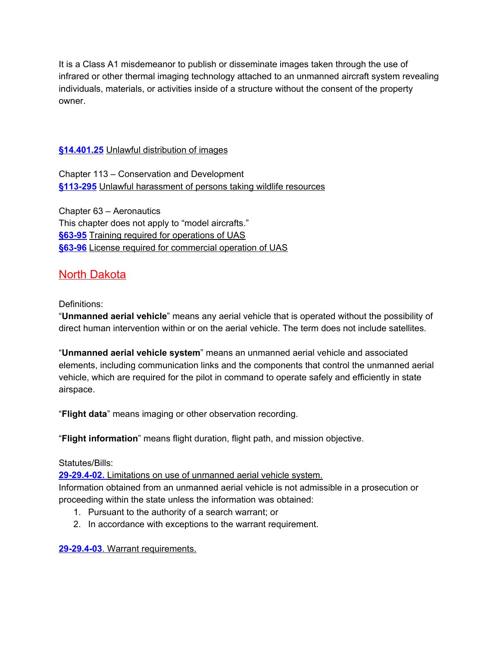It is a Class A1 misdemeanor to publish or disseminate images taken through the use of infrared or other thermal imaging technology attached to an unmanned aircraft system revealing individuals, materials, or activities inside of a structure without the consent of the property owner.

#### **[§14.401.25](https://law.justia.com/codes/north-carolina/2014/chapter-14/article-52/section-14-401.25/)** Unlawful distribution of images

Chapter 113 – Conservation and Development **[§113-295](https://law.justia.com/codes/north-carolina/2014/chapter-113/article-22/section-113-295/)** Unlawful harassment of persons taking wildlife resources

Chapter 63 – Aeronautics This chapter does not apply to "model aircrafts." **[§63-95](https://law.justia.com/codes/north-carolina/2014/chapter-63/article-10/section-63-95)** Training required for operations of UAS **[§63-96](https://law.justia.com/codes/north-carolina/2014/chapter-63/article-10/section-63-96/)** License required for commercial operation of UAS

# <span id="page-39-0"></span>North Dakota

#### Definitions:

"**Unmanned aerial vehicle**" means any aerial vehicle that is operated without the possibility of direct human intervention within or on the aerial vehicle. The term does not include satellites.

"**Unmanned aerial vehicle system**" means an unmanned aerial vehicle and associated elements, including communication links and the components that control the unmanned aerial vehicle, which are required for the pilot in command to operate safely and efficiently in state airspace.

"**Flight data**" means imaging or other observation recording.

"**Flight information**" means flight duration, flight path, and mission objective.

#### Statutes/Bills:

**[29-29.4-02.](http://www.legis.nd.gov/cencode/t29c29-4.pdf#nameddest=29-29p4-02)** [Limitations](http://www.legis.nd.gov/cencode/t29c29-4.pdf#nameddest=29-29p4-02) on use of unmanned aerial vehicle system. Information obtained from an unmanned aerial vehicle is not admissible in a prosecution or proceeding within the state unless the information was obtained:

- 1. Pursuant to the authority of a search warrant; or
- 2. In accordance with exceptions to the warrant requirement.

**[29-29.4-03](http://www.legis.nd.gov/cencode/t29c29-4.pdf#nameddest=29-29p4-03)**[.](http://www.legis.nd.gov/cencode/t29c29-4.pdf#nameddest=29-29p4-03) Warrant [requirements.](http://www.legis.nd.gov/cencode/t29c29-4.pdf#nameddest=29-29p4-03)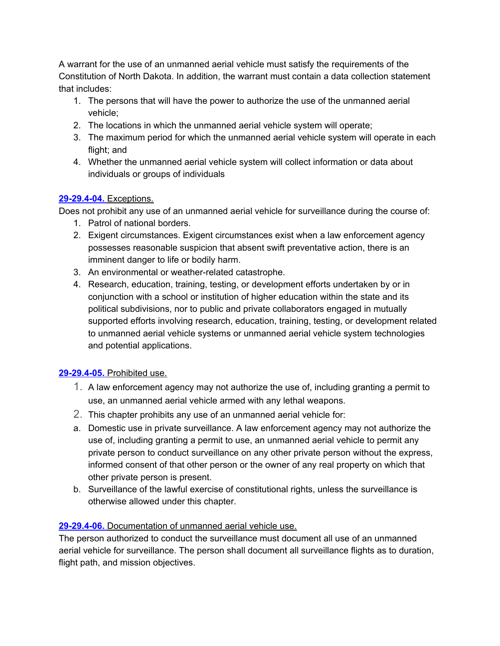A warrant for the use of an unmanned aerial vehicle must satisfy the requirements of the Constitution of North Dakota. In addition, the warrant must contain a data collection statement that includes:

- 1. The persons that will have the power to authorize the use of the unmanned aerial vehicle;
- 2. The locations in which the unmanned aerial vehicle system will operate;
- 3. The maximum period for which the unmanned aerial vehicle system will operate in each flight; and
- 4. Whether the unmanned aerial vehicle system will collect information or data about individuals or groups of individuals

#### **[29-29.4-04.](http://www.legis.nd.gov/cencode/t29c29-4.pdf#nameddest=29-29p4-04)** [Exceptions.](http://www.legis.nd.gov/cencode/t29c29-4.pdf#nameddest=29-29p4-04)

Does not prohibit any use of an unmanned aerial vehicle for surveillance during the course of:

- 1. Patrol of national borders.
- 2. Exigent circumstances. Exigent circumstances exist when a law enforcement agency possesses reasonable suspicion that absent swift preventative action, there is an imminent danger to life or bodily harm.
- 3. An environmental or weather-related catastrophe.
- 4. Research, education, training, testing, or development efforts undertaken by or in conjunction with a school or institution of higher education within the state and its political subdivisions, nor to public and private collaborators engaged in mutually supported efforts involving research, education, training, testing, or development related to unmanned aerial vehicle systems or unmanned aerial vehicle system technologies and potential applications.

#### **[29-29.4-05.](http://www.legis.nd.gov/cencode/t29c29-4.pdf#nameddest=29-29p4-05)** [Prohibited](http://www.legis.nd.gov/cencode/t29c29-4.pdf#nameddest=29-29p4-05) use.

- 1. A law enforcement agency may not authorize the use of, including granting a permit to use, an unmanned aerial vehicle armed with any lethal weapons.
- 2. This chapter prohibits any use of an unmanned aerial vehicle for:
- a. Domestic use in private surveillance. A law enforcement agency may not authorize the use of, including granting a permit to use, an unmanned aerial vehicle to permit any private person to conduct surveillance on any other private person without the express, informed consent of that other person or the owner of any real property on which that other private person is present.
- b. Surveillance of the lawful exercise of constitutional rights, unless the surveillance is otherwise allowed under this chapter.

#### **[29-29.4-06.](http://www.legis.nd.gov/cencode/t29c29-4.pdf#nameddest=29-29p4-06)** [Documentation](http://www.legis.nd.gov/cencode/t29c29-4.pdf#nameddest=29-29p4-06) of unmanned aerial vehicle use.

The person authorized to conduct the surveillance must document all use of an unmanned aerial vehicle for surveillance. The person shall document all surveillance flights as to duration, flight path, and mission objectives.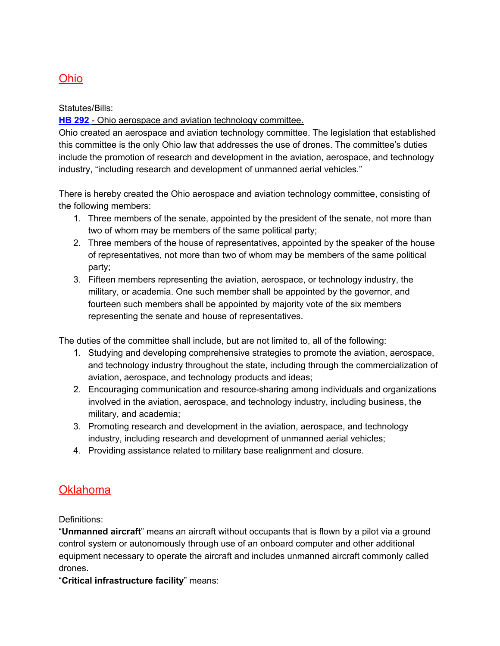# <span id="page-41-0"></span>Ohio

Statutes/Bills:

**HB [292](http://archives.legislature.state.oh.us/bills.cfm?ID=130_HB_292)** - Ohio aerospace and aviation technology committee.

Ohio created an aerospace and aviation technology committee. The legislation that established this committee is the only Ohio law that addresses the use of drones. The committee's duties include the promotion of research and development in the aviation, aerospace, and technology industry, "including research and development of unmanned aerial vehicles."

There is hereby created the Ohio aerospace and aviation technology committee, consisting of the following members:

- 1. Three members of the senate, appointed by the president of the senate, not more than two of whom may be members of the same political party;
- 2. Three members of the house of representatives, appointed by the speaker of the house of representatives, not more than two of whom may be members of the same political party;
- 3. Fifteen members representing the aviation, aerospace, or technology industry, the military, or academia. One such member shall be appointed by the governor, and fourteen such members shall be appointed by majority vote of the six members representing the senate and house of representatives.

The duties of the committee shall include, but are not limited to, all of the following:

- 1. Studying and developing comprehensive strategies to promote the aviation, aerospace, and technology industry throughout the state, including through the commercialization of aviation, aerospace, and technology products and ideas;
- 2. Encouraging communication and resource-sharing among individuals and organizations involved in the aviation, aerospace, and technology industry, including business, the military, and academia;
- 3. Promoting research and development in the aviation, aerospace, and technology industry, including research and development of unmanned aerial vehicles;
- 4. Providing assistance related to military base realignment and closure.

# <span id="page-41-1"></span>Oklahoma

Definitions:

"**Unmanned aircraft**" means an aircraft without occupants that is flown by a pilot via a ground control system or autonomously through use of an onboard computer and other additional equipment necessary to operate the aircraft and includes unmanned aircraft commonly called drones.

"**Critical infrastructure facility**" means: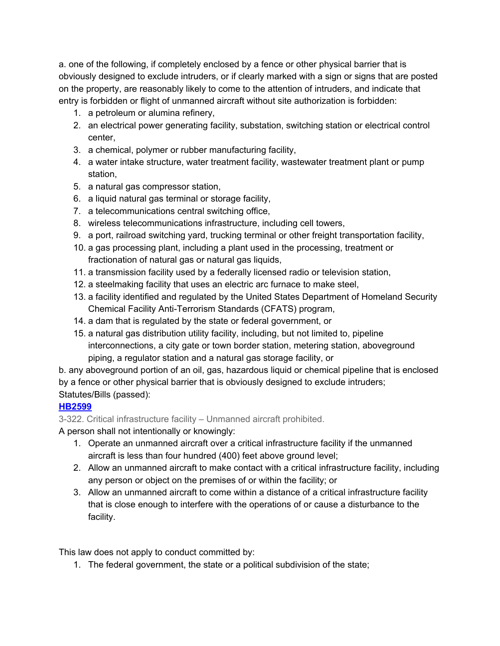a. one of the following, if completely enclosed by a fence or other physical barrier that is obviously designed to exclude intruders, or if clearly marked with a sign or signs that are posted on the property, are reasonably likely to come to the attention of intruders, and indicate that entry is forbidden or flight of unmanned aircraft without site authorization is forbidden:

- 1. a petroleum or alumina refinery,
- 2. an electrical power generating facility, substation, switching station or electrical control center,
- 3. a chemical, polymer or rubber manufacturing facility,
- 4. a water intake structure, water treatment facility, wastewater treatment plant or pump station,
- 5. a natural gas compressor station,
- 6. a liquid natural gas terminal or storage facility,
- 7. a telecommunications central switching office,
- 8. wireless telecommunications infrastructure, including cell towers,
- 9. a port, railroad switching yard, trucking terminal or other freight transportation facility,
- 10. a gas processing plant, including a plant used in the processing, treatment or fractionation of natural gas or natural gas liquids,
- 11. a transmission facility used by a federally licensed radio or television station,
- 12. a steelmaking facility that uses an electric arc furnace to make steel,
- 13. a facility identified and regulated by the United States Department of Homeland Security Chemical Facility Anti-Terrorism Standards (CFATS) program,
- 14. a dam that is regulated by the state or federal government, or
- 15. a natural gas distribution utility facility, including, but not limited to, pipeline interconnections, a city gate or town border station, metering station, aboveground piping, a regulator station and a natural gas storage facility, or

b. any aboveground portion of an oil, gas, hazardous liquid or chemical pipeline that is enclosed by a fence or other physical barrier that is obviously designed to exclude intruders; Statutes/Bills (passed):

#### **[HB2599](http://webserver1.lsb.state.ok.us/cf_pdf/2015-16%20ENR/hB/HB2599%20ENR.PDF)**

3-322. Critical infrastructure facility – Unmanned aircraft prohibited.

A person shall not intentionally or knowingly:

- 1. Operate an unmanned aircraft over a critical infrastructure facility if the unmanned aircraft is less than four hundred (400) feet above ground level;
- 2. Allow an unmanned aircraft to make contact with a critical infrastructure facility, including any person or object on the premises of or within the facility; or
- 3. Allow an unmanned aircraft to come within a distance of a critical infrastructure facility that is close enough to interfere with the operations of or cause a disturbance to the facility.

This law does not apply to conduct committed by:

1. The federal government, the state or a political subdivision of the state;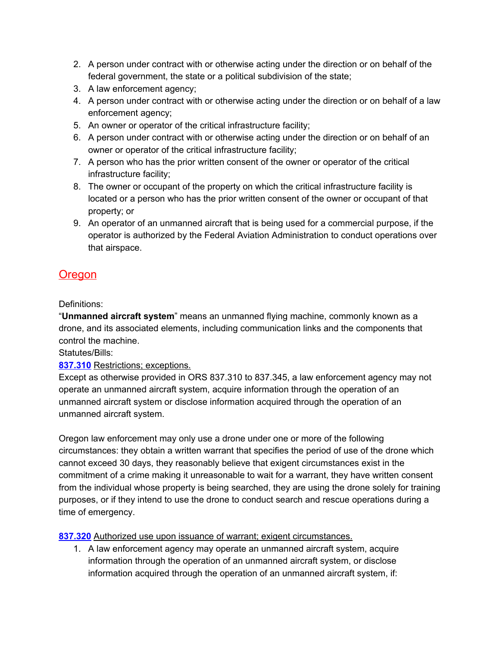- 2. A person under contract with or otherwise acting under the direction or on behalf of the federal government, the state or a political subdivision of the state;
- 3. A law enforcement agency;
- 4. A person under contract with or otherwise acting under the direction or on behalf of a law enforcement agency;
- 5. An owner or operator of the critical infrastructure facility;
- 6. A person under contract with or otherwise acting under the direction or on behalf of an owner or operator of the critical infrastructure facility;
- 7. A person who has the prior written consent of the owner or operator of the critical infrastructure facility;
- 8. The owner or occupant of the property on which the critical infrastructure facility is located or a person who has the prior written consent of the owner or occupant of that property; or
- 9. An operator of an unmanned aircraft that is being used for a commercial purpose, if the operator is authorized by the Federal Aviation Administration to conduct operations over that airspace.

# <span id="page-43-0"></span>**Oregon**

Definitions:

"**Unmanned aircraft system**" means an unmanned flying machine, commonly known as a drone, and its associated elements, including communication links and the components that control the machine.

Statutes/Bills:

**[837.310](https://www.oregonlaws.org/ors/837.310)** Restrictions; exceptions.

Except as otherwise provided in ORS 837.310 to 837.345, a law enforcement agency may not operate an unmanned aircraft system, acquire information through the operation of an unmanned aircraft system or disclose information acquired through the operation of an unmanned aircraft system.

Oregon law enforcement may only use a drone under one or more of the following circumstances: they obtain a written warrant that specifies the period of use of the drone which cannot exceed 30 days, they reasonably believe that exigent circumstances exist in the commitment of a crime making it unreasonable to wait for a warrant, they have written consent from the individual whose property is being searched, they are using the drone solely for training purposes, or if they intend to use the drone to conduct search and rescue operations during a time of emergency.

#### **[837.320](https://www.oregonlaws.org/ors/837.320)** Authorized use upon issuance of warrant; exigent circumstances.

1. A law enforcement agency may operate an unmanned aircraft system, acquire information through the operation of an unmanned aircraft system, or disclose information acquired through the operation of an unmanned aircraft system, if: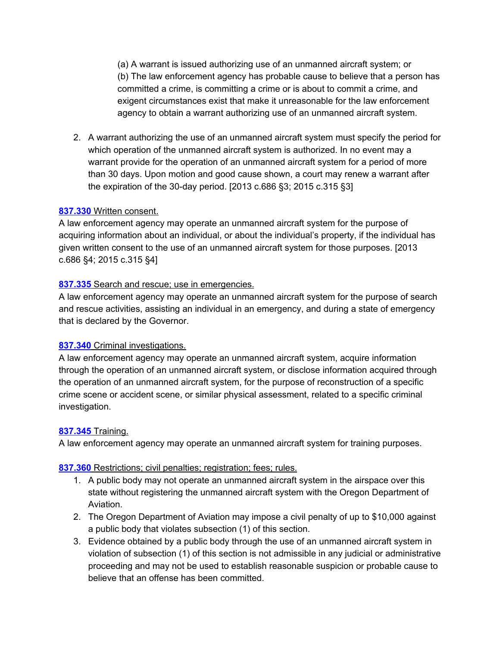(a) A warrant is issued authorizing use of an unmanned aircraft system; or (b) The law enforcement agency has probable cause to believe that a person has committed a crime, is committing a crime or is about to commit a crime, and exigent circumstances exist that make it unreasonable for the law enforcement agency to obtain a warrant authorizing use of an unmanned aircraft system.

2. A warrant authorizing the use of an unmanned aircraft system must specify the period for which operation of the unmanned aircraft system is authorized. In no event may a warrant provide for the operation of an unmanned aircraft system for a period of more than 30 days. Upon motion and good cause shown, a court may renew a warrant after the expiration of the 30-day period. [2013 c.686 §3; 2015 c.315 §3]

#### **[837.330](https://www.oregonlaws.org/ors/837.330)** Written consent.

A law enforcement agency may operate an unmanned aircraft system for the purpose of acquiring information about an individual, or about the individual's property, if the individual has given written consent to the use of an unmanned aircraft system for those purposes. [2013 c.686 §4; 2015 c.315 §4]

#### **[837.335](https://www.oregonlaws.org/ors/837.335)** Search and rescue; use in emergencies.

A law enforcement agency may operate an unmanned aircraft system for the purpose of search and rescue activities, assisting an individual in an emergency, and during a state of emergency that is declared by the Governor.

#### **[837.340](https://www.oregonlaws.org/ors/837.340)** Criminal investigations.

A law enforcement agency may operate an unmanned aircraft system, acquire information through the operation of an unmanned aircraft system, or disclose information acquired through the operation of an unmanned aircraft system, for the purpose of reconstruction of a specific crime scene or accident scene, or similar physical assessment, related to a specific criminal investigation.

#### **[837.345](https://www.oregonlaws.org/ors/837.345)** Training.

A law enforcement agency may operate an unmanned aircraft system for training purposes.

#### **[837.360](https://www.oregonlaws.org/ors/837.360)** Restrictions; civil penalties; registration; fees; rules.

- 1. A public body may not operate an unmanned aircraft system in the airspace over this state without registering the unmanned aircraft system with the Oregon Department of Aviation.
- 2. The Oregon Department of Aviation may impose a civil penalty of up to \$10,000 against a public body that violates subsection (1) of this section.
- 3. Evidence obtained by a public body through the use of an unmanned aircraft system in violation of subsection (1) of this section is not admissible in any judicial or administrative proceeding and may not be used to establish reasonable suspicion or probable cause to believe that an offense has been committed.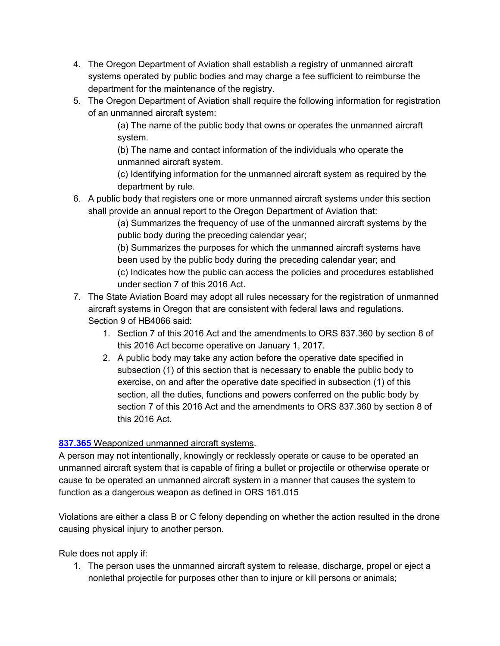- 4. The Oregon Department of Aviation shall establish a registry of unmanned aircraft systems operated by public bodies and may charge a fee sufficient to reimburse the department for the maintenance of the registry.
- 5. The Oregon Department of Aviation shall require the following information for registration of an unmanned aircraft system:

(a) The name of the public body that owns or operates the unmanned aircraft system.

(b) The name and contact information of the individuals who operate the unmanned aircraft system.

(c) Identifying information for the unmanned aircraft system as required by the department by rule.

6. A public body that registers one or more unmanned aircraft systems under this section shall provide an annual report to the Oregon Department of Aviation that:

(a) Summarizes the frequency of use of the unmanned aircraft systems by the public body during the preceding calendar year;

(b) Summarizes the purposes for which the unmanned aircraft systems have been used by the public body during the preceding calendar year; and (c) Indicates how the public can access the policies and procedures established under section 7 of this 2016 Act.

- 7. The State Aviation Board may adopt all rules necessary for the registration of unmanned aircraft systems in Oregon that are consistent with federal laws and regulations. Section 9 of HB4066 said:
	- 1. Section 7 of this 2016 Act and the amendments to ORS 837.360 by section 8 of this 2016 Act become operative on January 1, 2017.
	- 2. A public body may take any action before the operative date specified in subsection (1) of this section that is necessary to enable the public body to exercise, on and after the operative date specified in subsection (1) of this section, all the duties, functions and powers conferred on the public body by section 7 of this 2016 Act and the amendments to ORS 837.360 by section 8 of this 2016 Act.

#### **[837.365](https://www.oregonlaws.org/ors/837.365)** Weaponized unmanned aircraft systems.

A person may not intentionally, knowingly or recklessly operate or cause to be operated an unmanned aircraft system that is capable of firing a bullet or projectile or otherwise operate or cause to be operated an unmanned aircraft system in a manner that causes the system to function as a dangerous weapon as defined in ORS 161.015

Violations are either a class B or C felony depending on whether the action resulted in the drone causing physical injury to another person.

Rule does not apply if:

1. The person uses the unmanned aircraft system to release, discharge, propel or eject a nonlethal projectile for purposes other than to injure or kill persons or animals;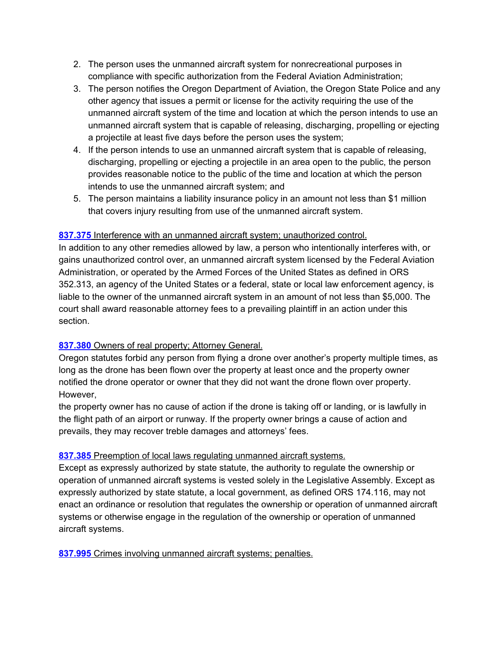- 2. The person uses the unmanned aircraft system for nonrecreational purposes in compliance with specific authorization from the Federal Aviation Administration;
- 3. The person notifies the Oregon Department of Aviation, the Oregon State Police and any other agency that issues a permit or license for the activity requiring the use of the unmanned aircraft system of the time and location at which the person intends to use an unmanned aircraft system that is capable of releasing, discharging, propelling or ejecting a projectile at least five days before the person uses the system;
- 4. If the person intends to use an unmanned aircraft system that is capable of releasing, discharging, propelling or ejecting a projectile in an area open to the public, the person provides reasonable notice to the public of the time and location at which the person intends to use the unmanned aircraft system; and
- 5. The person maintains a liability insurance policy in an amount not less than \$1 million that covers injury resulting from use of the unmanned aircraft system.

#### **[837.375](https://www.oregonlaws.org/ors/837.375)** Interference with an unmanned aircraft system; unauthorized control.

In addition to any other remedies allowed by law, a person who intentionally interferes with, or gains unauthorized control over, an unmanned aircraft system licensed by the Federal Aviation Administration, or operated by the Armed Forces of the United States as defined in ORS 352.313, an agency of the United States or a federal, state or local law enforcement agency, is liable to the owner of the unmanned aircraft system in an amount of not less than \$5,000. The court shall award reasonable attorney fees to a prevailing plaintiff in an action under this section.

#### [837.380](https://www.oregonlaws.org/ors/837.380) Owners of real property; Attorney General.

Oregon statutes forbid any person from flying a drone over another's property multiple times, as long as the drone has been flown over the property at least once and the property owner notified the drone operator or owner that they did not want the drone flown over property. However,

the property owner has no cause of action if the drone is taking off or landing, or is lawfully in the flight path of an airport or runway. If the property owner brings a cause of action and prevails, they may recover treble damages and attorneys' fees.

#### **[837.385](https://www.oregonlaws.org/ors/837.385)** Preemption of local laws regulating unmanned aircraft systems.

Except as expressly authorized by state statute, the authority to regulate the ownership or operation of unmanned aircraft systems is vested solely in the Legislative Assembly. Except as expressly authorized by state statute, a local government, as defined ORS 174.116, may not enact an ordinance or resolution that regulates the ownership or operation of unmanned aircraft systems or otherwise engage in the regulation of the ownership or operation of unmanned aircraft systems.

**[837.995](https://www.oregonlaws.org/ors/837.995)** Crimes involving unmanned aircraft systems; penalties.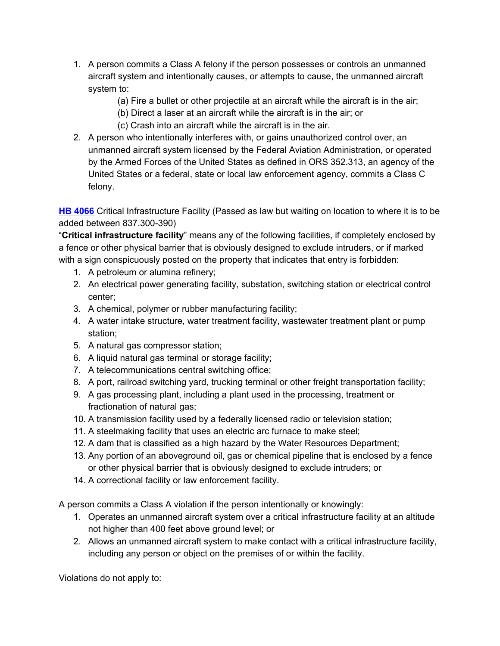- 1. A person commits a Class A felony if the person possesses or controls an unmanned aircraft system and intentionally causes, or attempts to cause, the unmanned aircraft system to:
	- (a) Fire a bullet or other projectile at an aircraft while the aircraft is in the air;
	- (b) Direct a laser at an aircraft while the aircraft is in the air; or
	- (c) Crash into an aircraft while the aircraft is in the air.
- 2. A person who intentionally interferes with, or gains unauthorized control over, an unmanned aircraft system licensed by the Federal Aviation Administration, or operated by the Armed Forces of the United States as defined in ORS 352.313, an agency of the United States or a federal, state or local law enforcement agency, commits a Class C felony.

**HB [4066](https://www.oregonlegislature.gov/bills_laws/lawsstatutes/2016orLaw0072.pdf)** Critical Infrastructure Facility (Passed as law but waiting on location to where it is to be added between 837.300-390)

"**Critical infrastructure facility**" means any of the following facilities, if completely enclosed by a fence or other physical barrier that is obviously designed to exclude intruders, or if marked with a sign conspicuously posted on the property that indicates that entry is forbidden:

- 1. A petroleum or alumina refinery;
- 2. An electrical power generating facility, substation, switching station or electrical control center;
- 3. A chemical, polymer or rubber manufacturing facility;
- 4. A water intake structure, water treatment facility, wastewater treatment plant or pump station;
- 5. A natural gas compressor station;
- 6. A liquid natural gas terminal or storage facility;
- 7. A telecommunications central switching office;
- 8. A port, railroad switching yard, trucking terminal or other freight transportation facility;
- 9. A gas processing plant, including a plant used in the processing, treatment or fractionation of natural gas;
- 10. A transmission facility used by a federally licensed radio or television station;
- 11. A steelmaking facility that uses an electric arc furnace to make steel;
- 12. A dam that is classified as a high hazard by the Water Resources Department;
- 13. Any portion of an aboveground oil, gas or chemical pipeline that is enclosed by a fence or other physical barrier that is obviously designed to exclude intruders; or
- 14. A correctional facility or law enforcement facility.

A person commits a Class A violation if the person intentionally or knowingly:

- 1. Operates an unmanned aircraft system over a critical infrastructure facility at an altitude not higher than 400 feet above ground level; or
- 2. Allows an unmanned aircraft system to make contact with a critical infrastructure facility, including any person or object on the premises of or within the facility.

Violations do not apply to: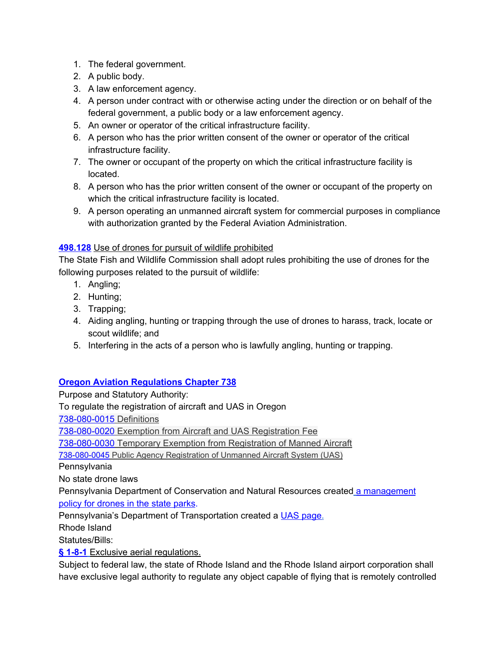- 1. The federal government.
- 2. A public body.
- 3. A law enforcement agency.
- 4. A person under contract with or otherwise acting under the direction or on behalf of the federal government, a public body or a law enforcement agency.
- 5. An owner or operator of the critical infrastructure facility.
- 6. A person who has the prior written consent of the owner or operator of the critical infrastructure facility.
- 7. The owner or occupant of the property on which the critical infrastructure facility is located.
- 8. A person who has the prior written consent of the owner or occupant of the property on which the critical infrastructure facility is located.
- 9. A person operating an unmanned aircraft system for commercial purposes in compliance with authorization granted by the Federal Aviation Administration.

#### **[498.128](https://www.oregonlaws.org/ors/498.128)** Use of drones for pursuit of wildlife prohibited

The State Fish and Wildlife Commission shall adopt rules prohibiting the use of drones for the following purposes related to the pursuit of wildlife:

- 1. Angling;
- 2. Hunting;
- 3. Trapping;
- 4. Aiding angling, hunting or trapping through the use of drones to harass, track, locate or scout wildlife; and
- 5. Interfering in the acts of a person who is lawfully angling, hunting or trapping.

#### **Oregon Aviation [Regulations](https://secure.sos.state.or.us/oard/displayDivisionRules.action;JSESSIONID_OARD=mCkaYZZKgO9LXVwggI3nJ7U01lJHCMuWfsRLY00nE0OBdfbS8pBt!79857996?selectedDivision=3467) Chapter 738**

Purpose and Statutory Authority:

To regulate the registration of aircraft and UAS in Oregon

[738-080-0015](https://secure.sos.state.or.us/oard/viewSingleRule.action;JSESSIONID_OARD=Yzgpx5GyKPUZI4znl5DbsHcGBZka-0JZBGwXBOx_OI9hnrEwCCqd!479495115?ruleVrsnRsn=189359) Definitions

[738-080-0020](https://secure.sos.state.or.us/oard/viewSingleRule.action;JSESSIONID_OARD=Yzgpx5GyKPUZI4znl5DbsHcGBZka-0JZBGwXBOx_OI9hnrEwCCqd!479495115?ruleVrsnRsn=189360) Exemption from Aircraft and UAS Registration Fee

[738-080-0030](https://secure.sos.state.or.us/oard/viewSingleRule.action;JSESSIONID_OARD=Yzgpx5GyKPUZI4znl5DbsHcGBZka-0JZBGwXBOx_OI9hnrEwCCqd!479495115?ruleVrsnRsn=189362) Temporary Exemption from Registration of Manned Aircraft

[738-080-0045](https://secure.sos.state.or.us/oard/viewSingleRule.action;JSESSIONID_OARD=Yzgpx5GyKPUZI4znl5DbsHcGBZka-0JZBGwXBOx_OI9hnrEwCCqd!479495115?ruleVrsnRsn=189369) Public Agency Registration of Unmanned Aircraft System (UAS)

**Pennsylvania** 

No state drone laws

Pennsylvania Department of Conservation and Natural Resources create[d](http://www.dcnr.state.pa.us/stateparks/rulesandregulations/dronesanduas/index.htm) a [management](http://www.dcnr.state.pa.us/stateparks/rulesandregulations/dronesanduas/index.htm) policy for [drones](http://www.dcnr.state.pa.us/stateparks/rulesandregulations/dronesanduas/index.htm) in the state parks.

Pennsylvania's Department of Transportation created a UAS [page.](http://www.penndot.gov/Doing-Business/Aviation/Licensing%20and%20Safety/Pages/Unmanned-Aircraft-Systems-(Drone)-Information.aspx)

Rhode Island

Statutes/Bills:

**§ [1-8-1](http://webserver.rilin.state.ri.us/Statutes/TITLE1/1-8/1-8-1.HTM)** Exclusive aerial [regulations.](http://webserver.rilin.state.ri.us/Statutes/TITLE1/1-8/1-8-1.HTM)

Subject to federal law, the state of Rhode Island and the Rhode Island airport corporation shall have exclusive legal authority to regulate any object capable of flying that is remotely controlled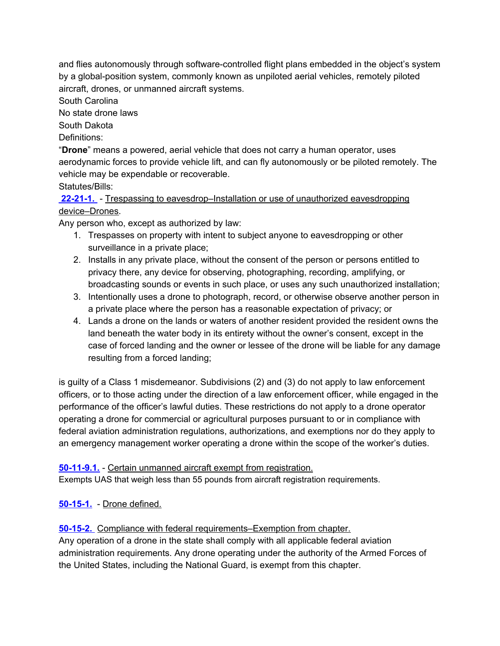and flies autonomously through software-controlled flight plans embedded in the object's system by a global-position system, commonly known as unpiloted aerial vehicles, remotely piloted aircraft, drones, or unmanned aircraft systems.

South Carolina

No state drone laws

South Dakota

Definitions:

"**Drone**" means a powered, aerial vehicle that does not carry a human operator, uses aerodynamic forces to provide vehicle lift, and can fly autonomously or be piloted remotely. The vehicle may be expendable or recoverable.

#### Statutes/Bills:

**[22-21-1.](http://www.sdlegislature.gov/Statutes/Codified_Laws/DisplayStatute.aspx?Type=Statute&Statute=22-21-1)** - Trespassing to eavesdrop–Installation or use of unauthorized eavesdropping device–Drones.

Any person who, except as authorized by law:

- 1. Trespasses on property with intent to subject anyone to eavesdropping or other surveillance in a private place;
- 2. Installs in any private place, without the consent of the person or persons entitled to privacy there, any device for observing, photographing, recording, amplifying, or broadcasting sounds or events in such place, or uses any such unauthorized installation;
- 3. Intentionally uses a drone to photograph, record, or otherwise observe another person in a private place where the person has a reasonable expectation of privacy; or
- 4. Lands a drone on the lands or waters of another resident provided the resident owns the land beneath the water body in its entirety without the owner's consent, except in the case of forced landing and the owner or lessee of the drone will be liable for any damage resulting from a forced landing;

is guilty of a Class 1 misdemeanor. Subdivisions (2) and (3) do not apply to law enforcement officers, or to those acting under the direction of a law enforcement officer, while engaged in the performance of the officer's lawful duties. These restrictions do not apply to a drone operator operating a drone for commercial or agricultural purposes pursuant to or in compliance with federal aviation administration regulations, authorizations, and exemptions nor do they apply to an emergency management worker operating a drone within the scope of the worker's duties.

#### **[50-11-9.1.](http://www.sdlegislature.gov/Statutes/Codified_Laws/DisplayStatute.aspx?Type=Statute&Statute=50-11-9.1)** - Certain unmanned aircraft exempt from registration.

Exempts UAS that weigh less than 55 pounds from aircraft registration requirements.

#### **[50-15-1.](http://sdlegislature.gov/Statutes/Codified_Laws/DisplayStatute.aspx?Type=Statute&Statute=50-15-1)** - Drone defined.

#### **[50-15-2.](http://sdlegislature.gov/Statutes/Codified_Laws/DisplayStatute.aspx?Type=Statute&Statute=50-15-2)** Compliance with federal requirements–Exemption from chapter.

Any operation of a drone in the state shall comply with all applicable federal aviation administration requirements. Any drone operating under the authority of the Armed Forces of the United States, including the National Guard, is exempt from this chapter.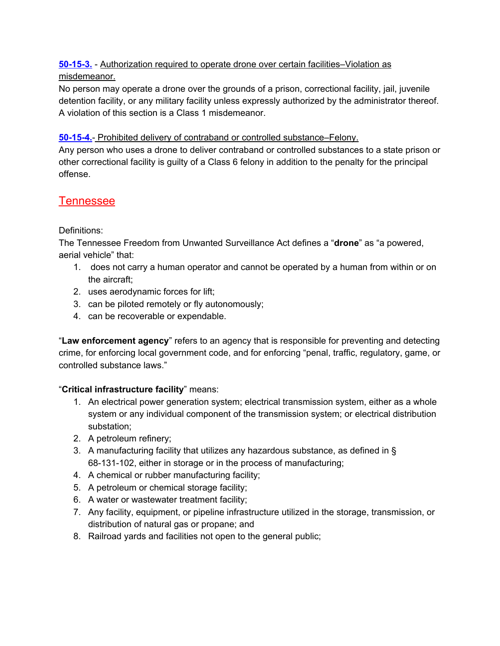#### **[50-15-3.](http://sdlegislature.gov/Statutes/Codified_Laws/DisplayStatute.aspx?Type=Statute&Statute=50-15-3)** - Authorization required to operate drone over certain facilities–Violation as misdemeanor.

No person may operate a drone over the grounds of a prison, correctional facility, jail, juvenile detention facility, or any military facility unless expressly authorized by the administrator thereof. A violation of this section is a Class 1 misdemeanor.

#### **[50-15-4.](http://sdlegislature.gov/Statutes/Codified_Laws/DisplayStatute.aspx?Type=Statute&Statute=50-15-4)**- Prohibited delivery of contraband or controlled substance–Felony.

Any person who uses a drone to deliver contraband or controlled substances to a state prison or other correctional facility is guilty of a Class 6 felony in addition to the penalty for the principal offense.

# <span id="page-50-0"></span>**Tennessee**

#### Definitions:

The Tennessee Freedom from Unwanted Surveillance Act defines a "**drone**" as "a powered, aerial vehicle" that:

- 1. does not carry a human operator and cannot be operated by a human from within or on the aircraft;
- 2. uses aerodynamic forces for lift;
- 3. can be piloted remotely or fly autonomously;
- 4. can be recoverable or expendable.

"**Law enforcement agency**" refers to an agency that is responsible for preventing and detecting crime, for enforcing local government code, and for enforcing "penal, traffic, regulatory, game, or controlled substance laws."

#### "**Critical infrastructure facility**" means:

- 1. An electrical power generation system; electrical transmission system, either as a whole system or any individual component of the transmission system; or electrical distribution substation;
- 2. A petroleum refinery;
- 3. A manufacturing facility that utilizes any hazardous substance, as defined in § 68-131-102, either in storage or in the process of manufacturing;
- 4. A chemical or rubber manufacturing facility;
- 5. A petroleum or chemical storage facility;
- 6. A water or wastewater treatment facility;
- 7. Any facility, equipment, or pipeline infrastructure utilized in the storage, transmission, or distribution of natural gas or propane; and
- 8. Railroad yards and facilities not open to the general public;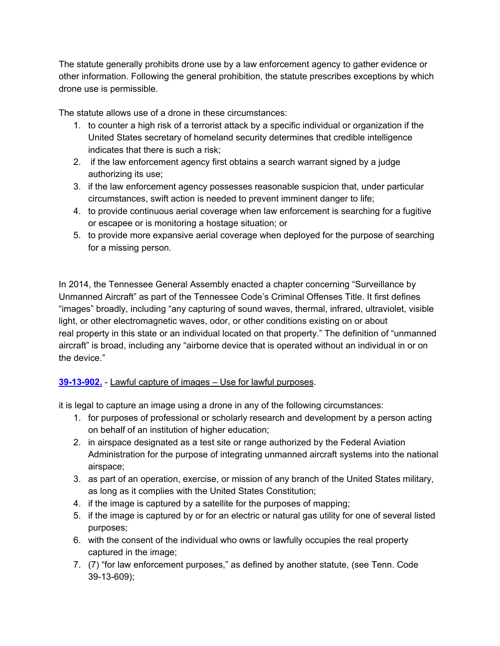The statute generally prohibits drone use by a law enforcement agency to gather evidence or other information. Following the general prohibition, the statute prescribes exceptions by which drone use is permissible.

The statute allows use of a drone in these circumstances:

- 1. to counter a high risk of a terrorist attack by a specific individual or organization if the United States secretary of homeland security determines that credible intelligence indicates that there is such a risk;
- 2. if the law enforcement agency first obtains a search warrant signed by a judge authorizing its use;
- 3. if the law enforcement agency possesses reasonable suspicion that, under particular circumstances, swift action is needed to prevent imminent danger to life;
- 4. to provide continuous aerial coverage when law enforcement is searching for a fugitive or escapee or is monitoring a hostage situation; or
- 5. to provide more expansive aerial coverage when deployed for the purpose of searching for a missing person.

In 2014, the Tennessee General Assembly enacted a chapter concerning "Surveillance by Unmanned Aircraft" as part of the Tennessee Code's Criminal Offenses Title. It first defines "images" broadly, including "any capturing of sound waves, thermal, infrared, ultraviolet, visible light, or other electromagnetic waves, odor, or other conditions existing on or about real property in this state or an individual located on that property." The definition of "unmanned aircraft" is broad, including any "airborne device that is operated without an individual in or on the device."

#### **[39-13-902.](https://law.justia.com/codes/tennessee/2014/title-39/chapter-13/part-9/section-39-13-902/)** - Lawful capture of images – Use for lawful purposes.

it is legal to capture an image using a drone in any of the following circumstances:

- 1. for purposes of professional or scholarly research and development by a person acting on behalf of an institution of higher education;
- 2. in airspace designated as a test site or range authorized by the Federal Aviation Administration for the purpose of integrating unmanned aircraft systems into the national airspace;
- 3. as part of an operation, exercise, or mission of any branch of the United States military, as long as it complies with the United States Constitution;
- 4. if the image is captured by a satellite for the purposes of mapping;
- 5. if the image is captured by or for an electric or natural gas utility for one of several listed purposes;
- 6. with the consent of the individual who owns or lawfully occupies the real property captured in the image;
- 7. (7) "for law enforcement purposes," as defined by another statute, (see Tenn. Code 39-13-609);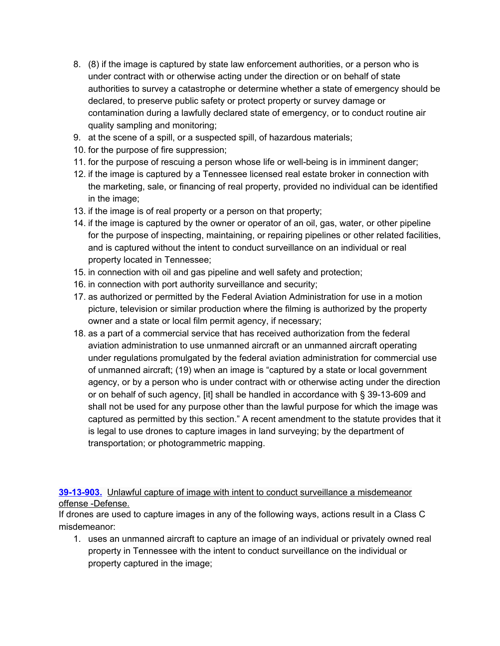- 8. (8) if the image is captured by state law enforcement authorities, or a person who is under contract with or otherwise acting under the direction or on behalf of state authorities to survey a catastrophe or determine whether a state of emergency should be declared, to preserve public safety or protect property or survey damage or contamination during a lawfully declared state of emergency, or to conduct routine air quality sampling and monitoring;
- 9. at the scene of a spill, or a suspected spill, of hazardous materials;
- 10. for the purpose of fire suppression;
- 11. for the purpose of rescuing a person whose life or well-being is in imminent danger;
- 12. if the image is captured by a Tennessee licensed real estate broker in connection with the marketing, sale, or financing of real property, provided no individual can be identified in the image;
- 13. if the image is of real property or a person on that property;
- 14. if the image is captured by the owner or operator of an oil, gas, water, or other pipeline for the purpose of inspecting, maintaining, or repairing pipelines or other related facilities, and is captured without the intent to conduct surveillance on an individual or real property located in Tennessee;
- 15. in connection with oil and gas pipeline and well safety and protection;
- 16. in connection with port authority surveillance and security;
- 17. as authorized or permitted by the Federal Aviation Administration for use in a motion picture, television or similar production where the filming is authorized by the property owner and a state or local film permit agency, if necessary;
- 18. as a part of a commercial service that has received authorization from the federal aviation administration to use unmanned aircraft or an unmanned aircraft operating under regulations promulgated by the federal aviation administration for commercial use of unmanned aircraft; (19) when an image is "captured by a state or local government agency, or by a person who is under contract with or otherwise acting under the direction or on behalf of such agency, [it] shall be handled in accordance with § 39-13-609 and shall not be used for any purpose other than the lawful purpose for which the image was captured as permitted by this section." A recent amendment to the statute provides that it is legal to use drones to capture images in land surveying; by the department of transportation; or photogrammetric mapping.

**[39-13-903.](https://law.justia.com/codes/tennessee/2014/title-39/chapter-13/part-9/section-39-13-903)** Unlawful capture of image with intent to conduct surveillance a misdemeanor offense -Defense.

If drones are used to capture images in any of the following ways, actions result in a Class C misdemeanor:

1. uses an unmanned aircraft to capture an image of an individual or privately owned real property in Tennessee with the intent to conduct surveillance on the individual or property captured in the image;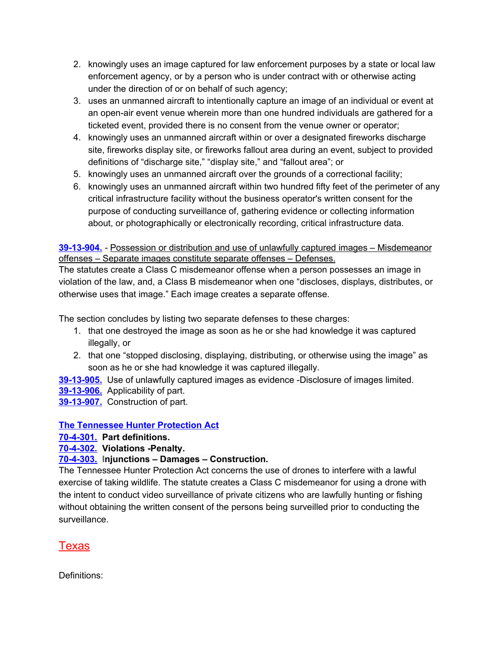- 2. knowingly uses an image captured for law enforcement purposes by a state or local law enforcement agency, or by a person who is under contract with or otherwise acting under the direction of or on behalf of such agency;
- 3. uses an unmanned aircraft to intentionally capture an image of an individual or event at an open-air event venue wherein more than one hundred individuals are gathered for a ticketed event, provided there is no consent from the venue owner or operator;
- 4. knowingly uses an unmanned aircraft within or over a designated fireworks discharge site, fireworks display site, or fireworks fallout area during an event, subject to provided definitions of "discharge site," "display site," and "fallout area"; or
- 5. knowingly uses an unmanned aircraft over the grounds of a correctional facility;
- 6. knowingly uses an unmanned aircraft within two hundred fifty feet of the perimeter of any critical infrastructure facility without the business operator's written consent for the purpose of conducting surveillance of, gathering evidence or collecting information about, or photographically or electronically recording, critical infrastructure data.

**[39-13-904.](https://law.justia.com/codes/tennessee/2014/title-39/chapter-13/part-9/section-39-13-904/) -** Possession or distribution and use of unlawfully captured images – Misdemeanor offenses – Separate images constitute separate offenses – Defenses.

The statutes create a Class C misdemeanor offense when a person possesses an image in violation of the law, and, a Class B misdemeanor when one "discloses, displays, distributes, or otherwise uses that image." Each image creates a separate offense.

The section concludes by listing two separate defenses to these charges:

- 1. that one destroyed the image as soon as he or she had knowledge it was captured illegally, or
- 2. that one "stopped disclosing, displaying, distributing, or otherwise using the image" as soon as he or she had knowledge it was captured illegally.

**[39-13-905.](https://law.justia.com/codes/tennessee/2014/title-39/chapter-13/part-9/section-39-13-905/)** Use of unlawfully captured images as evidence -Disclosure of images limited.

**[39-13-906.](https://law.justia.com/codes/tennessee/2016/title-39/chapter-13/part-9/section-39-13-906/)** Applicability of part.

**[39-13-907.](https://law.justia.com/codes/tennessee/2016/title-39/chapter-13/part-9/section-39-13-907/)** Construction of part.

#### **The [Tennessee](https://law.justia.com/codes/tennessee/2016/title-70/chapter-4/part-3/) Hunter Protection Act**

**[70-4-301.](https://law.justia.com/codes/tennessee/2016/title-70/chapter-4/part-3/section-70-4-301/) Part definitions.**

#### **[70-4-302.](https://law.justia.com/codes/tennessee/2016/title-70/chapter-4/part-3/section-70-4-302/) Violations -Penalty.**

#### **[70-4-303.](https://law.justia.com/codes/tennessee/2016/title-70/chapter-4/part-3/section-70-4-303/) Injunctions – Damages – Construction.**

The Tennessee Hunter Protection Act concerns the use of drones to interfere with a lawful exercise of taking wildlife. The statute creates a Class C misdemeanor for using a drone with the intent to conduct video surveillance of private citizens who are lawfully hunting or fishing without obtaining the written consent of the persons being surveilled prior to conducting the surveillance.

# <span id="page-53-0"></span>Texas

Definitions: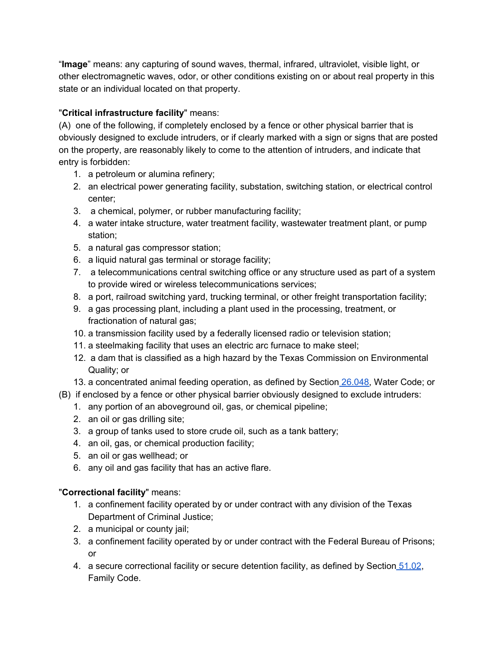"**Image**" means: any capturing of sound waves, thermal, infrared, ultraviolet, visible light, or other electromagnetic waves, odor, or other conditions existing on or about real property in this state or an individual located on that property.

#### "**Critical infrastructure facility**" means:

(A) one of the following, if completely enclosed by a fence or other physical barrier that is obviously designed to exclude intruders, or if clearly marked with a sign or signs that are posted on the property, are reasonably likely to come to the attention of intruders, and indicate that entry is forbidden:

- 1. a petroleum or alumina refinery;
- 2. an electrical power generating facility, substation, switching station, or electrical control center;
- 3. a chemical, polymer, or rubber manufacturing facility;
- 4. a water intake structure, water treatment facility, wastewater treatment plant, or pump station;
- 5. a natural gas compressor station;
- 6. a liquid natural gas terminal or storage facility;
- 7. a telecommunications central switching office or any structure used as part of a system to provide wired or wireless telecommunications services;
- 8. a port, railroad switching yard, trucking terminal, or other freight transportation facility;
- 9. a gas processing plant, including a plant used in the processing, treatment, or fractionation of natural gas;
- 10. a transmission facility used by a federally licensed radio or television station;
- 11. a steelmaking facility that uses an electric arc furnace to make steel;
- 12. a dam that is classified as a high hazard by the Texas Commission on Environmental Quality; or
- 13. a concentrated animal feeding operation, as defined by Section [26.048](http://www.statutes.legis.state.tx.us/GetStatute.aspx?Code=WA&Value=26.048), Water Code; or
- (B) if enclosed by a fence or other physical barrier obviously designed to exclude intruders:
	- 1. any portion of an aboveground oil, gas, or chemical pipeline;
	- 2. an oil or gas drilling site;
	- 3. a group of tanks used to store crude oil, such as a tank battery;
	- 4. an oil, gas, or chemical production facility;
	- 5. an oil or gas wellhead; or
	- 6. any oil and gas facility that has an active flare.

#### "**Correctional facility**" means:

- 1. a confinement facility operated by or under contract with any division of the Texas Department of Criminal Justice;
- 2. a municipal or county jail;
- 3. a confinement facility operated by or under contract with the Federal Bureau of Prisons; or
- 4. a secure correctional facility or secure detention facility, as defined by Section [51.02](http://www.statutes.legis.state.tx.us/GetStatute.aspx?Code=FA&Value=51.02), Family Code.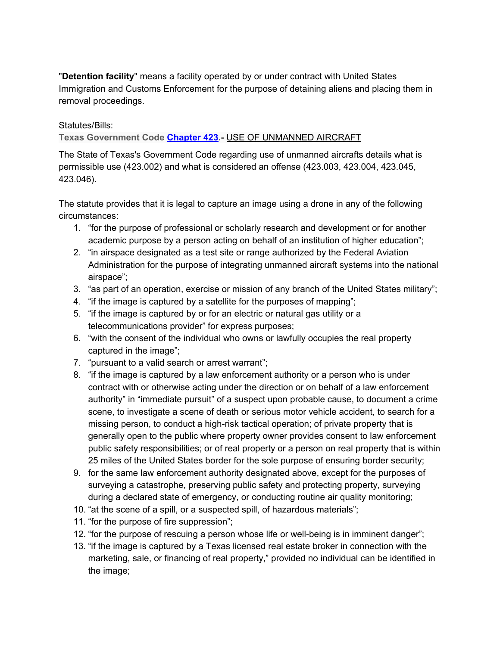"**Detention facility**" means a facility operated by or under contract with United States Immigration and Customs Enforcement for the purpose of detaining aliens and placing them in removal proceedings.

Statutes/Bills:

**Texas Government Code [Chapter](http://www.statutes.legis.state.tx.us/Docs/GV/htm/GV.423.htm) 423.-** USE OF UNMANNED AIRCRAFT

The State of Texas's Government Code regarding use of unmanned aircrafts details what is permissible use (423.002) and what is considered an offense (423.003, 423.004, 423.045, 423.046).

The statute provides that it is legal to capture an image using a drone in any of the following circumstances:

- 1. "for the purpose of professional or scholarly research and development or for another academic purpose by a person acting on behalf of an institution of higher education";
- 2. "in airspace designated as a test site or range authorized by the Federal Aviation Administration for the purpose of integrating unmanned aircraft systems into the national airspace";
- 3. "as part of an operation, exercise or mission of any branch of the United States military";
- 4. "if the image is captured by a satellite for the purposes of mapping";
- 5. "if the image is captured by or for an electric or natural gas utility or a telecommunications provider" for express purposes;
- 6. "with the consent of the individual who owns or lawfully occupies the real property captured in the image";
- 7. "pursuant to a valid search or arrest warrant";
- 8. "if the image is captured by a law enforcement authority or a person who is under contract with or otherwise acting under the direction or on behalf of a law enforcement authority" in "immediate pursuit" of a suspect upon probable cause, to document a crime scene, to investigate a scene of death or serious motor vehicle accident, to search for a missing person, to conduct a high-risk tactical operation; of private property that is generally open to the public where property owner provides consent to law enforcement public safety responsibilities; or of real property or a person on real property that is within 25 miles of the United States border for the sole purpose of ensuring border security;
- 9. for the same law enforcement authority designated above, except for the purposes of surveying a catastrophe, preserving public safety and protecting property, surveying during a declared state of emergency, or conducting routine air quality monitoring;
- 10. "at the scene of a spill, or a suspected spill, of hazardous materials";
- 11. "for the purpose of fire suppression";
- 12. "for the purpose of rescuing a person whose life or well-being is in imminent danger";
- 13. "if the image is captured by a Texas licensed real estate broker in connection with the marketing, sale, or financing of real property," provided no individual can be identified in the image;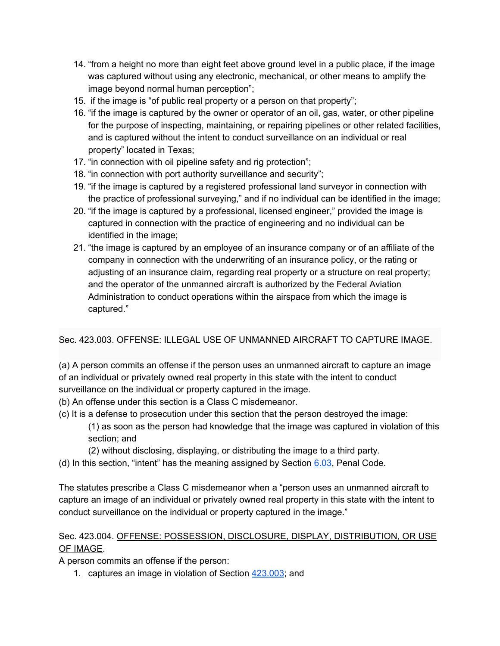- 14. "from a height no more than eight feet above ground level in a public place, if the image was captured without using any electronic, mechanical, or other means to amplify the image beyond normal human perception";
- 15. if the image is "of public real property or a person on that property";
- 16. "if the image is captured by the owner or operator of an oil, gas, water, or other pipeline for the purpose of inspecting, maintaining, or repairing pipelines or other related facilities, and is captured without the intent to conduct surveillance on an individual or real property" located in Texas;
- 17. "in connection with oil pipeline safety and rig protection";
- 18. "in connection with port authority surveillance and security";
- 19. "if the image is captured by a registered professional land surveyor in connection with the practice of professional surveying," and if no individual can be identified in the image;
- 20. "if the image is captured by a professional, licensed engineer," provided the image is captured in connection with the practice of engineering and no individual can be identified in the image;
- 21. "the image is captured by an employee of an insurance company or of an affiliate of the company in connection with the underwriting of an insurance policy, or the rating or adjusting of an insurance claim, regarding real property or a structure on real property; and the operator of the unmanned aircraft is authorized by the Federal Aviation Administration to conduct operations within the airspace from which the image is captured."

#### Sec. 423.003. OFFENSE: ILLEGAL USE OF UNMANNED AIRCRAFT TO CAPTURE IMAGE.

(a) A person commits an offense if the person uses an unmanned aircraft to capture an image of an individual or privately owned real property in this state with the intent to conduct surveillance on the individual or property captured in the image.

- (b) An offense under this section is a Class C misdemeanor.
- (c) It is a defense to prosecution under this section that the person destroyed the image:
	- (1) as soon as the person had knowledge that the image was captured in violation of this section; and
	- (2) without disclosing, displaying, or distributing the image to a third party.
- (d) In this section, "intent" has the meaning assigned by Section [6.03](http://www.statutes.legis.state.tx.us/GetStatute.aspx?Code=PE&Value=6.03), Penal Code.

The statutes prescribe a Class C misdemeanor when a "person uses an unmanned aircraft to capture an image of an individual or privately owned real property in this state with the intent to conduct surveillance on the individual or property captured in the image."

#### Sec. 423.004. OFFENSE: POSSESSION, DISCLOSURE, DISPLAY, DISTRIBUTION, OR USE OF IMAGE.

A person commits an offense if the person:

1. captures an image in violation of Section [423.003](http://www.statutes.legis.state.tx.us/GetStatute.aspx?Code=GV&Value=423.003); and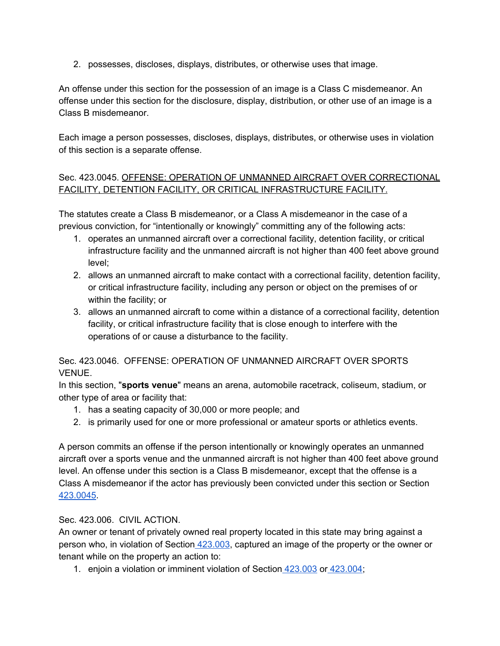2. possesses, discloses, displays, distributes, or otherwise uses that image.

An offense under this section for the possession of an image is a Class C misdemeanor. An offense under this section for the disclosure, display, distribution, or other use of an image is a Class B misdemeanor.

Each image a person possesses, discloses, displays, distributes, or otherwise uses in violation of this section is a separate offense.

#### Sec. 423.0045. OFFENSE: OPERATION OF UNMANNED AIRCRAFT OVER CORRECTIONAL FACILITY, DETENTION FACILITY, OR CRITICAL INFRASTRUCTURE FACILITY.

The statutes create a Class B misdemeanor, or a Class A misdemeanor in the case of a previous conviction, for "intentionally or knowingly" committing any of the following acts:

- 1. operates an unmanned aircraft over a correctional facility, detention facility, or critical infrastructure facility and the unmanned aircraft is not higher than 400 feet above ground level;
- 2. allows an unmanned aircraft to make contact with a correctional facility, detention facility, or critical infrastructure facility, including any person or object on the premises of or within the facility; or
- 3. allows an unmanned aircraft to come within a distance of a correctional facility, detention facility, or critical infrastructure facility that is close enough to interfere with the operations of or cause a disturbance to the facility.

#### Sec. 423.0046. OFFENSE: OPERATION OF UNMANNED AIRCRAFT OVER SPORTS VENUE.

In this section, "**sports venue**" means an arena, automobile racetrack, coliseum, stadium, or other type of area or facility that:

- 1. has a seating capacity of 30,000 or more people; and
- 2. is primarily used for one or more professional or amateur sports or athletics events.

A person commits an offense if the person intentionally or knowingly operates an unmanned aircraft over a sports venue and the unmanned aircraft is not higher than 400 feet above ground level. An offense under this section is a Class B misdemeanor, except that the offense is a Class A misdemeanor if the actor has previously been convicted under this section or Section [423.0045.](http://www.statutes.legis.state.tx.us/GetStatute.aspx?Code=GV&Value=423.0045)

#### Sec. 423.006. CIVIL ACTION.

An owner or tenant of privately owned real property located in this state may bring against a person who, in violation of Section [423.003](http://www.statutes.legis.state.tx.us/GetStatute.aspx?Code=GV&Value=423.003), captured an image of the property or the owner or tenant while on the property an action to:

1. enjoin a violation or imminent violation of Section [423.003](http://www.statutes.legis.state.tx.us/GetStatute.aspx?Code=GV&Value=423.003) or [423.004](http://www.statutes.legis.state.tx.us/GetStatute.aspx?Code=GV&Value=423.004);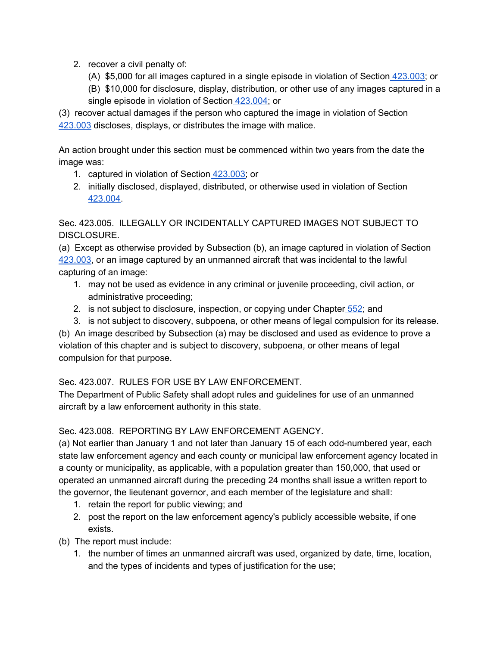- 2. recover a civil penalty of:
	- (A) \$5,000 for all images captured in a single episode in violation of Section [423.003](http://www.statutes.legis.state.tx.us/GetStatute.aspx?Code=GV&Value=423.003); or
	- (B) \$10,000 for disclosure, display, distribution, or other use of any images captured in a single episode in violation of Section [423.004;](http://www.statutes.legis.state.tx.us/GetStatute.aspx?Code=GV&Value=423.004) or

(3) recover actual damages if the person who captured the image in violation of Section [423.003](http://www.statutes.legis.state.tx.us/GetStatute.aspx?Code=GV&Value=423.003) discloses, displays, or distributes the image with malice.

An action brought under this section must be commenced within two years from the date the image was:

- 1. captured in violation of Section [423.003;](http://www.statutes.legis.state.tx.us/GetStatute.aspx?Code=GV&Value=423.003) or
- 2. initially disclosed, displayed, distributed, or otherwise used in violation of Sectio[n](http://www.statutes.legis.state.tx.us/GetStatute.aspx?Code=GV&Value=423.004) [423.004.](http://www.statutes.legis.state.tx.us/GetStatute.aspx?Code=GV&Value=423.004)

Sec. 423.005. ILLEGALLY OR INCIDENTALLY CAPTURED IMAGES NOT SUBJECT TO DISCLOSURE.

(a) Except as otherwise provided by Subsection (b), an image captured in violation of Section [423.003,](http://www.statutes.legis.state.tx.us/GetStatute.aspx?Code=GV&Value=423.003) or an image captured by an unmanned aircraft that was incidental to the lawful capturing of an image:

- 1. may not be used as evidence in any criminal or juvenile proceeding, civil action, or administrative proceeding;
- 2. is not subject to disclosure, inspection, or copying under Chapter [552](http://www.statutes.legis.state.tx.us/GetStatute.aspx?Code=GV&Value=552); and
- 3. is not subject to discovery, subpoena, or other means of legal compulsion for its release.

(b) An image described by Subsection (a) may be disclosed and used as evidence to prove a violation of this chapter and is subject to discovery, subpoena, or other means of legal compulsion for that purpose.

#### Sec. 423.007. RULES FOR USE BY LAW ENFORCEMENT.

The Department of Public Safety shall adopt rules and guidelines for use of an unmanned aircraft by a law enforcement authority in this state.

#### Sec. 423.008. REPORTING BY LAW ENFORCEMENT AGENCY.

(a) Not earlier than January 1 and not later than January 15 of each odd-numbered year, each state law enforcement agency and each county or municipal law enforcement agency located in a county or municipality, as applicable, with a population greater than 150,000, that used or operated an unmanned aircraft during the preceding 24 months shall issue a written report to the governor, the lieutenant governor, and each member of the legislature and shall:

- 1. retain the report for public viewing; and
- 2. post the report on the law enforcement agency's publicly accessible website, if one exists.
- (b) The report must include:
	- 1. the number of times an unmanned aircraft was used, organized by date, time, location, and the types of incidents and types of justification for the use;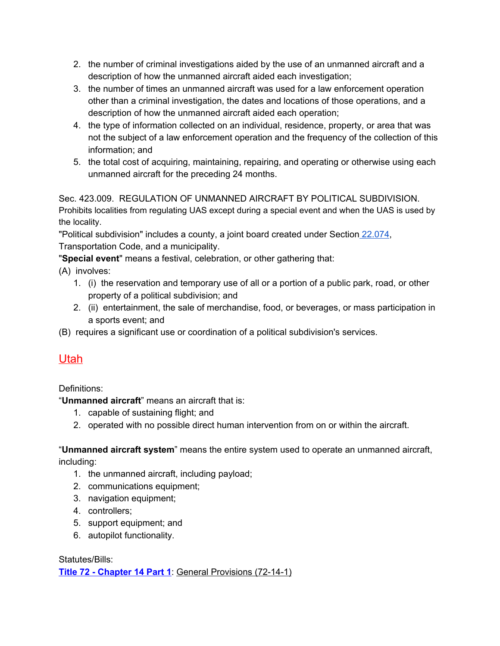- 2. the number of criminal investigations aided by the use of an unmanned aircraft and a description of how the unmanned aircraft aided each investigation;
- 3. the number of times an unmanned aircraft was used for a law enforcement operation other than a criminal investigation, the dates and locations of those operations, and a description of how the unmanned aircraft aided each operation;
- 4. the type of information collected on an individual, residence, property, or area that was not the subject of a law enforcement operation and the frequency of the collection of this information; and
- 5. the total cost of acquiring, maintaining, repairing, and operating or otherwise using each unmanned aircraft for the preceding 24 months.

Sec. 423.009. REGULATION OF UNMANNED AIRCRAFT BY POLITICAL SUBDIVISION. Prohibits localities from regulating UAS except during a special event and when the UAS is used by the locality.

"Political subdivision" includes a county, a joint board created under Section [22.074,](http://www.statutes.legis.state.tx.us/GetStatute.aspx?Code=TN&Value=22.074) Transportation Code, and a municipality.

"**Special event**" means a festival, celebration, or other gathering that:

- (A) involves:
	- 1. (i) the reservation and temporary use of all or a portion of a public park, road, or other property of a political subdivision; and
	- 2. (ii) entertainment, the sale of merchandise, food, or beverages, or mass participation in a sports event; and
- <span id="page-59-0"></span>(B) requires a significant use or coordination of a political subdivision's services.

# Utah

Definitions:

"**Unmanned aircraft**" means an aircraft that is:

- 1. capable of sustaining flight; and
- 2. operated with no possible direct human intervention from on or within the aircraft.

"**Unmanned aircraft system**" means the entire system used to operate an unmanned aircraft, including:

- 1. the unmanned aircraft, including payload;
- 2. communications equipment;
- 3. navigation equipment;
- 4. controllers;
- 5. support equipment; and
- 6. autopilot functionality.

Statutes/Bills: **Title 72 - [Chapter](https://le.utah.gov/xcode/Title72/Chapter14/72-14-P1.html) 14 Part 1**: General Provisions (72-14-1)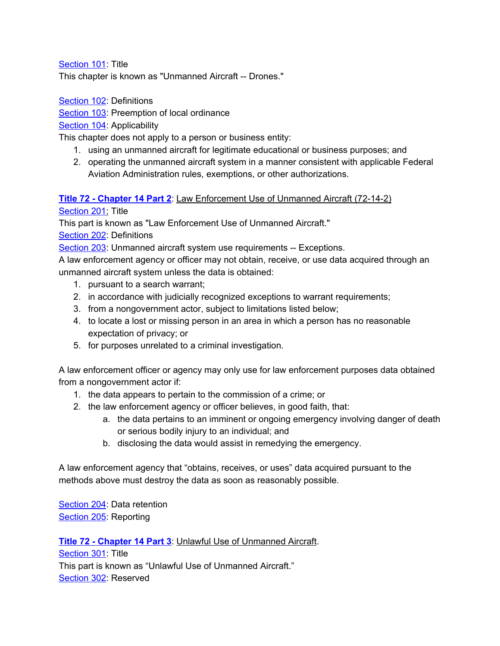[Section](https://le.utah.gov/xcode/Title72/Chapter14/72-14-S101.html?v=C72-14-S101_2017050920170509) 101: Title

This chapter is known as "Unmanned Aircraft -- Drones."

[Section](https://le.utah.gov/xcode/Title72/Chapter14/72-14-S102.html?v=C72-14-S102_2017050920170509) 102: Definitions

[Section](https://le.utah.gov/xcode/Title72/Chapter14/72-14-S103.html?v=C72-14-S103_2017050920170509) 103: Preemption of local ordinance

[Section](https://le.utah.gov/xcode/Title72/Chapter14/72-14-S104.html?v=C72-14-S104_2017050920170509) 104: Applicability

This chapter does not apply to a person or business entity:

- 1. using an unmanned aircraft for legitimate educational or business purposes; and
- 2. operating the unmanned aircraft system in a manner consistent with applicable Federal Aviation Administration rules, exemptions, or other authorizations.

#### **Title 72 - [Chapter](https://le.utah.gov/xcode/Title72/Chapter14/72-14-P2.html) 14 Part 2**: Law Enforcement Use of Unmanned Aircraft (72-14-2)

[Section](https://le.utah.gov/xcode/Title72/Chapter14/72-14-S201.html?v=C72-14-S201_2017050920170509) 201: Title

This part is known as "Law Enforcement Use of Unmanned Aircraft."

[Section](https://le.utah.gov/xcode/Title72/Chapter14/72-14-S202.html?v=C72-14-S202_2017050920170509) 202: Definitions

[Section](https://le.utah.gov/xcode/Title72/Chapter14/72-14-S203.html?v=C72-14-S203_2017050920170509) 203: Unmanned aircraft system use requirements -- Exceptions.

A law enforcement agency or officer may not obtain, receive, or use data acquired through an unmanned aircraft system unless the data is obtained:

- 1. pursuant to a search warrant;
- 2. in accordance with judicially recognized exceptions to warrant requirements;
- 3. from a nongovernment actor, subject to limitations listed below;
- 4. to locate a lost or missing person in an area in which a person has no reasonable expectation of privacy; or
- 5. for purposes unrelated to a criminal investigation.

A law enforcement officer or agency may only use for law enforcement purposes data obtained from a nongovernment actor if:

- 1. the data appears to pertain to the commission of a crime; or
- 2. the law enforcement agency or officer believes, in good faith, that:
	- a. the data pertains to an imminent or ongoing emergency involving danger of death or serious bodily injury to an individual; and
	- b. disclosing the data would assist in remedying the emergency.

A law enforcement agency that "obtains, receives, or uses" data acquired pursuant to the methods above must destroy the data as soon as reasonably possible.

[Section](https://le.utah.gov/xcode/Title72/Chapter14/72-14-S204.html?v=C72-14-S204_2017050920170509) 204: Data retention [Section](https://le.utah.gov/xcode/Title72/Chapter14/72-14-S205.html?v=C72-14-S205_2017050920170509) 205: Reporting

**Title 72 - [Chapter](https://le.utah.gov/xcode/Title72/Chapter14/72-14-P3.html?v=C72-14-P3_2017050920170509) 14 Part 3**: Unlawful Use of Unmanned Aircraft.

[Section](https://le.utah.gov/xcode/Title72/Chapter14/72-14-S301.html?v=C72-14-S301_2017050920170509) 301: Title This part is known as "Unlawful Use of Unmanned Aircraft." [Section](https://le.utah.gov/xcode/Title72/Chapter14/72-14-S302.html?v=C72-14-S302_2017050920170509) 302: Reserved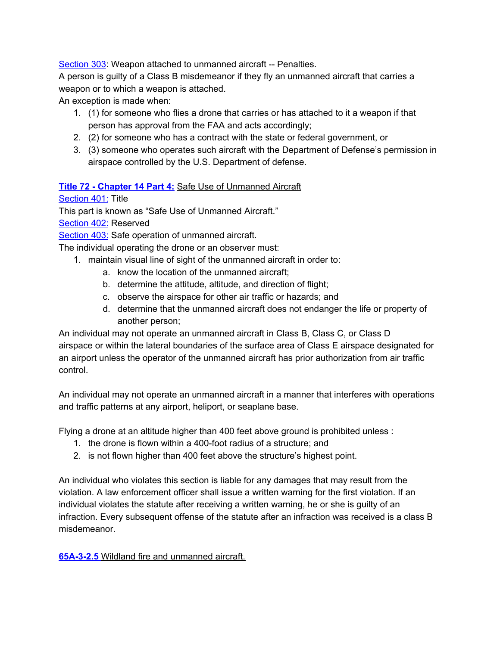[Section](https://le.utah.gov/xcode/Title72/Chapter14/72-14-S303.html?v=C72-14-S303_2017050920170509) 303: Weapon attached to unmanned aircraft -- Penalties.

A person is guilty of a Class B misdemeanor if they fly an unmanned aircraft that carries a weapon or to which a weapon is attached.

An exception is made when:

- 1. (1) for someone who flies a drone that carries or has attached to it a weapon if that person has approval from the FAA and acts accordingly;
- 2. (2) for someone who has a contract with the state or federal government, or
- 3. (3) someone who operates such aircraft with the Department of Defense's permission in airspace controlled by the U.S. Department of defense.

#### **Title 72 - [Chapter](https://le.utah.gov/xcode/Title72/Chapter14/72-14-P4.html?v=C72-14-P4_2017050920170509) 14 Part 4:** Safe Use of Unmanned Aircraft

[Section](https://le.utah.gov/xcode/Title72/Chapter14/72-14-S401.html?v=C72-14-S401_2017050920170509) 401: Title

This part is known as "Safe Use of Unmanned Aircraft."

[Section](https://le.utah.gov/xcode/Title72/Chapter14/72-14-S402.html?v=C72-14-S402_2017050920170509) 402: Reserved

[Section](https://le.utah.gov/xcode/Title72/Chapter14/72-14-S403.html?v=C72-14-S403_2017050920170509) 403: Safe operation of unmanned aircraft.

The individual operating the drone or an observer must:

- 1. maintain visual line of sight of the unmanned aircraft in order to:
	- a. know the location of the unmanned aircraft;
	- b. determine the attitude, altitude, and direction of flight;
	- c. observe the airspace for other air traffic or hazards; and
	- d. determine that the unmanned aircraft does not endanger the life or property of another person;

An individual may not operate an unmanned aircraft in Class B, Class C, or Class D airspace or within the lateral boundaries of the surface area of Class E airspace designated for an airport unless the operator of the unmanned aircraft has prior authorization from air traffic control.

An individual may not operate an unmanned aircraft in a manner that interferes with operations and traffic patterns at any airport, heliport, or seaplane base.

Flying a drone at an altitude higher than 400 feet above ground is prohibited unless :

- 1. the drone is flown within a 400-foot radius of a structure; and
- 2. is not flown higher than 400 feet above the structure's highest point.

An individual who violates this section is liable for any damages that may result from the violation. A law enforcement officer shall issue a written warning for the first violation. If an individual violates the statute after receiving a written warning, he or she is guilty of an infraction. Every subsequent offense of the statute after an infraction was received is a class B misdemeanor.

**[65A-3-2.5](https://le.utah.gov/xcode/Title65A/Chapter3/65A-3-S2.5.html)** Wildland fire and unmanned aircraft.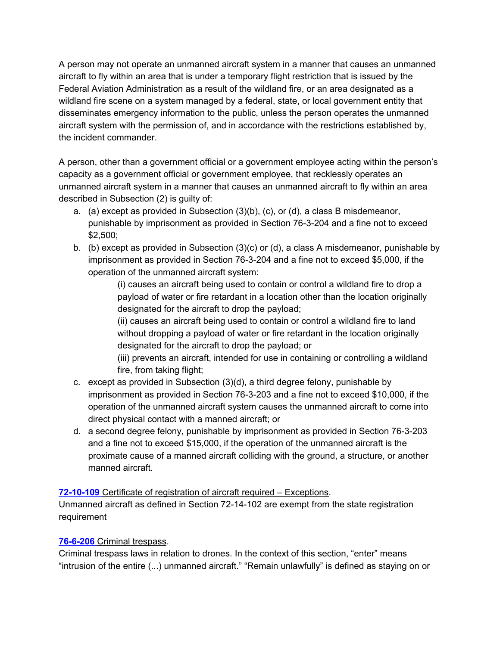A person may not operate an unmanned aircraft system in a manner that causes an unmanned aircraft to fly within an area that is under a temporary flight restriction that is issued by the Federal Aviation Administration as a result of the wildland fire, or an area designated as a wildland fire scene on a system managed by a federal, state, or local government entity that disseminates emergency information to the public, unless the person operates the unmanned aircraft system with the permission of, and in accordance with the restrictions established by, the incident commander.

A person, other than a government official or a government employee acting within the person's capacity as a government official or government employee, that recklessly operates an unmanned aircraft system in a manner that causes an unmanned aircraft to fly within an area described in Subsection (2) is guilty of:

- a. (a) except as provided in Subsection (3)(b), (c), or (d), a class B misdemeanor, punishable by imprisonment as provided in Section 76-3-204 and a fine not to exceed \$2,500;
- b. (b) except as provided in Subsection (3)(c) or (d), a class A misdemeanor, punishable by imprisonment as provided in Section 76-3-204 and a fine not to exceed \$5,000, if the operation of the unmanned aircraft system:

(i) causes an aircraft being used to contain or control a wildland fire to drop a payload of water or fire retardant in a location other than the location originally designated for the aircraft to drop the payload;

(ii) causes an aircraft being used to contain or control a wildland fire to land without dropping a payload of water or fire retardant in the location originally designated for the aircraft to drop the payload; or

(iii) prevents an aircraft, intended for use in containing or controlling a wildland fire, from taking flight;

- c. except as provided in Subsection (3)(d), a third degree felony, punishable by imprisonment as provided in Section 76-3-203 and a fine not to exceed \$10,000, if the operation of the unmanned aircraft system causes the unmanned aircraft to come into direct physical contact with a manned aircraft; or
- d. a second degree felony, punishable by imprisonment as provided in Section 76-3-203 and a fine not to exceed \$15,000, if the operation of the unmanned aircraft is the proximate cause of a manned aircraft colliding with the ground, a structure, or another manned aircraft.

#### **[72-10-109](https://le.utah.gov/xcode/Title72/Chapter10/72-10-S109.html)** Certificate of registration of aircraft required – Exceptions.

Unmanned aircraft as defined in Section 72-14-102 are exempt from the state registration requirement

#### **[76-6-206](https://le.utah.gov/xcode/Title76/Chapter6/76-6-S206.html)** Criminal trespass.

Criminal trespass laws in relation to drones. In the context of this section, "enter" means "intrusion of the entire (...) unmanned aircraft." "Remain unlawfully" is defined as staying on or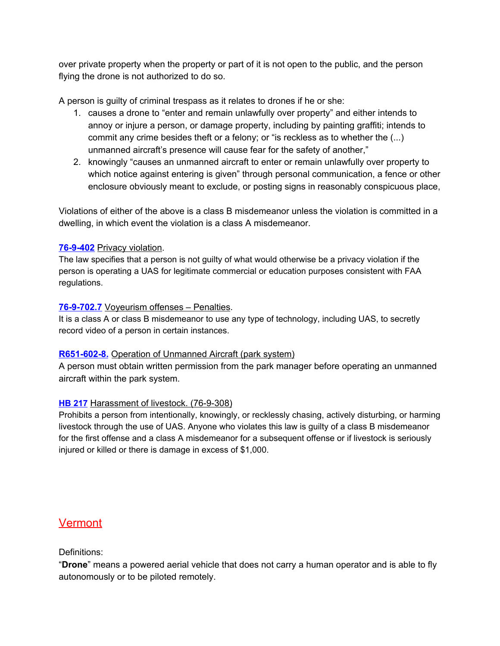over private property when the property or part of it is not open to the public, and the person flying the drone is not authorized to do so.

A person is guilty of criminal trespass as it relates to drones if he or she:

- 1. causes a drone to "enter and remain unlawfully over property" and either intends to annoy or injure a person, or damage property, including by painting graffiti; intends to commit any crime besides theft or a felony; or "is reckless as to whether the (...) unmanned aircraft's presence will cause fear for the safety of another,"
- 2. knowingly "causes an unmanned aircraft to enter or remain unlawfully over property to which notice against entering is given" through personal communication, a fence or other enclosure obviously meant to exclude, or posting signs in reasonably conspicuous place,

Violations of either of the above is a class B misdemeanor unless the violation is committed in a dwelling, in which event the violation is a class A misdemeanor.

#### **[76-9-402](https://le.utah.gov/xcode/Title76/Chapter9/76-9-S402.html?v=C76-9-S402_2017050920170509)** Privacy violation.

The law specifies that a person is not guilty of what would otherwise be a privacy violation if the person is operating a UAS for legitimate commercial or education purposes consistent with FAA regulations.

#### **[76-9-702.7](https://le.utah.gov/xcode/Title76/Chapter9/76-9-S702.7.html)** Voyeurism offenses – Penalties.

It is a class A or class B misdemeanor to use any type of technology, including UAS, to secretly record video of a person in certain instances.

#### **[R651-602-8.](https://rules.utah.gov/publicat/code/r651/r651-602.htm#E8)** Operation of Unmanned Aircraft (park system)

A person must obtain written permission from the park manager before operating an unmanned aircraft within the park system.

#### **[HB 217](https://le.utah.gov/~2017/bills/static/HB0217.html)** Harassment of livestock. (76-9-308)

Prohibits a person from intentionally, knowingly, or recklessly chasing, actively disturbing, or harming livestock through the use of UAS. Anyone who violates this law is guilty of a class B misdemeanor for the first offense and a class A misdemeanor for a subsequent offense or if livestock is seriously injured or killed or there is damage in excess of \$1,000.

# <span id="page-63-0"></span>**Vermont**

#### Definitions:

"**Drone**" means a powered aerial vehicle that does not carry a human operator and is able to fly autonomously or to be piloted remotely.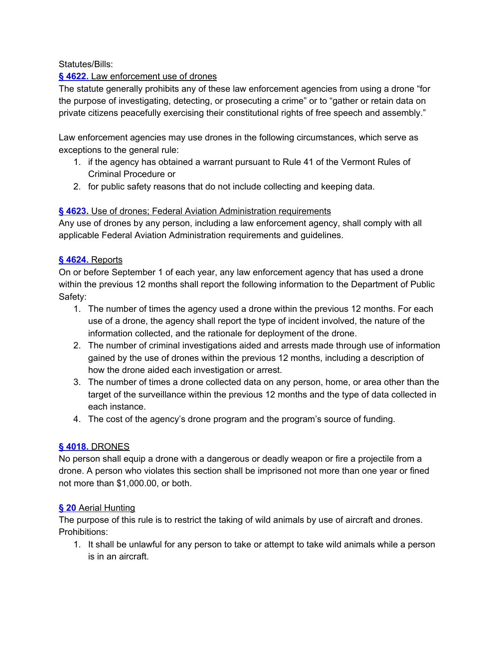#### Statutes/Bills:

#### **§ [4622.](http://legislature.vermont.gov/statutes/section/20/205/04622)** Law [enforcement](http://legislature.vermont.gov/statutes/section/20/205/04622) use of drones

The statute generally prohibits any of these law enforcement agencies from using a drone "for the purpose of investigating, detecting, or prosecuting a crime" or to "gather or retain data on private citizens peacefully exercising their constitutional rights of free speech and assembly."

Law enforcement agencies may use drones in the following circumstances, which serve as exceptions to the general rule:

- 1. if the agency has obtained a warrant pursuant to Rule 41 of the Vermont Rules of Criminal Procedure or
- 2. for public safety reasons that do not include collecting and keeping data.

#### **§ [4623.](http://legislature.vermont.gov/statutes/section/20/205/04623)** Use of drones; Federal Aviation [Administration](http://legislature.vermont.gov/statutes/section/20/205/04623) requirements

Any use of drones by any person, including a law enforcement agency, shall comply with all applicable Federal Aviation Administration requirements and guidelines.

#### **§ [4624.](http://legislature.vermont.gov/statutes/section/20/205/04624)** [Reports](http://legislature.vermont.gov/statutes/section/20/205/04624)

On or before September 1 of each year, any law enforcement agency that has used a drone within the previous 12 months shall report the following information to the Department of Public Safety:

- 1. The number of times the agency used a drone within the previous 12 months. For each use of a drone, the agency shall report the type of incident involved, the nature of the information collected, and the rationale for deployment of the drone.
- 2. The number of criminal investigations aided and arrests made through use of information gained by the use of drones within the previous 12 months, including a description of how the drone aided each investigation or arrest.
- 3. The number of times a drone collected data on any person, home, or area other than the target of the surveillance within the previous 12 months and the type of data collected in each instance.
- 4. The cost of the agency's drone program and the program's source of funding.

#### **§ [4018.](http://legislature.vermont.gov/statutes/section/13/085/04018)** [DRONES](http://legislature.vermont.gov/statutes/section/13/085/04018)

No person shall equip a drone with a dangerous or deadly weapon or fire a projectile from a drone. A person who violates this section shall be imprisoned not more than one year or fined not more than \$1,000.00, or both.

#### **§ [20](http://legislature.vermont.gov/statutes/section/10APPENDIX/001/00020)** Aerial [Hunting](http://legislature.vermont.gov/statutes/section/10APPENDIX/001/00020)

The purpose of this rule is to restrict the taking of wild animals by use of aircraft and drones. Prohibitions:

1. It shall be unlawful for any person to take or attempt to take wild animals while a person is in an aircraft.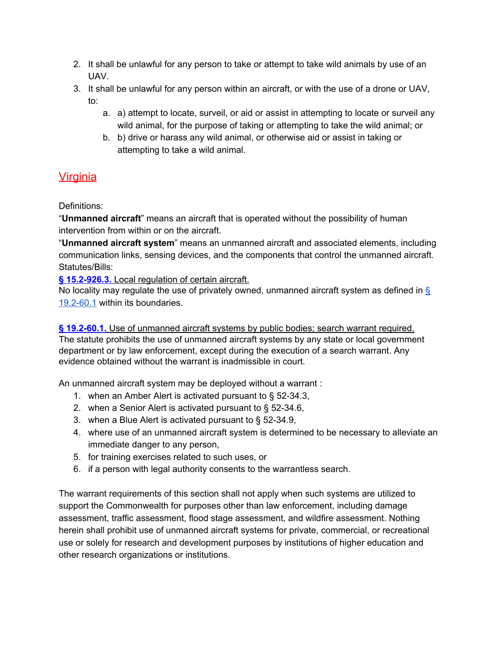- 2. It shall be unlawful for any person to take or attempt to take wild animals by use of an UAV.
- 3. It shall be unlawful for any person within an aircraft, or with the use of a drone or UAV, to:
	- a. a) attempt to locate, surveil, or aid or assist in attempting to locate or surveil any wild animal, for the purpose of taking or attempting to take the wild animal; or
	- b. b) drive or harass any wild animal, or otherwise aid or assist in taking or attempting to take a wild animal.

# <span id="page-65-0"></span>**Virginia**

Definitions:

"**Unmanned aircraft**" means an aircraft that is operated without the possibility of human intervention from within or on the aircraft.

"**Unmanned aircraft system**" means an unmanned aircraft and associated elements, including communication links, sensing devices, and the components that control the unmanned aircraft. Statutes/Bills:

**§ [15.2-926.3.](http://law.lis.virginia.gov/vacode/title15.2/chapter9/section15.2-926.3/)** Local [regulation](http://law.lis.virginia.gov/vacode/title15.2/chapter9/section15.2-926.3/) of certain aircraft.

No locality may regulate the use of privately owned, unmanned aircraft system as defined in  $\frac{1}{2}$ [19.2-60.1](http://law.lis.virginia.gov/vacode/19.2-60.1/) within its boundaries.

**§ [19.2-60.1.](http://law.lis.virginia.gov/vacode/19.2-60.1/)** Use of [unmanned](http://law.lis.virginia.gov/vacode/19.2-60.1/) aircraft systems by public bodies; search warrant required. The statute prohibits the use of unmanned aircraft systems by any state or local government department or by law enforcement, except during the execution of a search warrant. Any evidence obtained without the warrant is inadmissible in court.

An unmanned aircraft system may be deployed without a warrant :

- 1. when an Amber Alert is activated pursuant to § 52-34.3,
- 2. when a Senior Alert is activated pursuant to § 52-34.6,
- 3. when a Blue Alert is activated pursuant to § 52-34.9,
- 4. where use of an unmanned aircraft system is determined to be necessary to alleviate an immediate danger to any person,
- 5. for training exercises related to such uses, or
- 6. if a person with legal authority consents to the warrantless search.

The warrant requirements of this section shall not apply when such systems are utilized to support the Commonwealth for purposes other than law enforcement, including damage assessment, traffic assessment, flood stage assessment, and wildfire assessment. Nothing herein shall prohibit use of unmanned aircraft systems for private, commercial, or recreational use or solely for research and development purposes by institutions of higher education and other research organizations or institutions.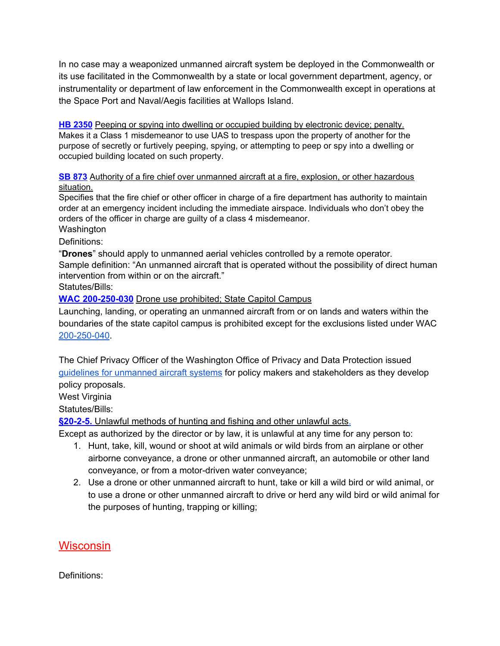In no case may a weaponized unmanned aircraft system be deployed in the Commonwealth or its use facilitated in the Commonwealth by a state or local government department, agency, or instrumentality or department of law enforcement in the Commonwealth except in operations at the Space Port and Naval/Aegis facilities at Wallops Island.

**[HB 2350](http://lis.virginia.gov/cgi-bin/legp604.exe?171+ful+HB2350ER+pdf)** Peeping or spying into dwelling or occupied building by electronic device; penalty. Makes it a Class 1 misdemeanor to use UAS to trespass upon the property of another for the purpose of secretly or furtively peeping, spying, or attempting to peep or spy into a dwelling or occupied building located on such property.

**[SB 873](http://lis.virginia.gov/cgi-bin/legp604.exe?171+ful+SB873ER+pdf)** Authority of a fire chief over unmanned aircraft at a fire, explosion, or other hazardous situation.

Specifies that the fire chief or other officer in charge of a fire department has authority to maintain order at an emergency incident including the immediate airspace. Individuals who don't obey the orders of the officer in charge are guilty of a class 4 misdemeanor.

Washington

Definitions:

"**Drones**" should apply to unmanned aerial vehicles controlled by a remote operator. Sample definition: "An unmanned aircraft that is operated without the possibility of direct human intervention from within or on the aircraft."

Statutes/Bills:

**WAC [200-250-030](http://apps.leg.wa.gov/wac/default.aspx?cite=200-250-030)** Drone use prohibited; State Capitol Campus

Launching, landing, or operating an unmanned aircraft from or on lands and waters within the boundaries of the state capitol campus is prohibited except for the exclusions listed under WAC [200-250-040](http://apps.leg.wa.gov/wac/default.aspx?cite=200-250-040).

The Chief Privacy Officer of the Washington Office of Privacy and Data Protection issued guidelines for [unmanned](http://www.wsdot.wa.gov/NR/rdonlyres/AC738BE5-FDCE-4FD9-A173-6C913FDABE24/0/DronePolicyGuidelines.pdf) aircraft systems for policy makers and stakeholders as they develop policy proposals.

West Virginia

Statutes/Bills:

**[§20-2-5.](http://www.legis.state.wv.us/WVCODE/ChapterEntire.cfm?chap=20&art=2§ion=5)** Unlawful [methods](http://www.legis.state.wv.us/WVCODE/ChapterEntire.cfm?chap=20&art=2§ion=5) of hunting and fishing and other unlawful act[s.](http://www.legis.state.wv.us/WVCODE/ChapterEntire.cfm?chap=20&art=2§ion=5)

Except as authorized by the director or by law, it is unlawful at any time for any person to:

- 1. Hunt, take, kill, wound or shoot at wild animals or wild birds from an airplane or other airborne conveyance, a drone or other unmanned aircraft, an automobile or other land conveyance, or from a motor-driven water conveyance;
- 2. Use a drone or other unmanned aircraft to hunt, take or kill a wild bird or wild animal, or to use a drone or other unmanned aircraft to drive or herd any wild bird or wild animal for the purposes of hunting, trapping or killing;

<span id="page-66-0"></span>**Wisconsin** 

Definitions: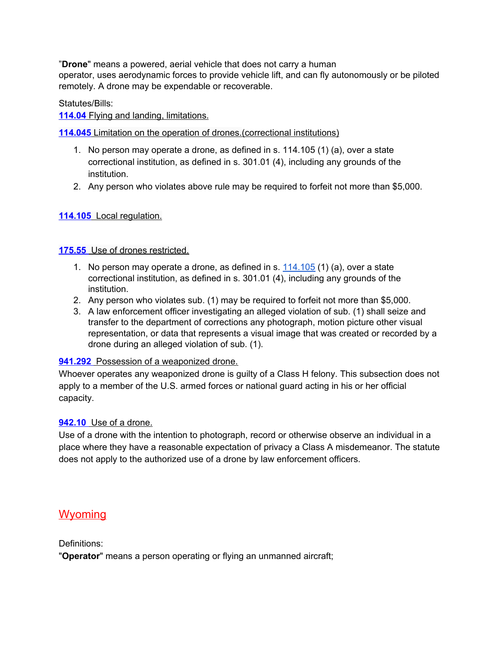"**Drone**" means a powered, aerial vehicle that does not carry a human operator, uses aerodynamic forces to provide vehicle lift, and can fly autonomously or be piloted remotely. A drone may be expendable or recoverable.

#### Statutes/Bills:

#### **[114.04](http://docs.legis.wisconsin.gov/2015/related/proposals/ab670.pdf)** Flying and landing, [limitations.](http://docs.legis.wisconsin.gov/2015/related/proposals/ab670.pdf)

#### **[114.045](http://docs.legis.wisconsin.gov/2015/related/proposals/ab670.pdf)** [Limitation](http://docs.legis.wisconsin.gov/2015/related/proposals/ab670.pdf) on the operation of drones.(correctional institutions)

- 1. No person may operate a drone, as defined in s. 114.105 (1) (a), over a state correctional institution, as defined in s. 301.01 (4), including any grounds of the institution.
- 2. Any person who violates above rule may be required to forfeit not more than \$5,000.

#### **[114.105](http://docs.legis.wisconsin.gov/2015/related/proposals/ab670.pdf)** Local [regulation.](http://docs.legis.wisconsin.gov/2015/related/proposals/ab670.pdf)

#### **[175.55](https://docs.legis.wisconsin.gov/statutes/statutes/175/55)** Use of drones [restricted.](https://docs.legis.wisconsin.gov/statutes/statutes/175/55)

- 1. No person may operate a drone, as defined in s. [114.105](http://docs.legis.wisconsin.gov/2015/related/proposals/ab670.pdf) (1) (a), over a state correctional institution, as defined in s. 301.01 (4), including any grounds of the institution.
- 2. Any person who violates sub. (1) may be required to forfeit not more than \$5,000.
- 3. A law enforcement officer investigating an alleged violation of sub. (1) shall seize and transfer to the department of corrections any photograph, motion picture other visual representation, or data that represents a visual image that was created or recorded by a drone during an alleged violation of sub. (1).

#### **[941.292](https://docs.legis.wisconsin.gov/statutes/statutes/941/III/292)** Possession of a [weaponized](https://docs.legis.wisconsin.gov/statutes/statutes/941/III/292) drone.

Whoever operates any weaponized drone is guilty of a Class H felony. This subsection does not apply to a member of the U.S. armed forces or national guard acting in his or her official capacity.

#### **[942.10](https://docs.legis.wisconsin.gov/statutes/statutes/942/10)** Use of a [drone.](https://docs.legis.wisconsin.gov/statutes/statutes/942/10)

Use of a drone with the intention to photograph, record or otherwise observe an individual in a place where they have a reasonable expectation of privacy a Class A misdemeanor. The statute does not apply to the authorized use of a drone by law enforcement officers.

#### <span id="page-67-0"></span>**Wyoming**

Definitions:

"**Operator**" means a person operating or flying an unmanned aircraft;